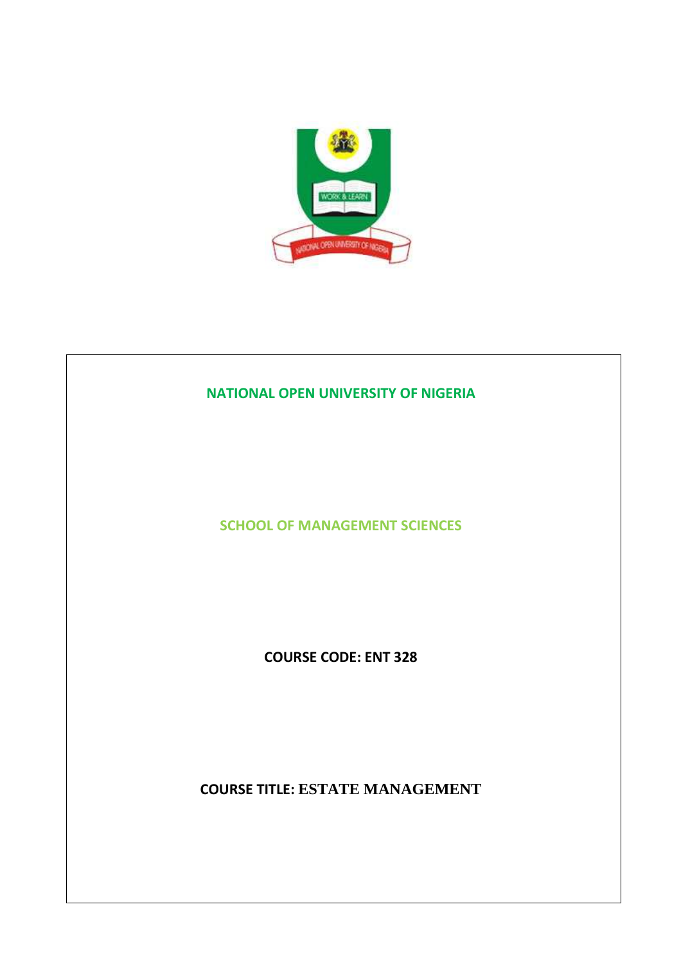

# **NATIONAL OPEN UNIVERSITY OF NIGERIA SCHOOL OF MANAGEMENT SCIENCES COURSE CODE: ENT 328 COURSE TITLE: ESTATE MANAGEMENT**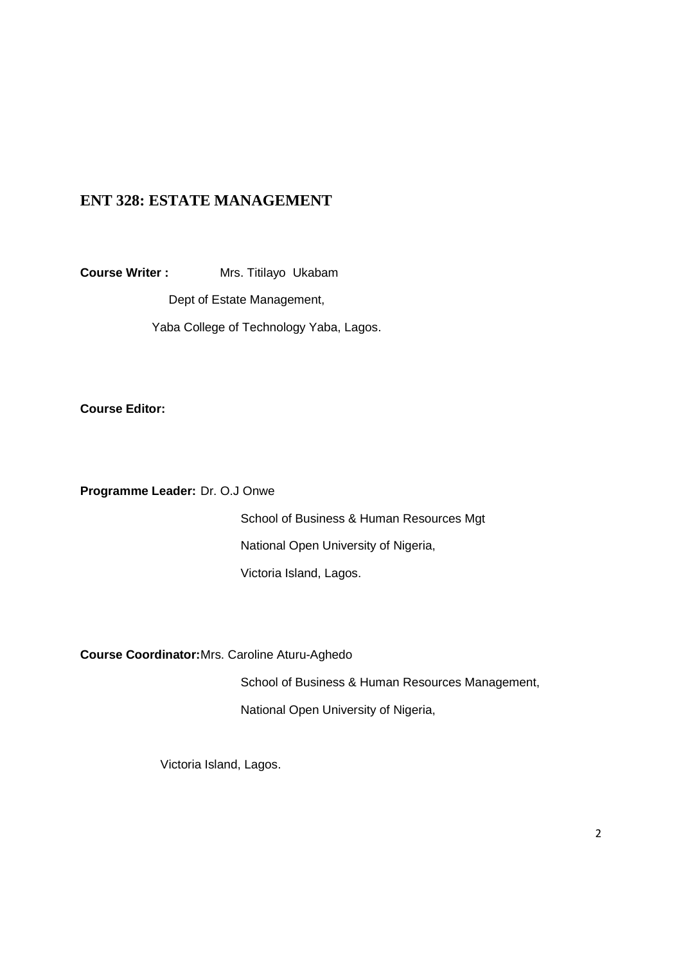# **ENT 328: ESTATE MANAGEMENT**

**Course Writer :** Mrs. Titilayo Ukabam

Dept of Estate Management,

Yaba College of Technology Yaba, Lagos.

**Course Editor:** 

**Programme Leader:** Dr. O.J Onwe

 School of Business & Human Resources Mgt National Open University of Nigeria, Victoria Island, Lagos.

**Course Coordinator:** Mrs. Caroline Aturu-Aghedo

School of Business & Human Resources Management,

National Open University of Nigeria,

Victoria Island, Lagos.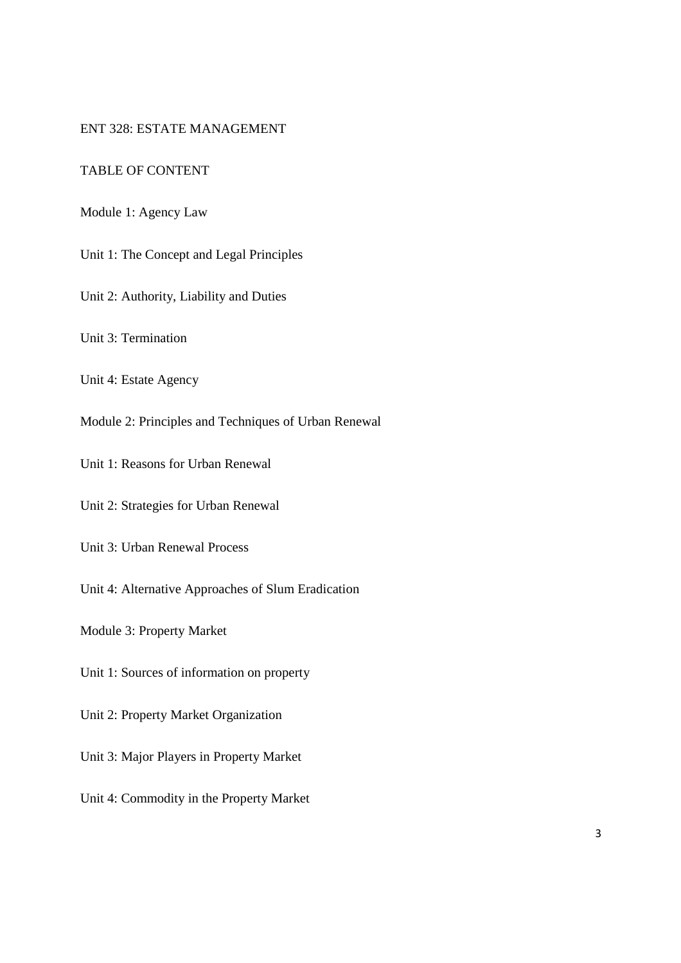## ENT 328: ESTATE MANAGEMENT

# TABLE OF CONTENT

Module 1: Agency Law

Unit 1: The Concept and Legal Principles

Unit 2: Authority, Liability and Duties

Unit 3: Termination

Unit 4: Estate Agency

Module 2: Principles and Techniques of Urban Renewal

Unit 1: Reasons for Urban Renewal

Unit 2: Strategies for Urban Renewal

Unit 3: Urban Renewal Process

Unit 4: Alternative Approaches of Slum Eradication

Module 3: Property Market

Unit 1: Sources of information on property

Unit 2: Property Market Organization

Unit 3: Major Players in Property Market

Unit 4: Commodity in the Property Market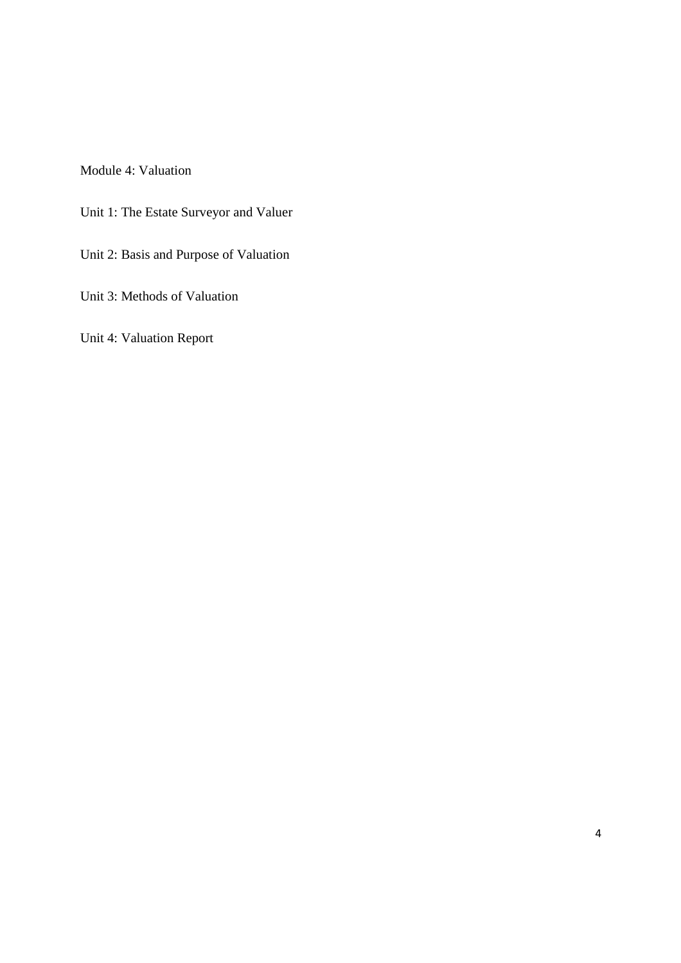Module 4: Valuation

Unit 1: The Estate Surveyor and Valuer

Unit 2: Basis and Purpose of Valuation

Unit 3: Methods of Valuation

Unit 4: Valuation Report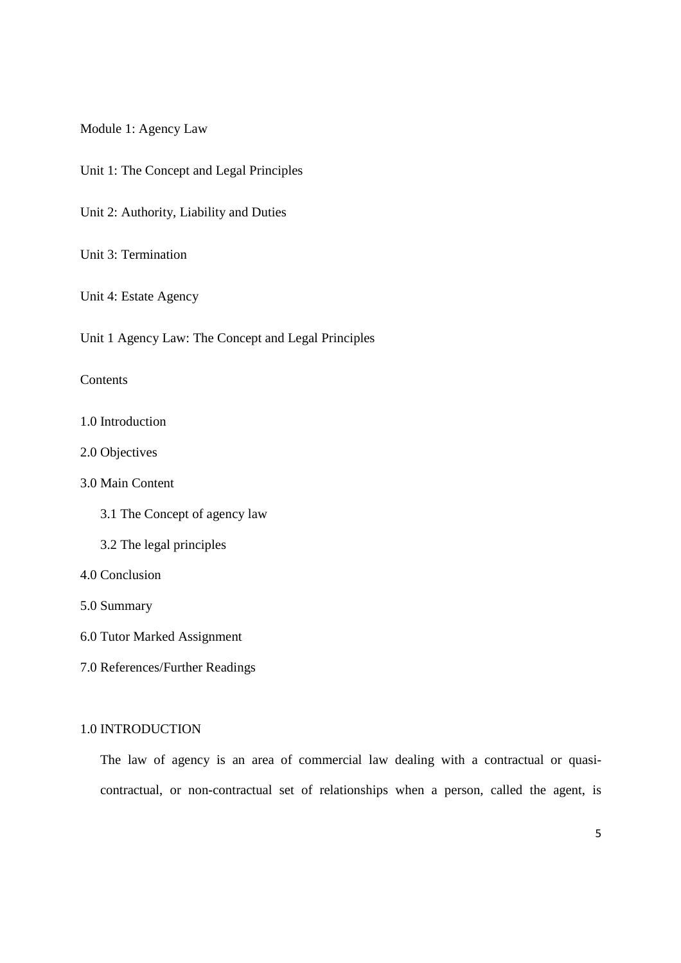Module 1: Agency Law

Unit 1: The Concept and Legal Principles

Unit 2: Authority, Liability and Duties

Unit 3: Termination

Unit 4: Estate Agency

Unit 1 Agency Law: The Concept and Legal Principles

#### **Contents**

## 1.0 Introduction

2.0 Objectives

# 3.0 Main Content

- 3.1 The Concept of agency law
- 3.2 The legal principles

## 4.0 Conclusion

5.0 Summary

- 6.0 Tutor Marked Assignment
- 7.0 References/Further Readings

#### 1.0 INTRODUCTION

The law of agency is an area of commercial law dealing with a contractual or quasicontractual, or non-contractual set of relationships when a person, called the agent, is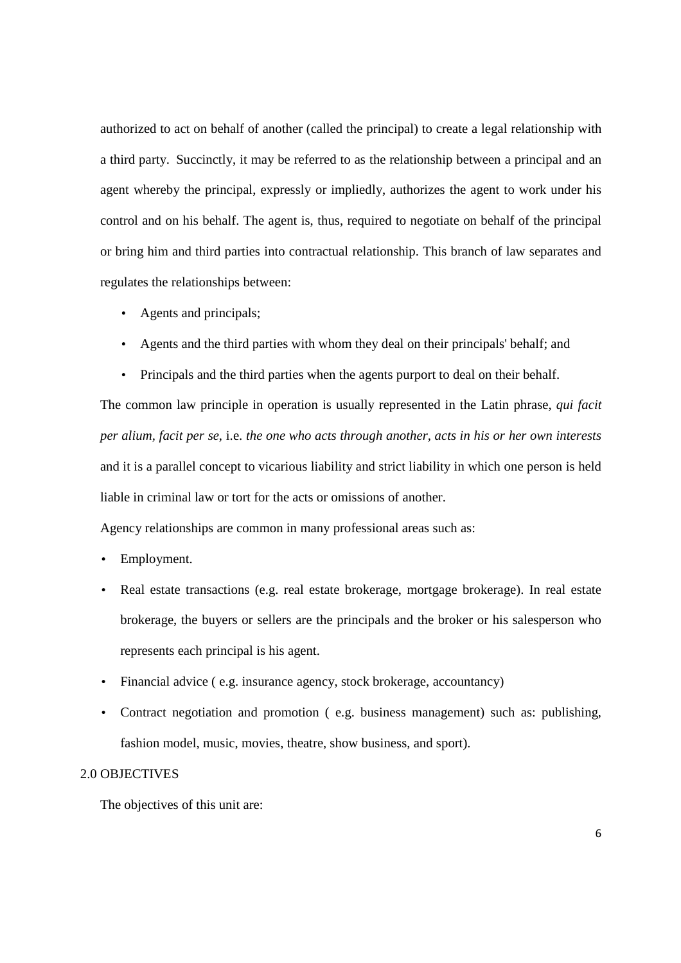authorized to act on behalf of another (called the principal) to create a legal relationship with a third party. Succinctly, it may be referred to as the relationship between a principal and an agent whereby the principal, expressly or impliedly, authorizes the agent to work under his control and on his behalf. The agent is, thus, required to negotiate on behalf of the principal or bring him and third parties into contractual relationship. This branch of law separates and regulates the relationships between:

- Agents and principals;
- Agents and the third parties with whom they deal on their principals' behalf; and
- Principals and the third parties when the agents purport to deal on their behalf.

The common law principle in operation is usually represented in the Latin phrase, *qui facit per alium, facit per se*, i.e. *the one who acts through another, acts in his or her own interests* and it is a parallel concept to vicarious liability and strict liability in which one person is held liable in criminal law or tort for the acts or omissions of another.

Agency relationships are common in many professional areas such as:

- Employment.
- Real estate transactions (e.g. real estate brokerage, mortgage brokerage). In real estate brokerage, the buyers or sellers are the principals and the broker or his salesperson who represents each principal is his agent.
- Financial advice (e.g. insurance agency, stock brokerage, accountancy)
- Contract negotiation and promotion ( e.g. business management) such as: publishing, fashion model, music, movies, theatre, show business, and sport).

## 2.0 OBJECTIVES

The objectives of this unit are: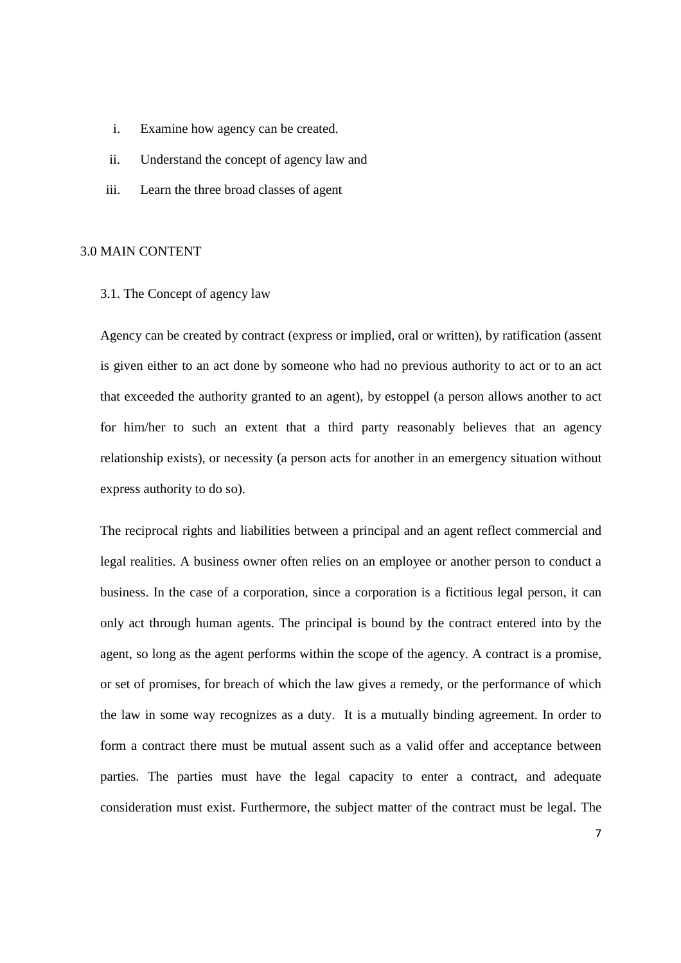- i. Examine how agency can be created.
- ii. Understand the concept of agency law and
- iii. Learn the three broad classes of agent

## 3.0 MAIN CONTENT

3.1. The Concept of agency law

Agency can be created by contract (express or implied, oral or written), by ratification (assent is given either to an act done by someone who had no previous authority to act or to an act that exceeded the authority granted to an agent), by estoppel (a person allows another to act for him/her to such an extent that a third party reasonably believes that an agency relationship exists), or necessity (a person acts for another in an emergency situation without express authority to do so).

The reciprocal rights and liabilities between a principal and an agent reflect commercial and legal realities. A business owner often relies on an employee or another person to conduct a business. In the case of a corporation, since a corporation is a fictitious legal person, it can only act through human agents. The principal is bound by the contract entered into by the agent, so long as the agent performs within the scope of the agency. A contract is a promise, or set of promises, for breach of which the law gives a remedy, or the performance of which the law in some way recognizes as a duty. It is a mutually binding agreement. In order to form a contract there must be mutual assent such as a valid offer and acceptance between parties. The parties must have the legal capacity to enter a contract, and adequate consideration must exist. Furthermore, the subject matter of the contract must be legal. The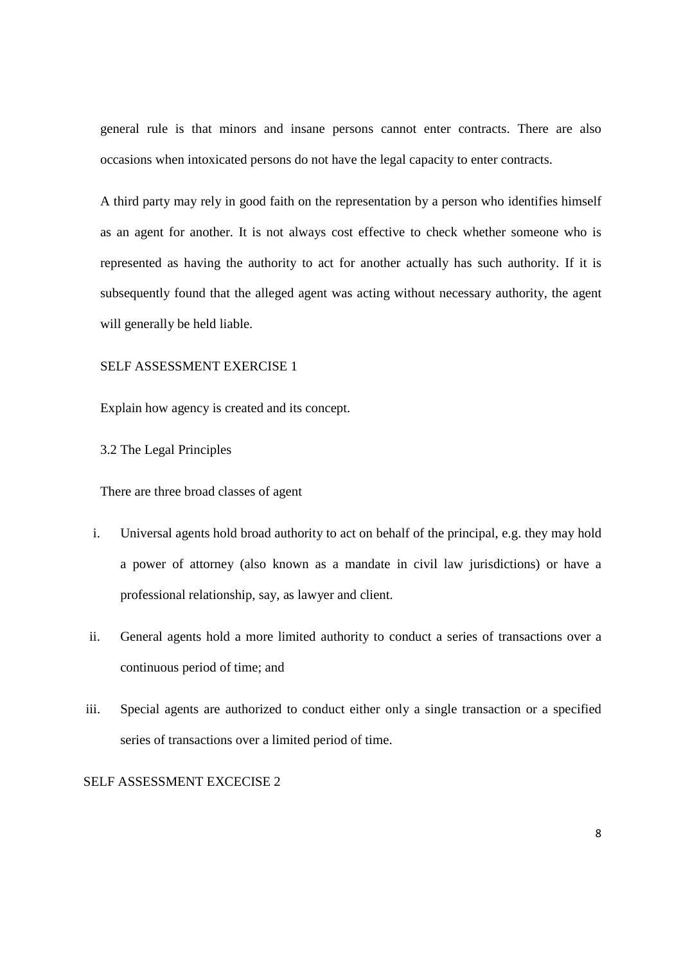general rule is that minors and insane persons cannot enter contracts. There are also occasions when intoxicated persons do not have the legal capacity to enter contracts.

A third party may rely in good faith on the representation by a person who identifies himself as an agent for another. It is not always cost effective to check whether someone who is represented as having the authority to act for another actually has such authority. If it is subsequently found that the alleged agent was acting without necessary authority, the agent will generally be held liable.

## SELF ASSESSMENT EXERCISE 1

Explain how agency is created and its concept.

3.2 The Legal Principles

There are three broad classes of agent

- i. Universal agents hold broad authority to act on behalf of the principal, e.g. they may hold a power of attorney (also known as a mandate in civil law jurisdictions) or have a professional relationship, say, as lawyer and client.
- ii. General agents hold a more limited authority to conduct a series of transactions over a continuous period of time; and
- iii. Special agents are authorized to conduct either only a single transaction or a specified series of transactions over a limited period of time.

## SELF ASSESSMENT EXCECISE 2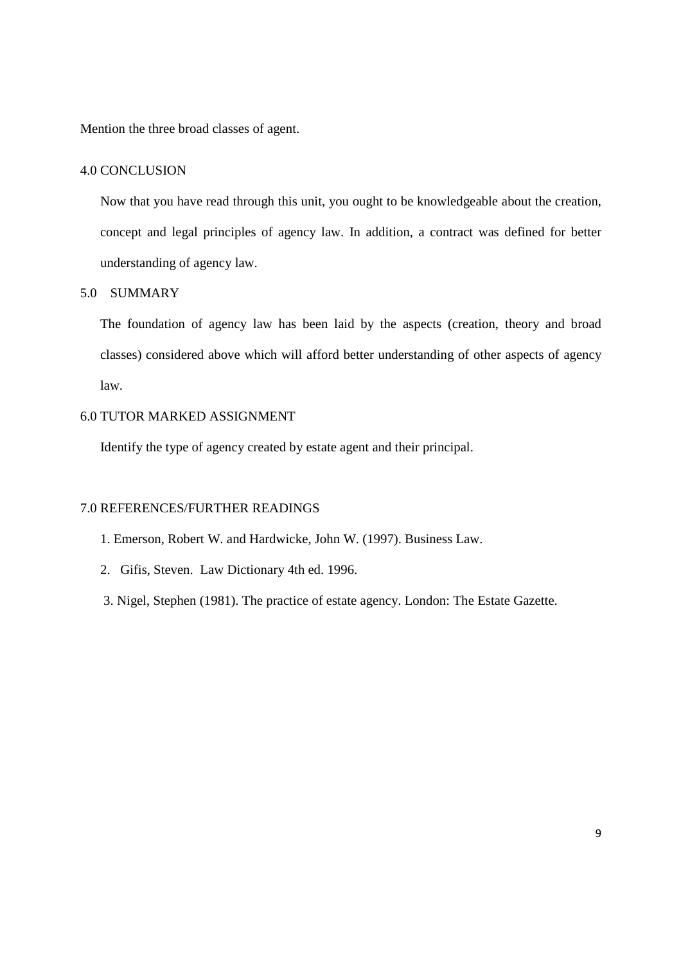Mention the three broad classes of agent.

## 4.0 CONCLUSION

Now that you have read through this unit, you ought to be knowledgeable about the creation, concept and legal principles of agency law. In addition, a contract was defined for better understanding of agency law.

#### 5.0 SUMMARY

The foundation of agency law has been laid by the aspects (creation, theory and broad classes) considered above which will afford better understanding of other aspects of agency law.

## 6.0 TUTOR MARKED ASSIGNMENT

Identify the type of agency created by estate agent and their principal.

#### 7.0 REFERENCES/FURTHER READINGS

- 1. Emerson, Robert W. and Hardwicke, John W. (1997). Business Law.
- 2. Gifis, Steven. Law Dictionary 4th ed. 1996.
- 3. Nigel, Stephen (1981). The practice of estate agency. London: The Estate Gazette.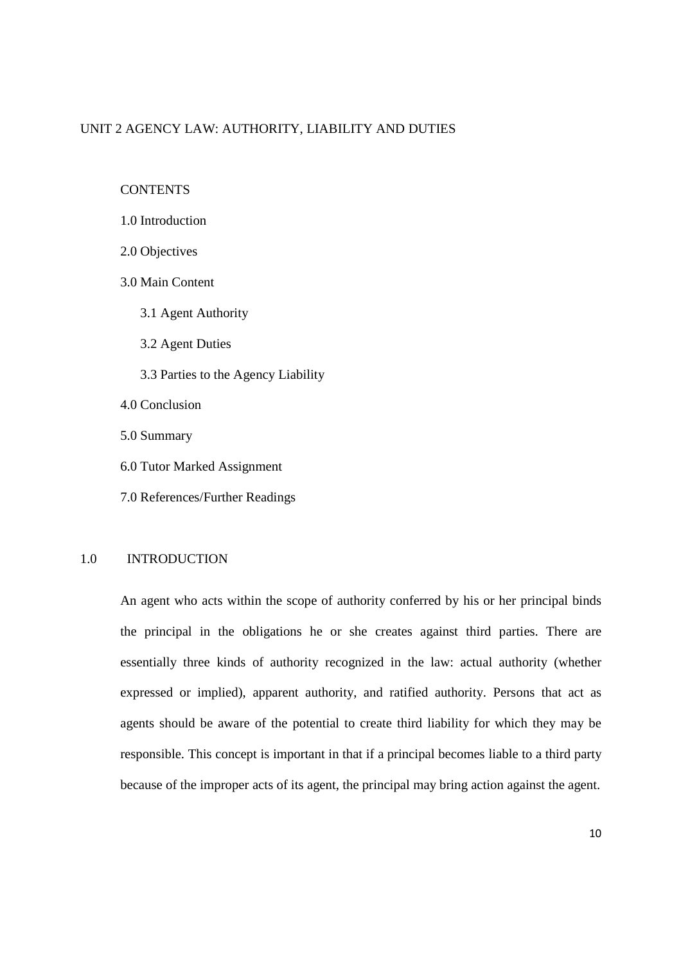## UNIT 2 AGENCY LAW: AUTHORITY, LIABILITY AND DUTIES

**CONTENTS** 

- 1.0 Introduction
- 2.0 Objectives
- 3.0 Main Content
	- 3.1 Agent Authority
	- 3.2 Agent Duties
	- 3.3 Parties to the Agency Liability
- 4.0 Conclusion
- 5.0 Summary
- 6.0 Tutor Marked Assignment
- 7.0 References/Further Readings

## 1.0 INTRODUCTION

An agent who acts within the scope of authority conferred by his or her principal binds the principal in the obligations he or she creates against third parties. There are essentially three kinds of authority recognized in the law: actual authority (whether expressed or implied), apparent authority, and ratified authority. Persons that act as agents should be aware of the potential to create third liability for which they may be responsible. This concept is important in that if a principal becomes liable to a third party because of the improper acts of its agent, the principal may bring action against the agent.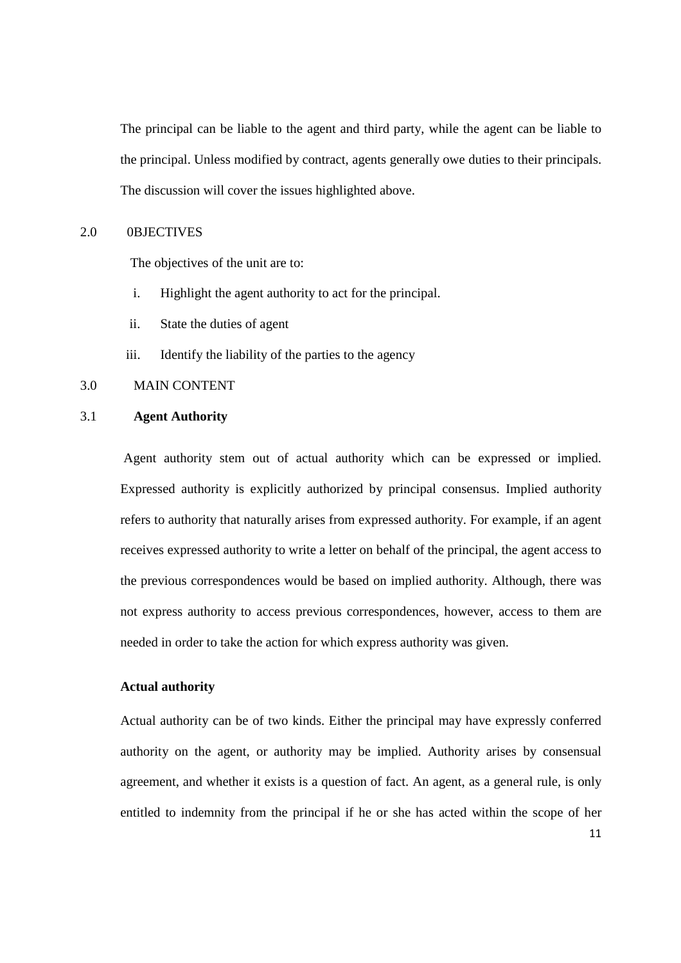The principal can be liable to the agent and third party, while the agent can be liable to the principal. Unless modified by contract, agents generally owe duties to their principals. The discussion will cover the issues highlighted above.

## 2.0 0BJECTIVES

The objectives of the unit are to:

- i. Highlight the agent authority to act for the principal.
- ii. State the duties of agent
- iii. Identify the liability of the parties to the agency

## 3.0 MAIN CONTENT

#### 3.1 **Agent Authority**

 Agent authority stem out of actual authority which can be expressed or implied. Expressed authority is explicitly authorized by principal consensus. Implied authority refers to authority that naturally arises from expressed authority. For example, if an agent receives expressed authority to write a letter on behalf of the principal, the agent access to the previous correspondences would be based on implied authority. Although, there was not express authority to access previous correspondences, however, access to them are needed in order to take the action for which express authority was given.

#### **Actual authority**

Actual authority can be of two kinds. Either the principal may have expressly conferred authority on the agent, or authority may be implied. Authority arises by consensual agreement, and whether it exists is a question of fact. An agent, as a general rule, is only entitled to indemnity from the principal if he or she has acted within the scope of her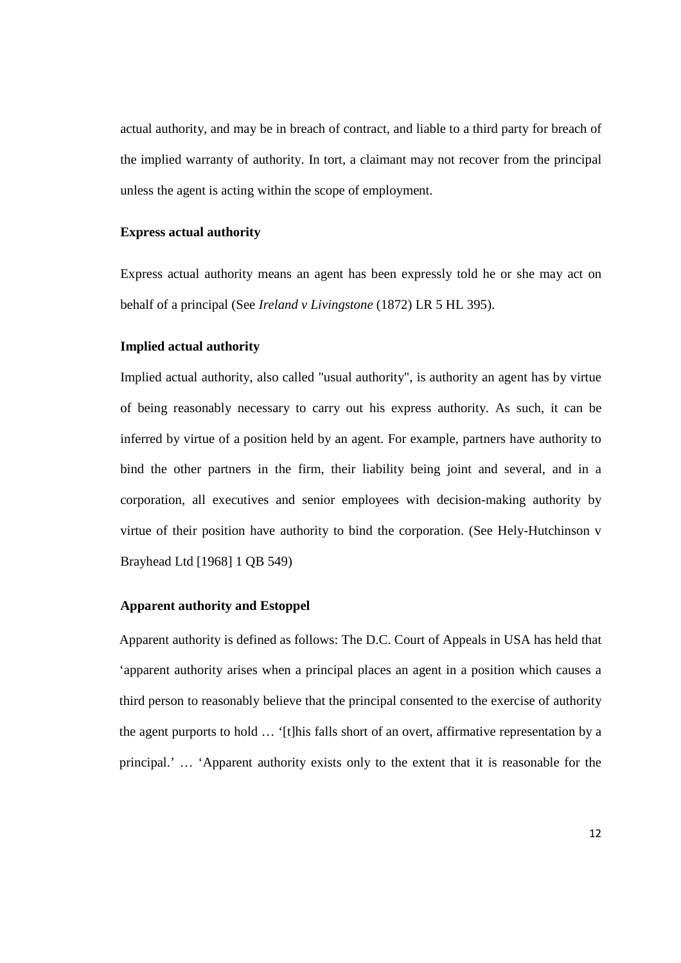actual authority, and may be in breach of contract, and liable to a third party for breach of the implied warranty of authority. In tort, a claimant may not recover from the principal unless the agent is acting within the scope of employment.

## **Express actual authority**

Express actual authority means an agent has been expressly told he or she may act on behalf of a principal (See *Ireland v Livingstone* (1872) LR 5 HL 395).

#### **Implied actual authority**

Implied actual authority, also called "usual authority", is authority an agent has by virtue of being reasonably necessary to carry out his express authority. As such, it can be inferred by virtue of a position held by an agent. For example, partners have authority to bind the other partners in the firm, their liability being joint and several, and in a corporation, all executives and senior employees with decision-making authority by virtue of their position have authority to bind the corporation. (See Hely-Hutchinson v Brayhead Ltd [1968] 1 QB 549)

#### **Apparent authority and Estoppel**

Apparent authority is defined as follows: The D.C. Court of Appeals in USA has held that 'apparent authority arises when a principal places an agent in a position which causes a third person to reasonably believe that the principal consented to the exercise of authority the agent purports to hold … '[t]his falls short of an overt, affirmative representation by a principal.' … 'Apparent authority exists only to the extent that it is reasonable for the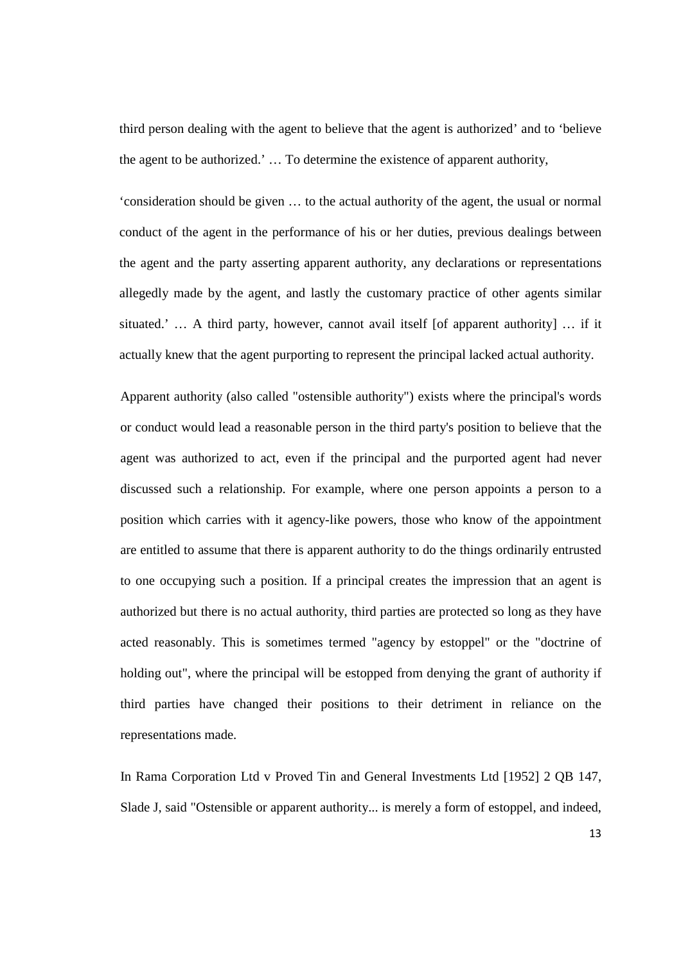third person dealing with the agent to believe that the agent is authorized' and to 'believe the agent to be authorized.' … To determine the existence of apparent authority,

'consideration should be given … to the actual authority of the agent, the usual or normal conduct of the agent in the performance of his or her duties, previous dealings between the agent and the party asserting apparent authority, any declarations or representations allegedly made by the agent, and lastly the customary practice of other agents similar situated.' … A third party, however, cannot avail itself [of apparent authority] … if it actually knew that the agent purporting to represent the principal lacked actual authority.

Apparent authority (also called "ostensible authority") exists where the principal's words or conduct would lead a reasonable person in the third party's position to believe that the agent was authorized to act, even if the principal and the purported agent had never discussed such a relationship. For example, where one person appoints a person to a position which carries with it agency-like powers, those who know of the appointment are entitled to assume that there is apparent authority to do the things ordinarily entrusted to one occupying such a position. If a principal creates the impression that an agent is authorized but there is no actual authority, third parties are protected so long as they have acted reasonably. This is sometimes termed "agency by estoppel" or the "doctrine of holding out", where the principal will be estopped from denying the grant of authority if third parties have changed their positions to their detriment in reliance on the representations made.

In Rama Corporation Ltd v Proved Tin and General Investments Ltd [1952] 2 QB 147, Slade J, said "Ostensible or apparent authority... is merely a form of estoppel, and indeed,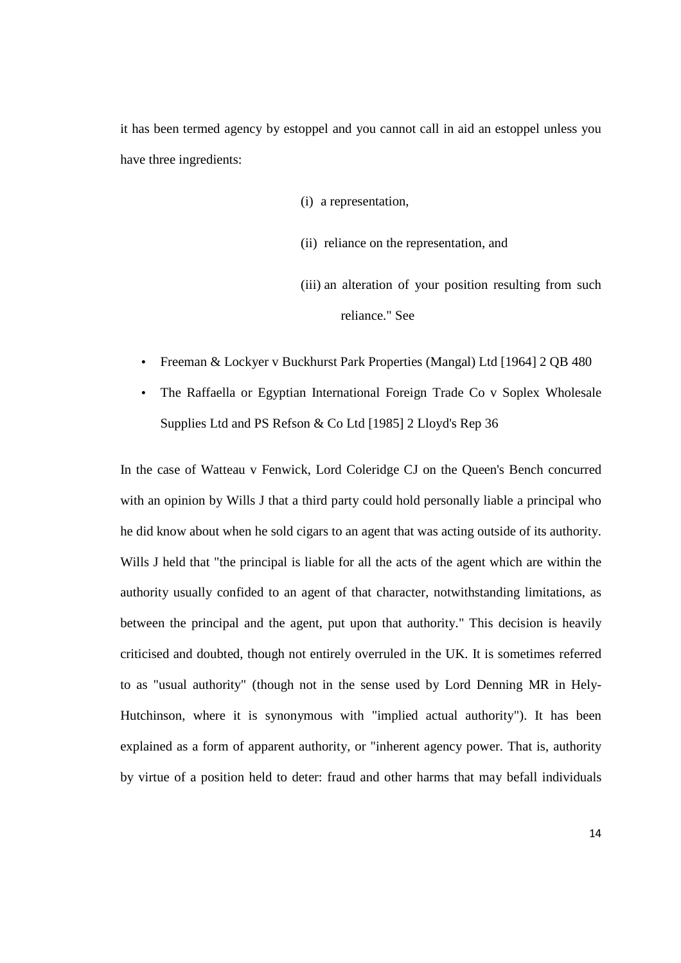it has been termed agency by estoppel and you cannot call in aid an estoppel unless you have three ingredients:

- (i) a representation,
- (ii) reliance on the representation, and
- (iii) an alteration of your position resulting from such reliance." See
- Freeman & Lockyer v Buckhurst Park Properties (Mangal) Ltd [1964] 2 QB 480
- The Raffaella or Egyptian International Foreign Trade Co v Soplex Wholesale Supplies Ltd and PS Refson & Co Ltd [1985] 2 Lloyd's Rep 36

In the case of Watteau v Fenwick, Lord Coleridge CJ on the Queen's Bench concurred with an opinion by Wills J that a third party could hold personally liable a principal who he did know about when he sold cigars to an agent that was acting outside of its authority. Wills J held that "the principal is liable for all the acts of the agent which are within the authority usually confided to an agent of that character, notwithstanding limitations, as between the principal and the agent, put upon that authority." This decision is heavily criticised and doubted, though not entirely overruled in the UK. It is sometimes referred to as "usual authority" (though not in the sense used by Lord Denning MR in Hely-Hutchinson, where it is synonymous with "implied actual authority"). It has been explained as a form of apparent authority, or "inherent agency power. That is, authority by virtue of a position held to deter: fraud and other harms that may befall individuals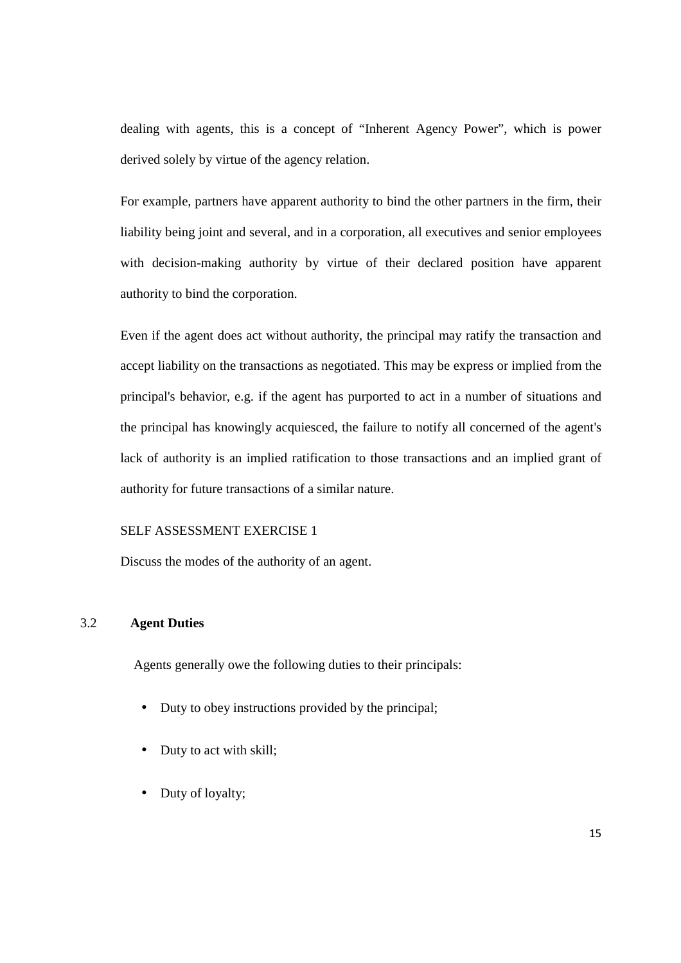dealing with agents, this is a concept of "Inherent Agency Power", which is power derived solely by virtue of the agency relation.

For example, partners have apparent authority to bind the other partners in the firm, their liability being joint and several, and in a corporation, all executives and senior employees with decision-making authority by virtue of their declared position have apparent authority to bind the corporation.

Even if the agent does act without authority, the principal may ratify the transaction and accept liability on the transactions as negotiated. This may be express or implied from the principal's behavior, e.g. if the agent has purported to act in a number of situations and the principal has knowingly acquiesced, the failure to notify all concerned of the agent's lack of authority is an implied ratification to those transactions and an implied grant of authority for future transactions of a similar nature.

## SELF ASSESSMENT EXERCISE 1

Discuss the modes of the authority of an agent.

## 3.2 **Agent Duties**

Agents generally owe the following duties to their principals:

- Duty to obey instructions provided by the principal;
- Duty to act with skill;
- Duty of loyalty;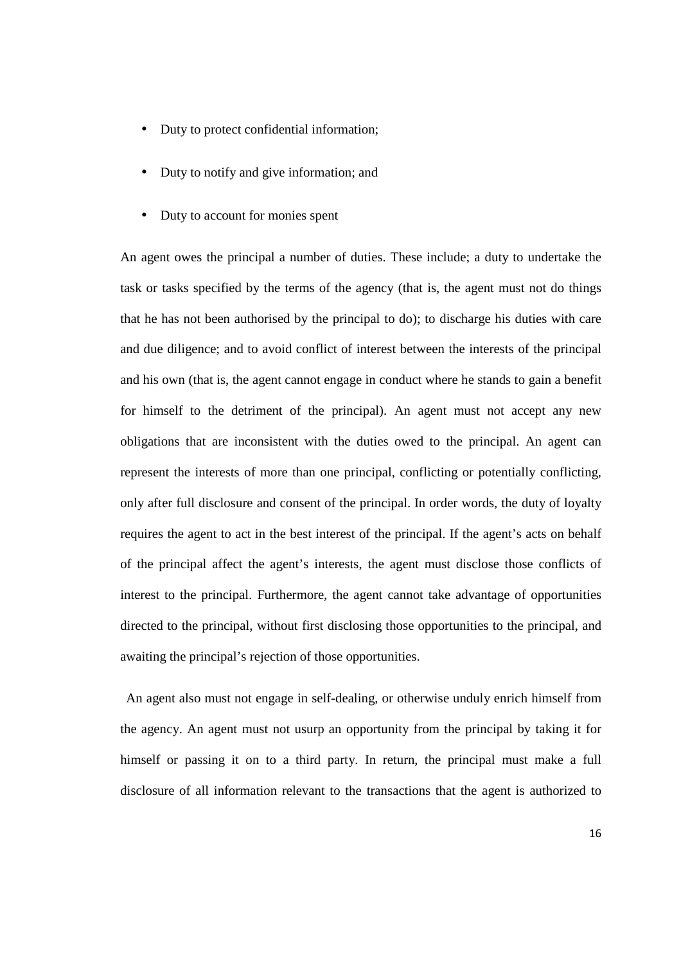- Duty to protect confidential information;
- Duty to notify and give information; and
- Duty to account for monies spent

An agent owes the principal a number of duties. These include; a duty to undertake the task or tasks specified by the terms of the agency (that is, the agent must not do things that he has not been authorised by the principal to do); to discharge his duties with care and due diligence; and to avoid conflict of interest between the interests of the principal and his own (that is, the agent cannot engage in conduct where he stands to gain a benefit for himself to the detriment of the principal). An agent must not accept any new obligations that are inconsistent with the duties owed to the principal. An agent can represent the interests of more than one principal, conflicting or potentially conflicting, only after full disclosure and consent of the principal. In order words, the duty of loyalty requires the agent to act in the best interest of the principal. If the agent's acts on behalf of the principal affect the agent's interests, the agent must disclose those conflicts of interest to the principal. Furthermore, the agent cannot take advantage of opportunities directed to the principal, without first disclosing those opportunities to the principal, and awaiting the principal's rejection of those opportunities.

 An agent also must not engage in self-dealing, or otherwise unduly enrich himself from the agency. An agent must not usurp an opportunity from the principal by taking it for himself or passing it on to a third party. In return, the principal must make a full disclosure of all information relevant to the transactions that the agent is authorized to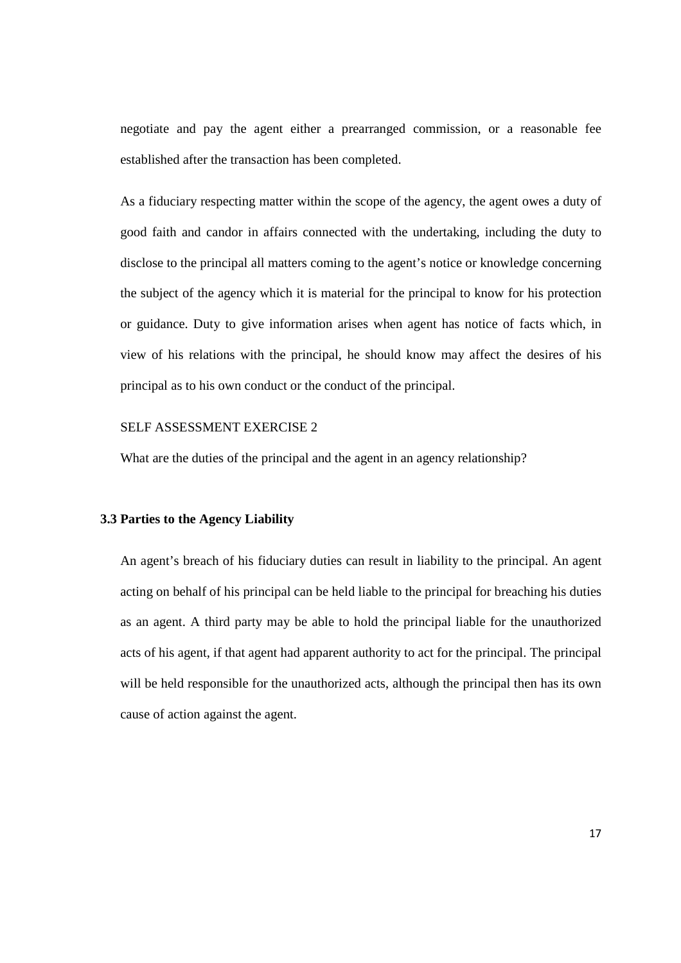negotiate and pay the agent either a prearranged commission, or a reasonable fee established after the transaction has been completed.

As a fiduciary respecting matter within the scope of the agency, the agent owes a duty of good faith and candor in affairs connected with the undertaking, including the duty to disclose to the principal all matters coming to the agent's notice or knowledge concerning the subject of the agency which it is material for the principal to know for his protection or guidance. Duty to give information arises when agent has notice of facts which, in view of his relations with the principal, he should know may affect the desires of his principal as to his own conduct or the conduct of the principal.

#### SELF ASSESSMENT EXERCISE 2

What are the duties of the principal and the agent in an agency relationship?

#### **3.3 Parties to the Agency Liability**

An agent's breach of his fiduciary duties can result in liability to the principal. An agent acting on behalf of his principal can be held liable to the principal for breaching his duties as an agent. A third party may be able to hold the principal liable for the unauthorized acts of his agent, if that agent had apparent authority to act for the principal. The principal will be held responsible for the unauthorized acts, although the principal then has its own cause of action against the agent.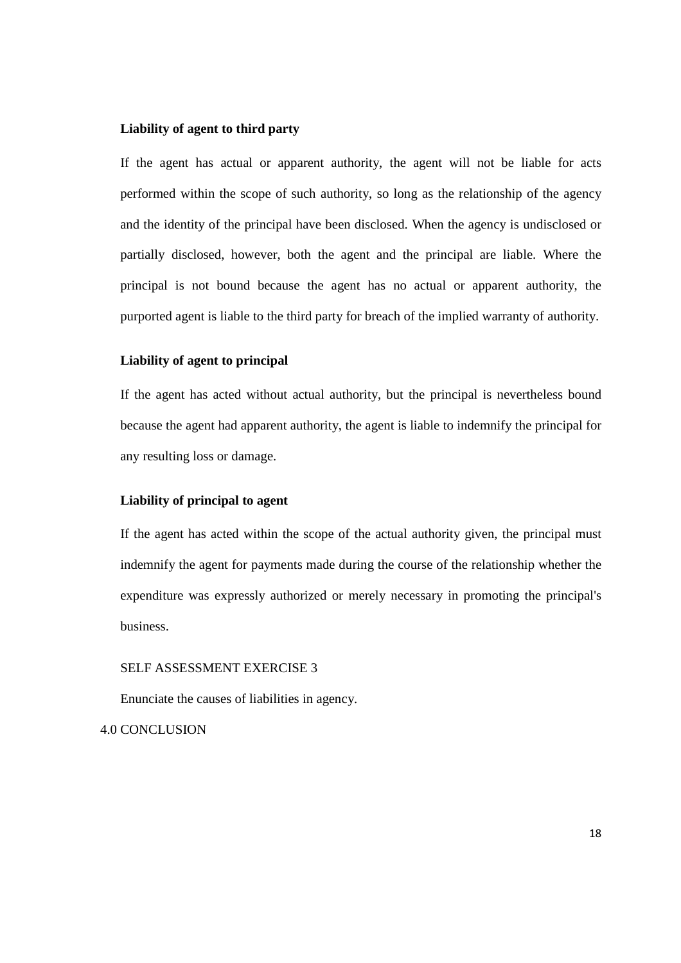## **Liability of agent to third party**

If the agent has actual or apparent authority, the agent will not be liable for acts performed within the scope of such authority, so long as the relationship of the agency and the identity of the principal have been disclosed. When the agency is undisclosed or partially disclosed, however, both the agent and the principal are liable. Where the principal is not bound because the agent has no actual or apparent authority, the purported agent is liable to the third party for breach of the implied warranty of authority.

## **Liability of agent to principal**

If the agent has acted without actual authority, but the principal is nevertheless bound because the agent had apparent authority, the agent is liable to indemnify the principal for any resulting loss or damage.

#### **Liability of principal to agent**

If the agent has acted within the scope of the actual authority given, the principal must indemnify the agent for payments made during the course of the relationship whether the expenditure was expressly authorized or merely necessary in promoting the principal's business.

#### SELF ASSESSMENT EXERCISE 3

Enunciate the causes of liabilities in agency.

4.0 CONCLUSION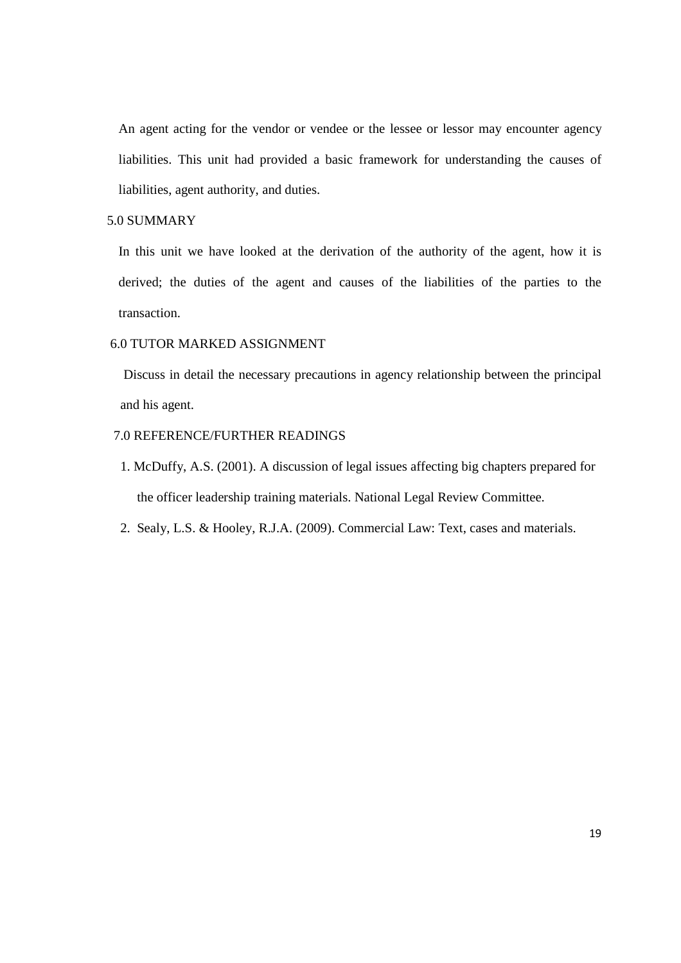An agent acting for the vendor or vendee or the lessee or lessor may encounter agency liabilities. This unit had provided a basic framework for understanding the causes of liabilities, agent authority, and duties.

# 5.0 SUMMARY

In this unit we have looked at the derivation of the authority of the agent, how it is derived; the duties of the agent and causes of the liabilities of the parties to the transaction.

## 6.0 TUTOR MARKED ASSIGNMENT

 Discuss in detail the necessary precautions in agency relationship between the principal and his agent.

## 7.0 REFERENCE/FURTHER READINGS

- 1. McDuffy, A.S. (2001). A discussion of legal issues affecting big chapters prepared for the officer leadership training materials. National Legal Review Committee.
- 2. Sealy, L.S. & Hooley, R.J.A. (2009). Commercial Law: Text, cases and materials.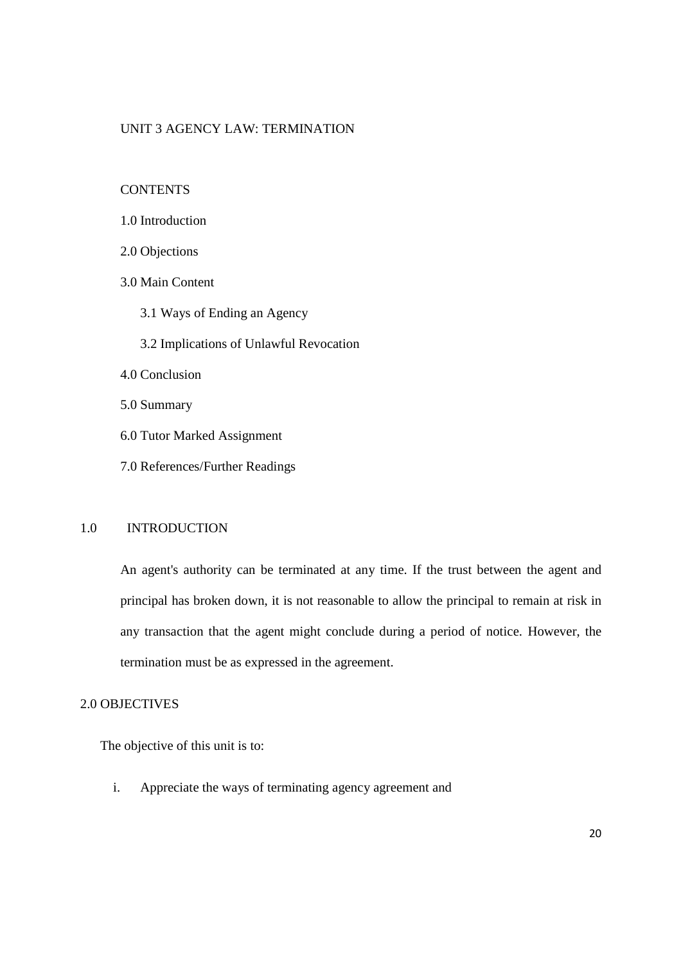## UNIT 3 AGENCY LAW: TERMINATION

**CONTENTS** 

- 2.0 Objections
- 3.0 Main Content
	- 3.1 Ways of Ending an Agency
	- 3.2 Implications of Unlawful Revocation
- 4.0 Conclusion
- 5.0 Summary
- 6.0 Tutor Marked Assignment
- 7.0 References/Further Readings

## 1.0 INTRODUCTION

An agent's authority can be terminated at any time. If the trust between the agent and principal has broken down, it is not reasonable to allow the principal to remain at risk in any transaction that the agent might conclude during a period of notice. However, the termination must be as expressed in the agreement.

## 2.0 OBJECTIVES

The objective of this unit is to:

i. Appreciate the ways of terminating agency agreement and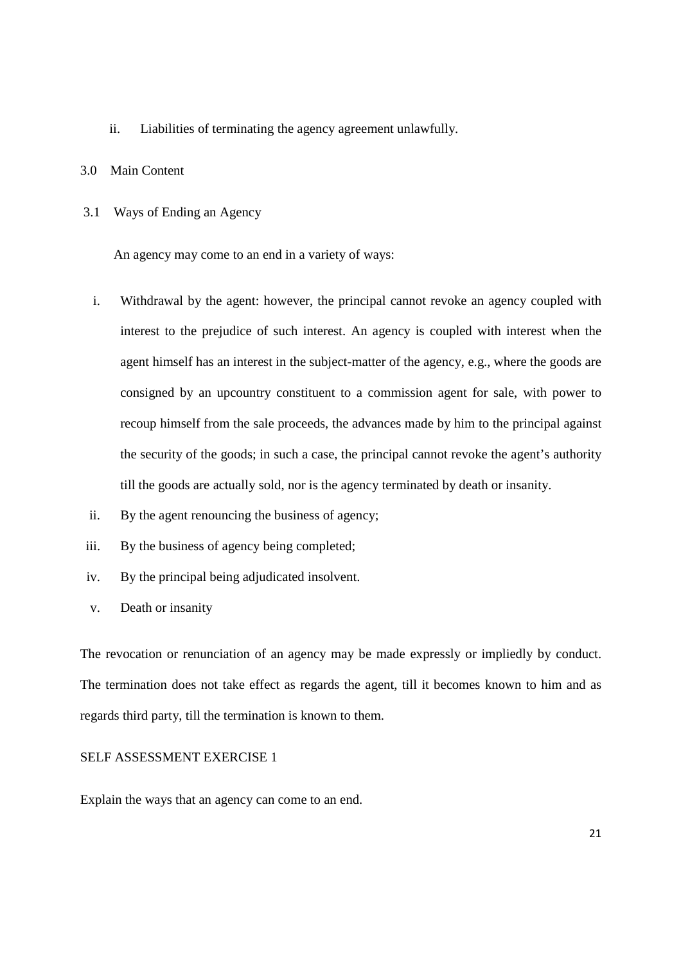- ii. Liabilities of terminating the agency agreement unlawfully.
- 3.0 Main Content
- 3.1 Ways of Ending an Agency

An agency may come to an end in a variety of ways:

- i. Withdrawal by the agent: however, the principal cannot revoke an agency coupled with interest to the prejudice of such interest. An agency is coupled with interest when the agent himself has an interest in the subject-matter of the agency, e.g., where the goods are consigned by an upcountry constituent to a commission agent for sale, with power to recoup himself from the sale proceeds, the advances made by him to the principal against the security of the goods; in such a case, the principal cannot revoke the agent's authority till the goods are actually sold, nor is the agency terminated by death or insanity.
- ii. By the agent renouncing the business of agency;
- iii. By the business of agency being completed;
- iv. By the principal being adjudicated insolvent.
- v. Death or insanity

The revocation or renunciation of an agency may be made expressly or impliedly by conduct. The termination does not take effect as regards the agent, till it becomes known to him and as regards third party, till the termination is known to them.

# SELF ASSESSMENT EXERCISE 1

Explain the ways that an agency can come to an end.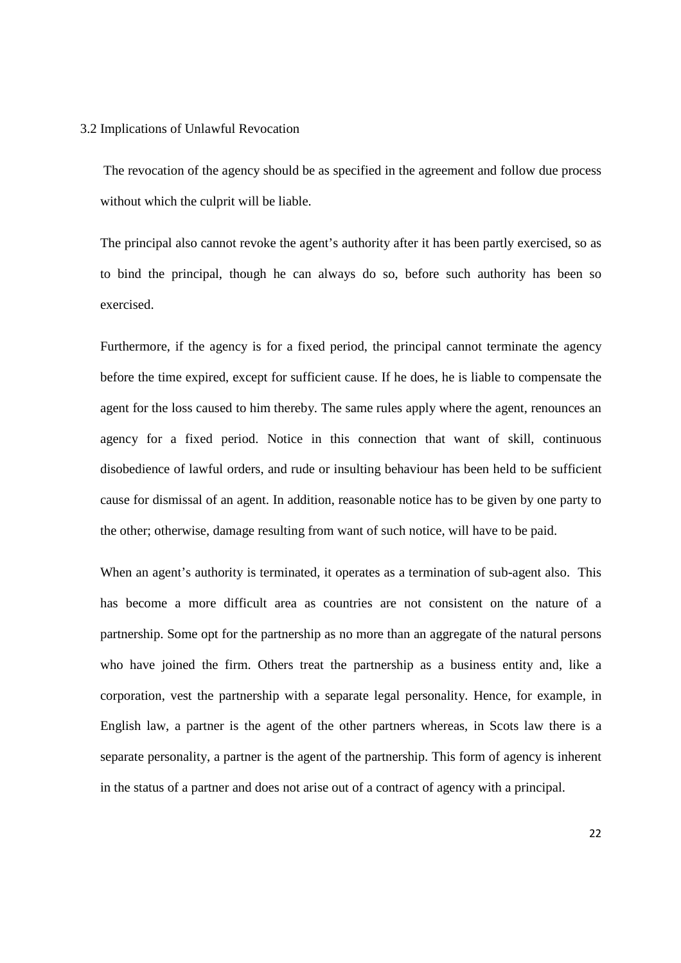#### 3.2 Implications of Unlawful Revocation

 The revocation of the agency should be as specified in the agreement and follow due process without which the culprit will be liable.

The principal also cannot revoke the agent's authority after it has been partly exercised, so as to bind the principal, though he can always do so, before such authority has been so exercised.

Furthermore, if the agency is for a fixed period, the principal cannot terminate the agency before the time expired, except for sufficient cause. If he does, he is liable to compensate the agent for the loss caused to him thereby. The same rules apply where the agent, renounces an agency for a fixed period. Notice in this connection that want of skill, continuous disobedience of lawful orders, and rude or insulting behaviour has been held to be sufficient cause for dismissal of an agent. In addition, reasonable notice has to be given by one party to the other; otherwise, damage resulting from want of such notice, will have to be paid.

When an agent's authority is terminated, it operates as a termination of sub-agent also. This has become a more difficult area as countries are not consistent on the nature of a partnership. Some opt for the partnership as no more than an aggregate of the natural persons who have joined the firm. Others treat the partnership as a business entity and, like a corporation, vest the partnership with a separate legal personality. Hence, for example, in English law, a partner is the agent of the other partners whereas, in Scots law there is a separate personality, a partner is the agent of the partnership. This form of agency is inherent in the status of a partner and does not arise out of a contract of agency with a principal.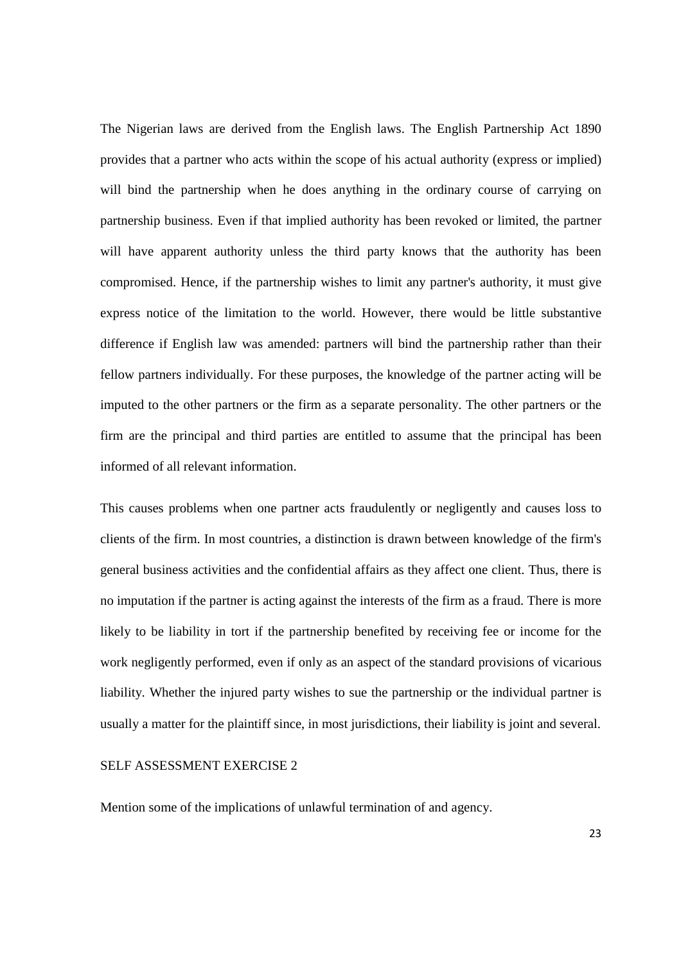The Nigerian laws are derived from the English laws. The English Partnership Act 1890 provides that a partner who acts within the scope of his actual authority (express or implied) will bind the partnership when he does anything in the ordinary course of carrying on partnership business. Even if that implied authority has been revoked or limited, the partner will have apparent authority unless the third party knows that the authority has been compromised. Hence, if the partnership wishes to limit any partner's authority, it must give express notice of the limitation to the world. However, there would be little substantive difference if English law was amended: partners will bind the partnership rather than their fellow partners individually. For these purposes, the knowledge of the partner acting will be imputed to the other partners or the firm as a separate personality. The other partners or the firm are the principal and third parties are entitled to assume that the principal has been informed of all relevant information.

This causes problems when one partner acts fraudulently or negligently and causes loss to clients of the firm. In most countries, a distinction is drawn between knowledge of the firm's general business activities and the confidential affairs as they affect one client. Thus, there is no imputation if the partner is acting against the interests of the firm as a fraud. There is more likely to be liability in tort if the partnership benefited by receiving fee or income for the work negligently performed, even if only as an aspect of the standard provisions of vicarious liability. Whether the injured party wishes to sue the partnership or the individual partner is usually a matter for the plaintiff since, in most jurisdictions, their liability is joint and several.

#### SELF ASSESSMENT EXERCISE 2

Mention some of the implications of unlawful termination of and agency.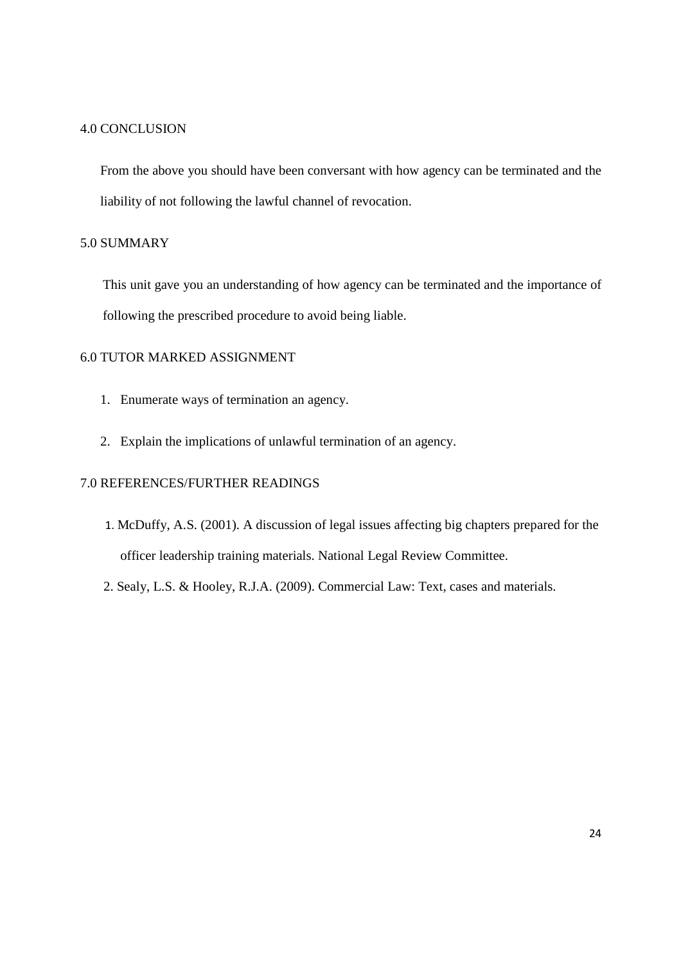#### 4.0 CONCLUSION

From the above you should have been conversant with how agency can be terminated and the liability of not following the lawful channel of revocation.

# 5.0 SUMMARY

This unit gave you an understanding of how agency can be terminated and the importance of following the prescribed procedure to avoid being liable.

# 6.0 TUTOR MARKED ASSIGNMENT

- 1. Enumerate ways of termination an agency.
- 2. Explain the implications of unlawful termination of an agency.

# 7.0 REFERENCES/FURTHER READINGS

- 1. McDuffy, A.S. (2001). A discussion of legal issues affecting big chapters prepared for the officer leadership training materials. National Legal Review Committee.
- 2. Sealy, L.S. & Hooley, R.J.A. (2009). Commercial Law: Text, cases and materials.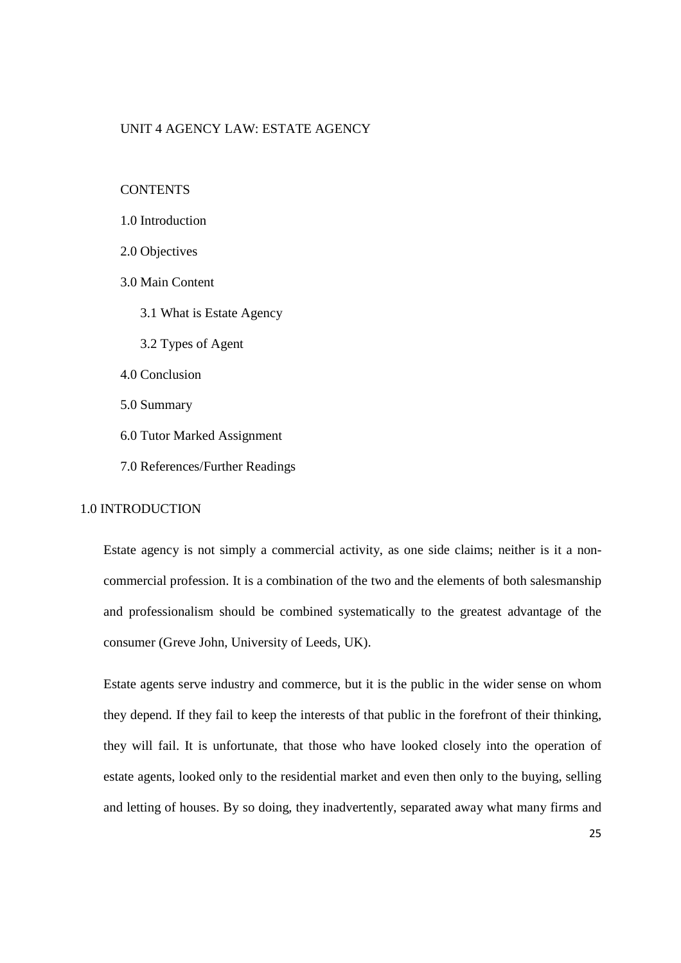#### UNIT 4 AGENCY LAW: ESTATE AGENCY

#### **CONTENTS**

- 2.0 Objectives
- 3.0 Main Content
	- 3.1 What is Estate Agency
	- 3.2 Types of Agent
- 4.0 Conclusion
- 5.0 Summary
- 6.0 Tutor Marked Assignment
- 7.0 References/Further Readings

# 1.0 INTRODUCTION

Estate agency is not simply a commercial activity, as one side claims; neither is it a noncommercial profession. It is a combination of the two and the elements of both salesmanship and professionalism should be combined systematically to the greatest advantage of the consumer (Greve John, University of Leeds, UK).

Estate agents serve industry and commerce, but it is the public in the wider sense on whom they depend. If they fail to keep the interests of that public in the forefront of their thinking, they will fail. It is unfortunate, that those who have looked closely into the operation of estate agents, looked only to the residential market and even then only to the buying, selling and letting of houses. By so doing, they inadvertently, separated away what many firms and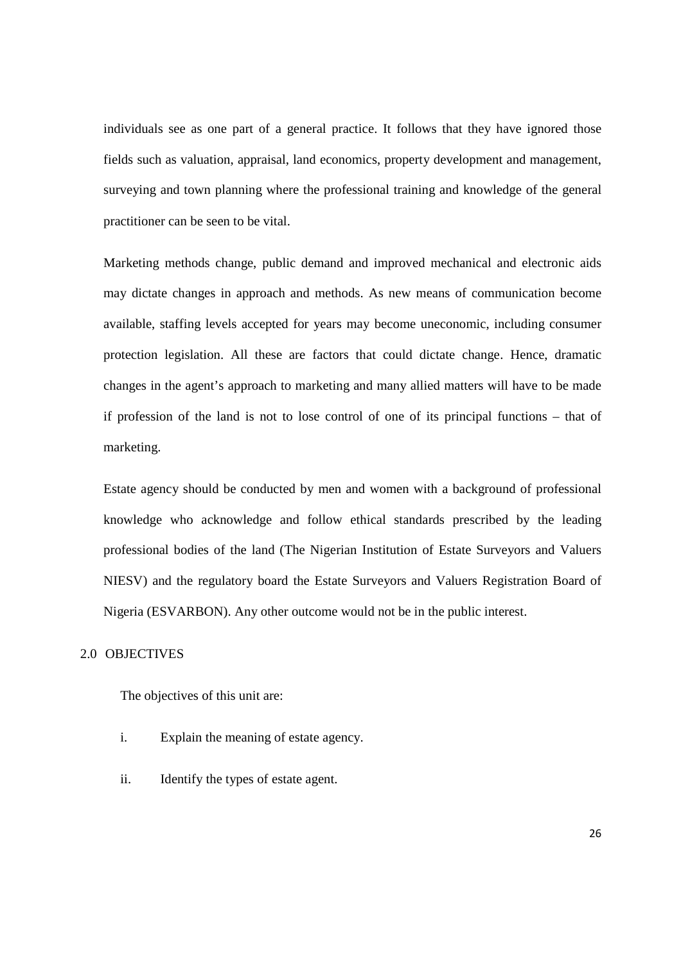individuals see as one part of a general practice. It follows that they have ignored those fields such as valuation, appraisal, land economics, property development and management, surveying and town planning where the professional training and knowledge of the general practitioner can be seen to be vital.

Marketing methods change, public demand and improved mechanical and electronic aids may dictate changes in approach and methods. As new means of communication become available, staffing levels accepted for years may become uneconomic, including consumer protection legislation. All these are factors that could dictate change. Hence, dramatic changes in the agent's approach to marketing and many allied matters will have to be made if profession of the land is not to lose control of one of its principal functions – that of marketing.

Estate agency should be conducted by men and women with a background of professional knowledge who acknowledge and follow ethical standards prescribed by the leading professional bodies of the land (The Nigerian Institution of Estate Surveyors and Valuers NIESV) and the regulatory board the Estate Surveyors and Valuers Registration Board of Nigeria (ESVARBON). Any other outcome would not be in the public interest.

#### 2.0 OBJECTIVES

The objectives of this unit are:

- i. Explain the meaning of estate agency.
- ii. Identify the types of estate agent.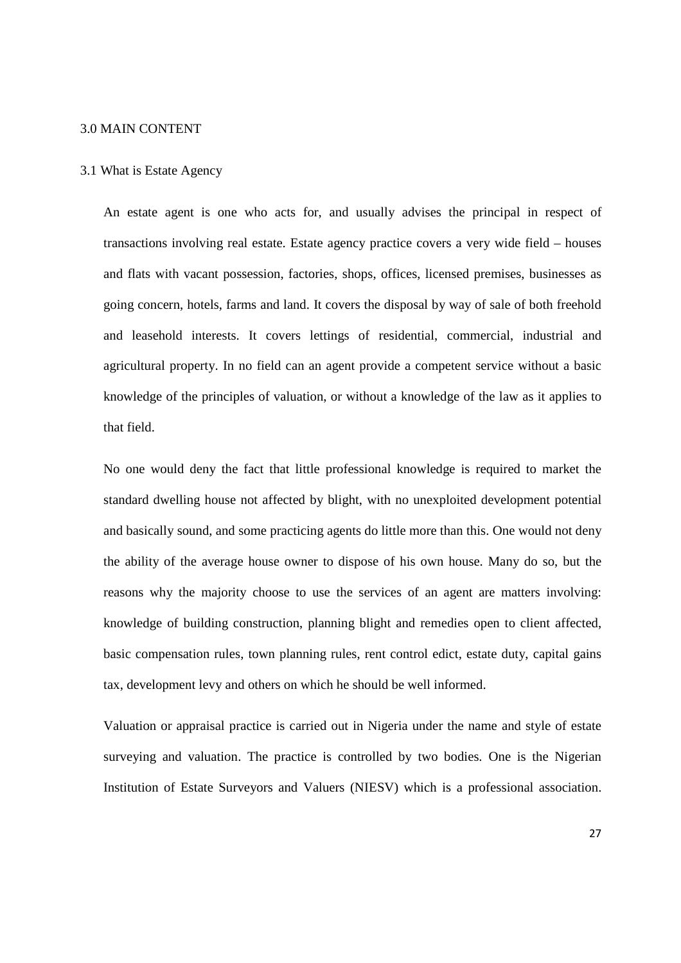#### 3.0 MAIN CONTENT

#### 3.1 What is Estate Agency

An estate agent is one who acts for, and usually advises the principal in respect of transactions involving real estate. Estate agency practice covers a very wide field – houses and flats with vacant possession, factories, shops, offices, licensed premises, businesses as going concern, hotels, farms and land. It covers the disposal by way of sale of both freehold and leasehold interests. It covers lettings of residential, commercial, industrial and agricultural property. In no field can an agent provide a competent service without a basic knowledge of the principles of valuation, or without a knowledge of the law as it applies to that field.

No one would deny the fact that little professional knowledge is required to market the standard dwelling house not affected by blight, with no unexploited development potential and basically sound, and some practicing agents do little more than this. One would not deny the ability of the average house owner to dispose of his own house. Many do so, but the reasons why the majority choose to use the services of an agent are matters involving: knowledge of building construction, planning blight and remedies open to client affected, basic compensation rules, town planning rules, rent control edict, estate duty, capital gains tax, development levy and others on which he should be well informed.

Valuation or appraisal practice is carried out in Nigeria under the name and style of estate surveying and valuation. The practice is controlled by two bodies. One is the Nigerian Institution of Estate Surveyors and Valuers (NIESV) which is a professional association.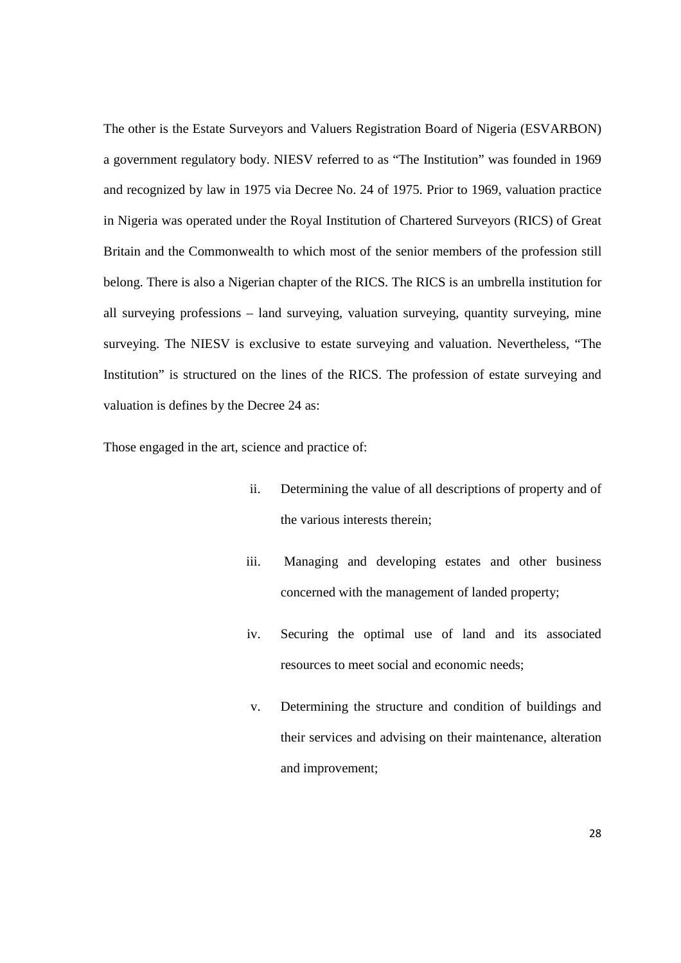The other is the Estate Surveyors and Valuers Registration Board of Nigeria (ESVARBON) a government regulatory body. NIESV referred to as "The Institution" was founded in 1969 and recognized by law in 1975 via Decree No. 24 of 1975. Prior to 1969, valuation practice in Nigeria was operated under the Royal Institution of Chartered Surveyors (RICS) of Great Britain and the Commonwealth to which most of the senior members of the profession still belong. There is also a Nigerian chapter of the RICS. The RICS is an umbrella institution for all surveying professions – land surveying, valuation surveying, quantity surveying, mine surveying. The NIESV is exclusive to estate surveying and valuation. Nevertheless, "The Institution" is structured on the lines of the RICS. The profession of estate surveying and valuation is defines by the Decree 24 as:

Those engaged in the art, science and practice of:

- ii. Determining the value of all descriptions of property and of the various interests therein;
- iii. Managing and developing estates and other business concerned with the management of landed property;
- iv. Securing the optimal use of land and its associated resources to meet social and economic needs;
- v. Determining the structure and condition of buildings and their services and advising on their maintenance, alteration and improvement;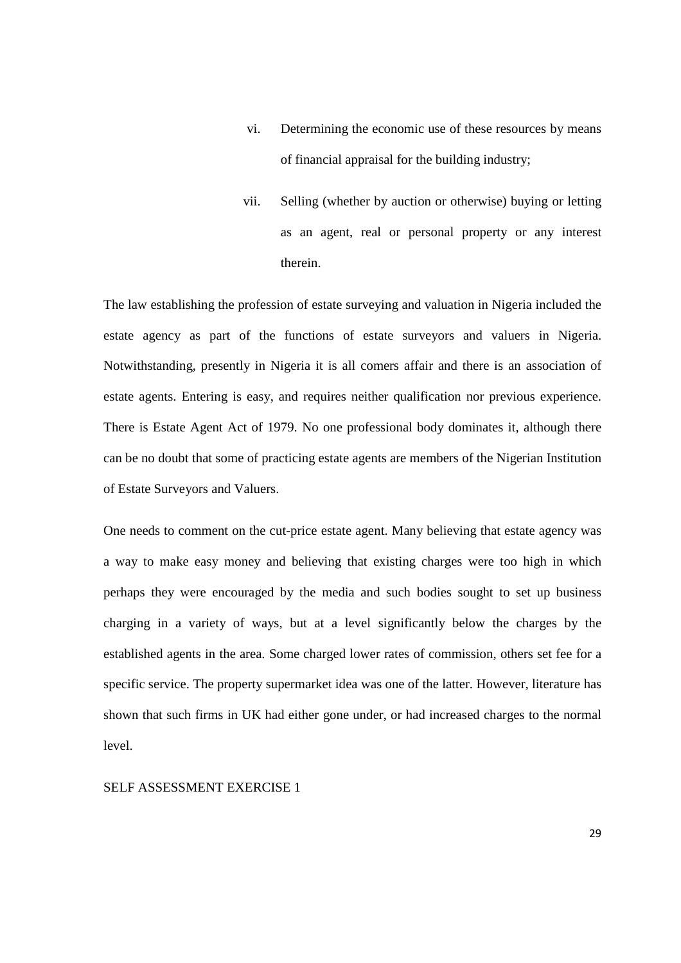- vi. Determining the economic use of these resources by means of financial appraisal for the building industry;
- vii. Selling (whether by auction or otherwise) buying or letting as an agent, real or personal property or any interest therein.

The law establishing the profession of estate surveying and valuation in Nigeria included the estate agency as part of the functions of estate surveyors and valuers in Nigeria. Notwithstanding, presently in Nigeria it is all comers affair and there is an association of estate agents. Entering is easy, and requires neither qualification nor previous experience. There is Estate Agent Act of 1979. No one professional body dominates it, although there can be no doubt that some of practicing estate agents are members of the Nigerian Institution of Estate Surveyors and Valuers.

One needs to comment on the cut-price estate agent. Many believing that estate agency was a way to make easy money and believing that existing charges were too high in which perhaps they were encouraged by the media and such bodies sought to set up business charging in a variety of ways, but at a level significantly below the charges by the established agents in the area. Some charged lower rates of commission, others set fee for a specific service. The property supermarket idea was one of the latter. However, literature has shown that such firms in UK had either gone under, or had increased charges to the normal level.

SELF ASSESSMENT EXERCISE 1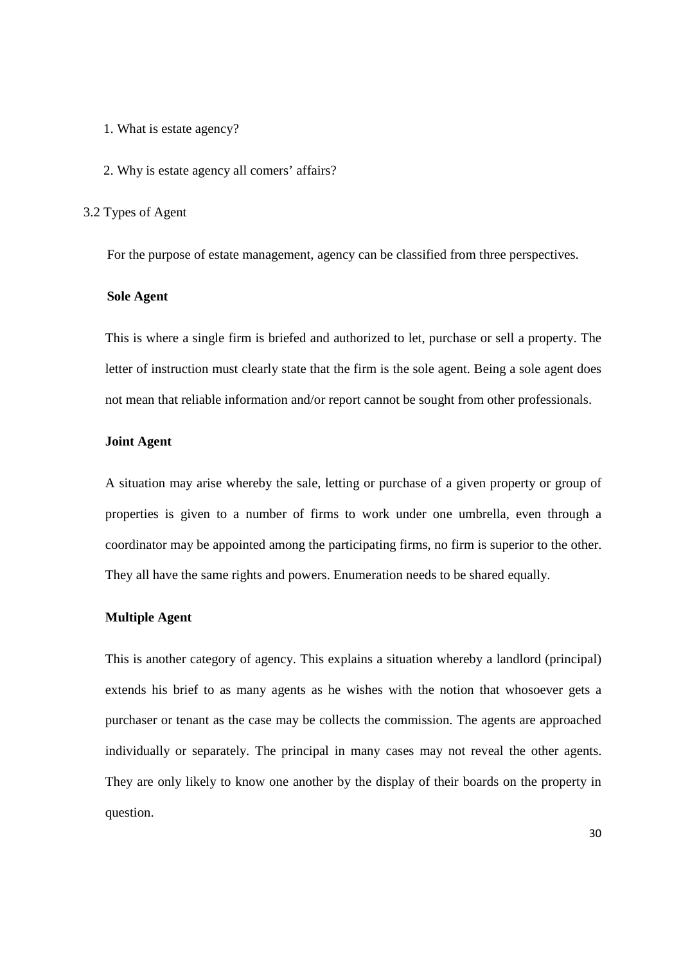- 1. What is estate agency?
- 2. Why is estate agency all comers' affairs?

#### 3.2 Types of Agent

For the purpose of estate management, agency can be classified from three perspectives.

#### **Sole Agent**

This is where a single firm is briefed and authorized to let, purchase or sell a property. The letter of instruction must clearly state that the firm is the sole agent. Being a sole agent does not mean that reliable information and/or report cannot be sought from other professionals.

## **Joint Agent**

A situation may arise whereby the sale, letting or purchase of a given property or group of properties is given to a number of firms to work under one umbrella, even through a coordinator may be appointed among the participating firms, no firm is superior to the other. They all have the same rights and powers. Enumeration needs to be shared equally.

## **Multiple Agent**

This is another category of agency. This explains a situation whereby a landlord (principal) extends his brief to as many agents as he wishes with the notion that whosoever gets a purchaser or tenant as the case may be collects the commission. The agents are approached individually or separately. The principal in many cases may not reveal the other agents. They are only likely to know one another by the display of their boards on the property in question.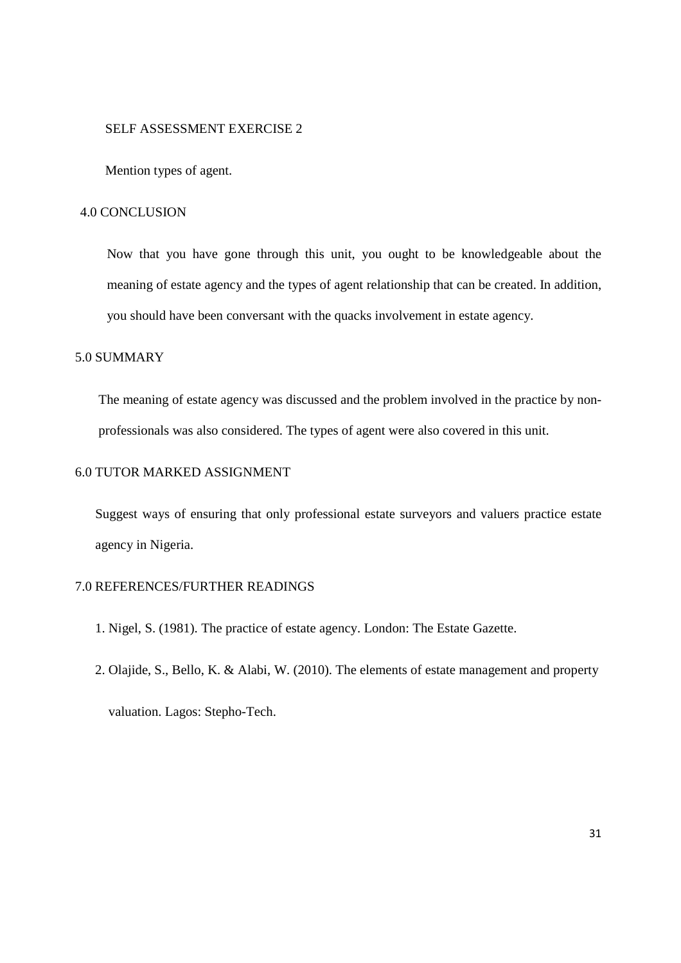#### SELF ASSESSMENT EXERCISE 2

Mention types of agent.

## 4.0 CONCLUSION

Now that you have gone through this unit, you ought to be knowledgeable about the meaning of estate agency and the types of agent relationship that can be created. In addition, you should have been conversant with the quacks involvement in estate agency.

# 5.0 SUMMARY

The meaning of estate agency was discussed and the problem involved in the practice by nonprofessionals was also considered. The types of agent were also covered in this unit.

## 6.0 TUTOR MARKED ASSIGNMENT

Suggest ways of ensuring that only professional estate surveyors and valuers practice estate agency in Nigeria.

## 7.0 REFERENCES/FURTHER READINGS

- 1. Nigel, S. (1981). The practice of estate agency. London: The Estate Gazette.
- 2. Olajide, S., Bello, K. & Alabi, W. (2010). The elements of estate management and property valuation. Lagos: Stepho-Tech.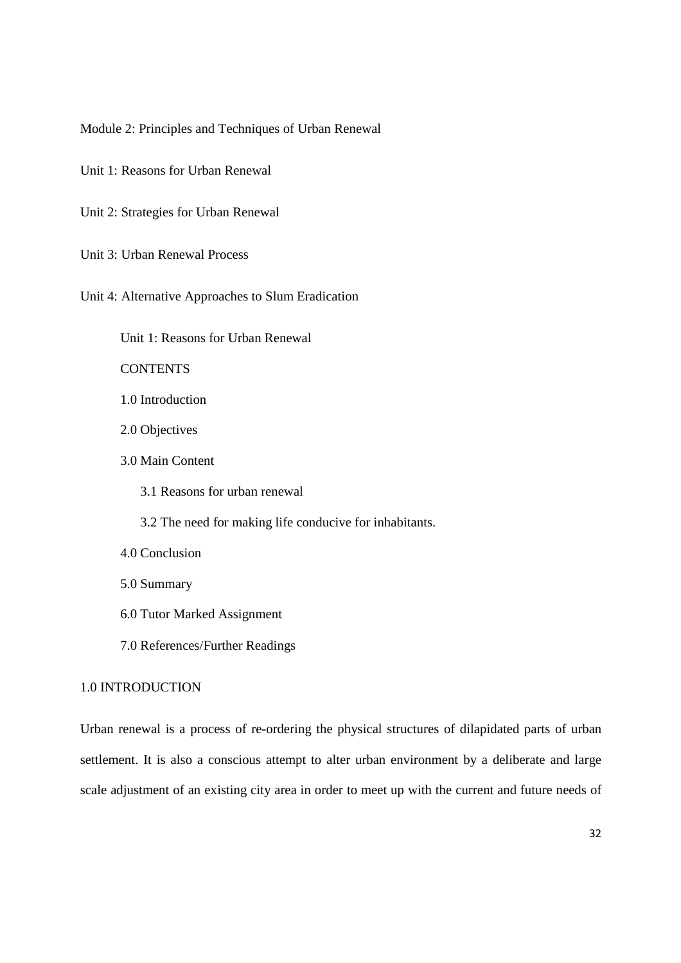Module 2: Principles and Techniques of Urban Renewal

Unit 1: Reasons for Urban Renewal

Unit 2: Strategies for Urban Renewal

Unit 3: Urban Renewal Process

Unit 4: Alternative Approaches to Slum Eradication

Unit 1: Reasons for Urban Renewal

**CONTENTS** 

1.0 Introduction

2.0 Objectives

3.0 Main Content

3.1 Reasons for urban renewal

3.2 The need for making life conducive for inhabitants.

4.0 Conclusion

5.0 Summary

6.0 Tutor Marked Assignment

7.0 References/Further Readings

## 1.0 INTRODUCTION

Urban renewal is a process of re-ordering the physical structures of dilapidated parts of urban settlement. It is also a conscious attempt to alter urban environment by a deliberate and large scale adjustment of an existing city area in order to meet up with the current and future needs of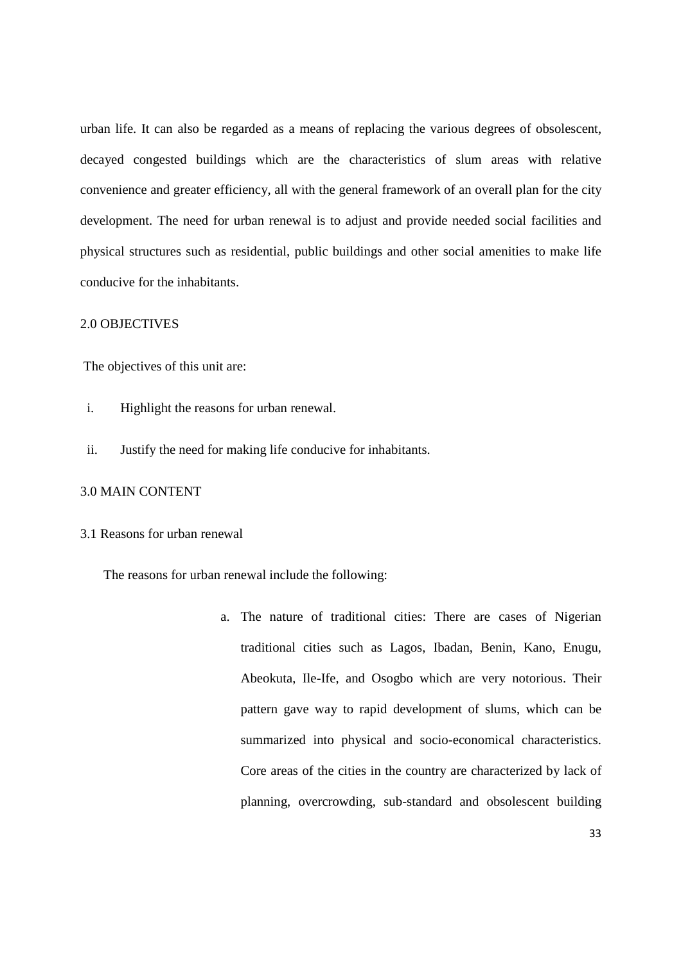urban life. It can also be regarded as a means of replacing the various degrees of obsolescent, decayed congested buildings which are the characteristics of slum areas with relative convenience and greater efficiency, all with the general framework of an overall plan for the city development. The need for urban renewal is to adjust and provide needed social facilities and physical structures such as residential, public buildings and other social amenities to make life conducive for the inhabitants.

#### 2.0 OBJECTIVES

The objectives of this unit are:

- i. Highlight the reasons for urban renewal.
- ii. Justify the need for making life conducive for inhabitants.

#### 3.0 MAIN CONTENT

## 3.1 Reasons for urban renewal

The reasons for urban renewal include the following:

a. The nature of traditional cities: There are cases of Nigerian traditional cities such as Lagos, Ibadan, Benin, Kano, Enugu, Abeokuta, Ile-Ife, and Osogbo which are very notorious. Their pattern gave way to rapid development of slums, which can be summarized into physical and socio-economical characteristics. Core areas of the cities in the country are characterized by lack of planning, overcrowding, sub-standard and obsolescent building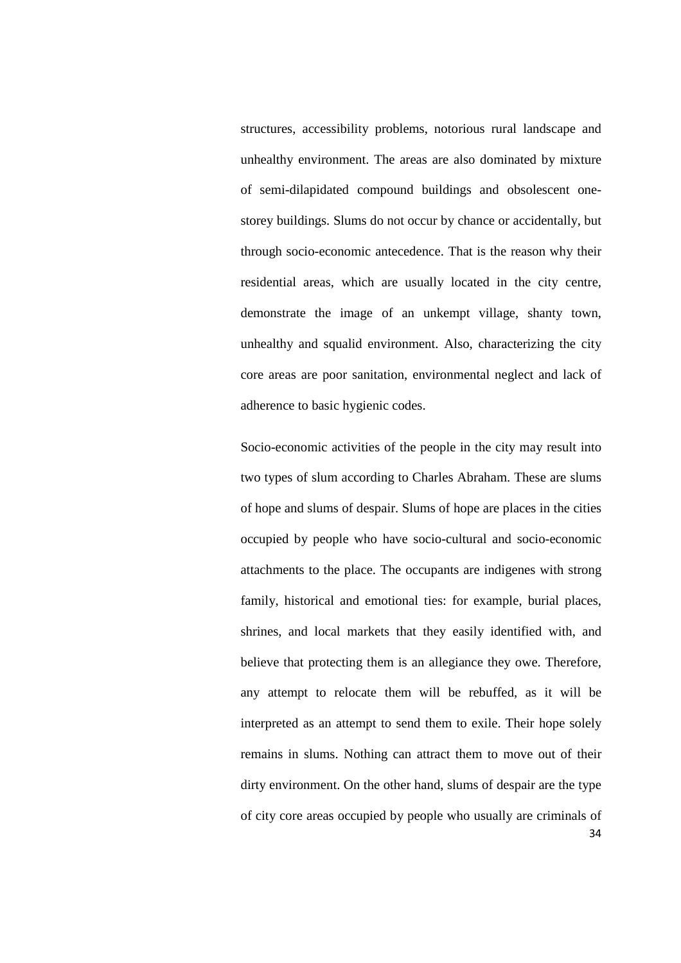structures, accessibility problems, notorious rural landscape and unhealthy environment. The areas are also dominated by mixture of semi-dilapidated compound buildings and obsolescent onestorey buildings. Slums do not occur by chance or accidentally, but through socio-economic antecedence. That is the reason why their residential areas, which are usually located in the city centre, demonstrate the image of an unkempt village, shanty town, unhealthy and squalid environment. Also, characterizing the city core areas are poor sanitation, environmental neglect and lack of adherence to basic hygienic codes.

34 Socio-economic activities of the people in the city may result into two types of slum according to Charles Abraham. These are slums of hope and slums of despair. Slums of hope are places in the cities occupied by people who have socio-cultural and socio-economic attachments to the place. The occupants are indigenes with strong family, historical and emotional ties: for example, burial places, shrines, and local markets that they easily identified with, and believe that protecting them is an allegiance they owe. Therefore, any attempt to relocate them will be rebuffed, as it will be interpreted as an attempt to send them to exile. Their hope solely remains in slums. Nothing can attract them to move out of their dirty environment. On the other hand, slums of despair are the type of city core areas occupied by people who usually are criminals of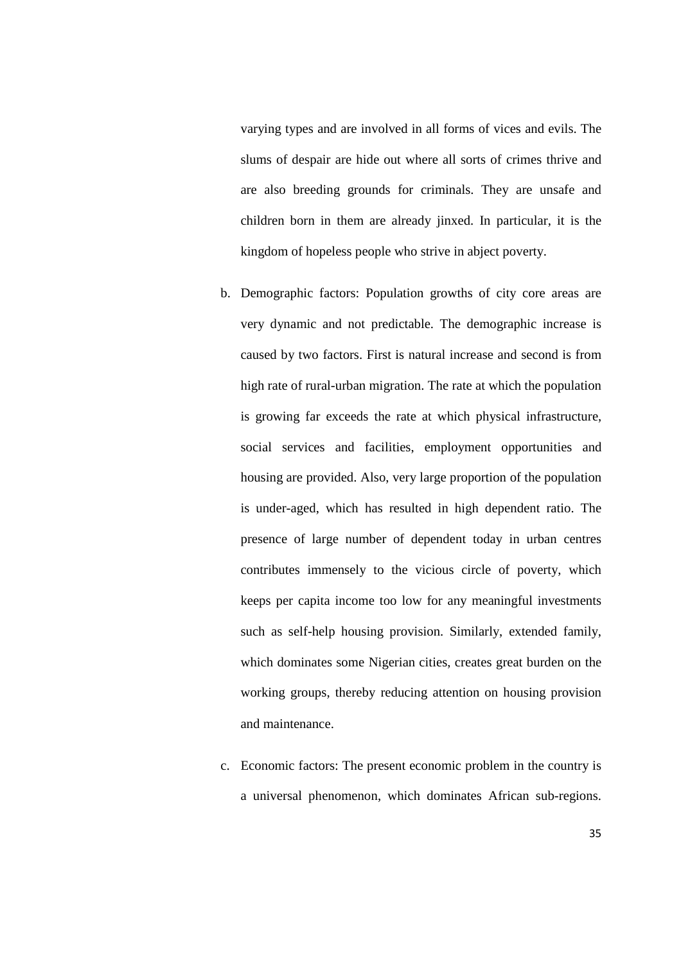varying types and are involved in all forms of vices and evils. The slums of despair are hide out where all sorts of crimes thrive and are also breeding grounds for criminals. They are unsafe and children born in them are already jinxed. In particular, it is the kingdom of hopeless people who strive in abject poverty.

- b. Demographic factors: Population growths of city core areas are very dynamic and not predictable. The demographic increase is caused by two factors. First is natural increase and second is from high rate of rural-urban migration. The rate at which the population is growing far exceeds the rate at which physical infrastructure, social services and facilities, employment opportunities and housing are provided. Also, very large proportion of the population is under-aged, which has resulted in high dependent ratio. The presence of large number of dependent today in urban centres contributes immensely to the vicious circle of poverty, which keeps per capita income too low for any meaningful investments such as self-help housing provision. Similarly, extended family, which dominates some Nigerian cities, creates great burden on the working groups, thereby reducing attention on housing provision and maintenance.
- c. Economic factors: The present economic problem in the country is a universal phenomenon, which dominates African sub-regions.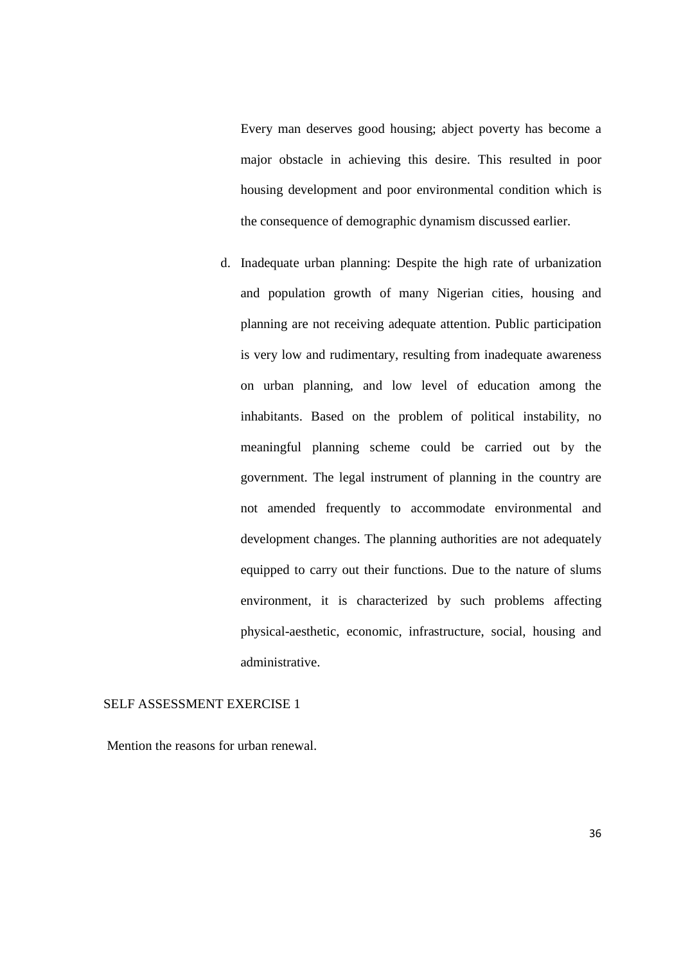Every man deserves good housing; abject poverty has become a major obstacle in achieving this desire. This resulted in poor housing development and poor environmental condition which is the consequence of demographic dynamism discussed earlier.

d. Inadequate urban planning: Despite the high rate of urbanization and population growth of many Nigerian cities, housing and planning are not receiving adequate attention. Public participation is very low and rudimentary, resulting from inadequate awareness on urban planning, and low level of education among the inhabitants. Based on the problem of political instability, no meaningful planning scheme could be carried out by the government. The legal instrument of planning in the country are not amended frequently to accommodate environmental and development changes. The planning authorities are not adequately equipped to carry out their functions. Due to the nature of slums environment, it is characterized by such problems affecting physical-aesthetic, economic, infrastructure, social, housing and administrative.

#### SELF ASSESSMENT EXERCISE 1

Mention the reasons for urban renewal.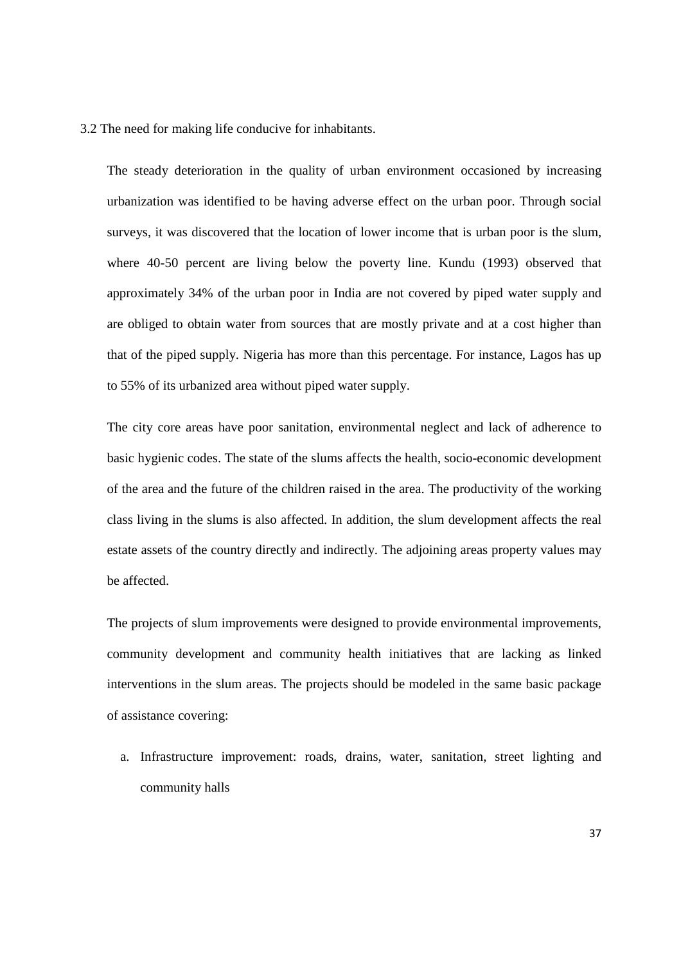3.2 The need for making life conducive for inhabitants.

The steady deterioration in the quality of urban environment occasioned by increasing urbanization was identified to be having adverse effect on the urban poor. Through social surveys, it was discovered that the location of lower income that is urban poor is the slum, where 40-50 percent are living below the poverty line. Kundu (1993) observed that approximately 34% of the urban poor in India are not covered by piped water supply and are obliged to obtain water from sources that are mostly private and at a cost higher than that of the piped supply. Nigeria has more than this percentage. For instance, Lagos has up to 55% of its urbanized area without piped water supply.

The city core areas have poor sanitation, environmental neglect and lack of adherence to basic hygienic codes. The state of the slums affects the health, socio-economic development of the area and the future of the children raised in the area. The productivity of the working class living in the slums is also affected. In addition, the slum development affects the real estate assets of the country directly and indirectly. The adjoining areas property values may be affected.

The projects of slum improvements were designed to provide environmental improvements, community development and community health initiatives that are lacking as linked interventions in the slum areas. The projects should be modeled in the same basic package of assistance covering:

a. Infrastructure improvement: roads, drains, water, sanitation, street lighting and community halls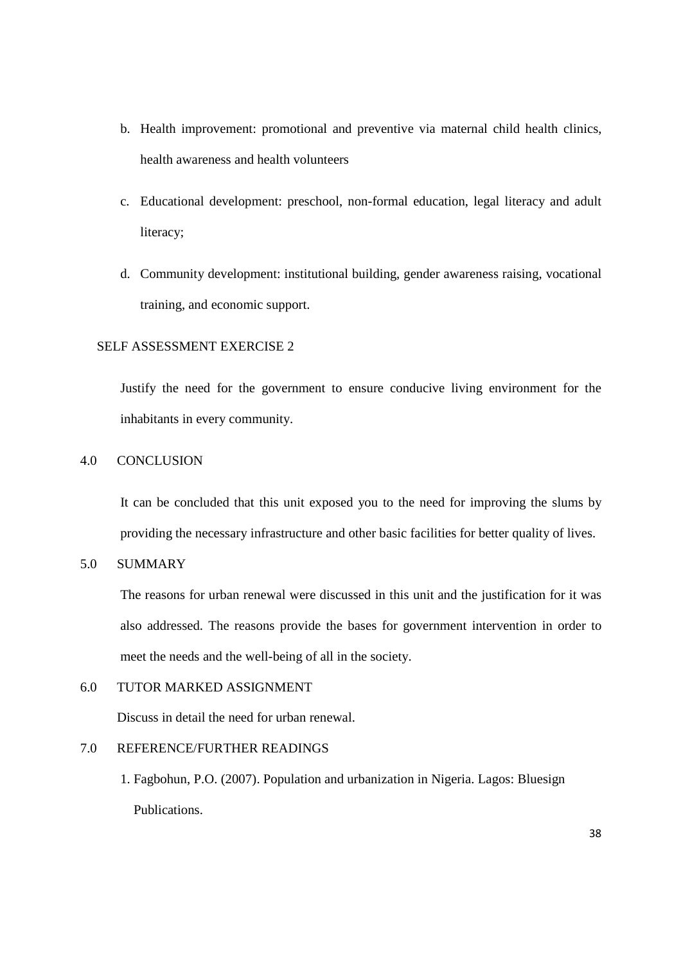- b. Health improvement: promotional and preventive via maternal child health clinics, health awareness and health volunteers
- c. Educational development: preschool, non-formal education, legal literacy and adult literacy;
- d. Community development: institutional building, gender awareness raising, vocational training, and economic support.

# SELF ASSESSMENT EXERCISE 2

Justify the need for the government to ensure conducive living environment for the inhabitants in every community.

### 4.0 CONCLUSION

It can be concluded that this unit exposed you to the need for improving the slums by providing the necessary infrastructure and other basic facilities for better quality of lives.

5.0 SUMMARY

The reasons for urban renewal were discussed in this unit and the justification for it was also addressed. The reasons provide the bases for government intervention in order to meet the needs and the well-being of all in the society.

# 6.0 TUTOR MARKED ASSIGNMENT

Discuss in detail the need for urban renewal.

# 7.0 REFERENCE/FURTHER READINGS

1. Fagbohun, P.O. (2007). Population and urbanization in Nigeria. Lagos: Bluesign Publications.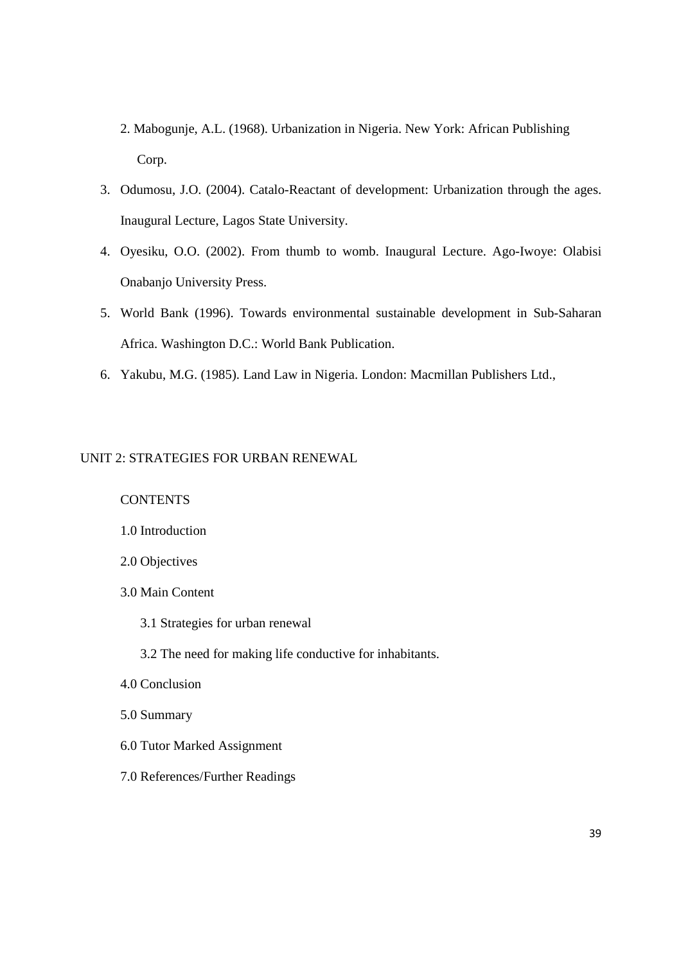- 2. Mabogunje, A.L. (1968). Urbanization in Nigeria. New York: African Publishing Corp.
- 3. Odumosu, J.O. (2004). Catalo-Reactant of development: Urbanization through the ages. Inaugural Lecture, Lagos State University.
- 4. Oyesiku, O.O. (2002). From thumb to womb. Inaugural Lecture. Ago-Iwoye: Olabisi Onabanjo University Press.
- 5. World Bank (1996). Towards environmental sustainable development in Sub-Saharan Africa. Washington D.C.: World Bank Publication.
- 6. Yakubu, M.G. (1985). Land Law in Nigeria. London: Macmillan Publishers Ltd.,

### UNIT 2: STRATEGIES FOR URBAN RENEWAL

### **CONTENTS**

### 1.0 Introduction

- 2.0 Objectives
- 3.0 Main Content
	- 3.1 Strategies for urban renewal
	- 3.2 The need for making life conductive for inhabitants.
- 4.0 Conclusion
- 5.0 Summary
- 6.0 Tutor Marked Assignment
- 7.0 References/Further Readings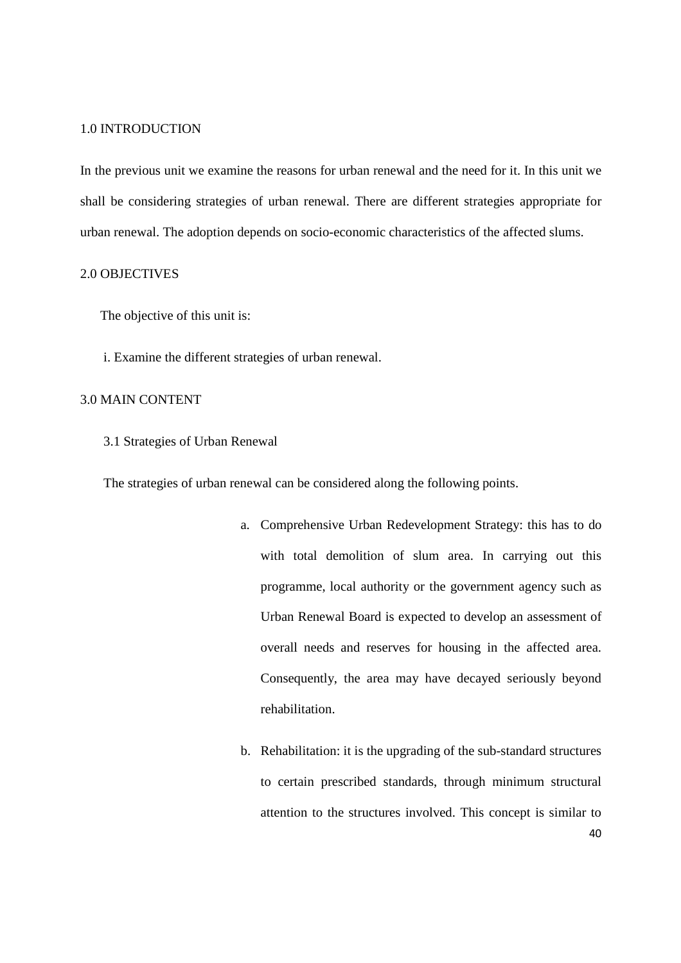#### 1.0 INTRODUCTION

In the previous unit we examine the reasons for urban renewal and the need for it. In this unit we shall be considering strategies of urban renewal. There are different strategies appropriate for urban renewal. The adoption depends on socio-economic characteristics of the affected slums.

### 2.0 OBJECTIVES

The objective of this unit is:

i. Examine the different strategies of urban renewal.

## 3.0 MAIN CONTENT

3.1 Strategies of Urban Renewal

The strategies of urban renewal can be considered along the following points.

- a. Comprehensive Urban Redevelopment Strategy: this has to do with total demolition of slum area. In carrying out this programme, local authority or the government agency such as Urban Renewal Board is expected to develop an assessment of overall needs and reserves for housing in the affected area. Consequently, the area may have decayed seriously beyond rehabilitation.
- 40 b. Rehabilitation: it is the upgrading of the sub-standard structures to certain prescribed standards, through minimum structural attention to the structures involved. This concept is similar to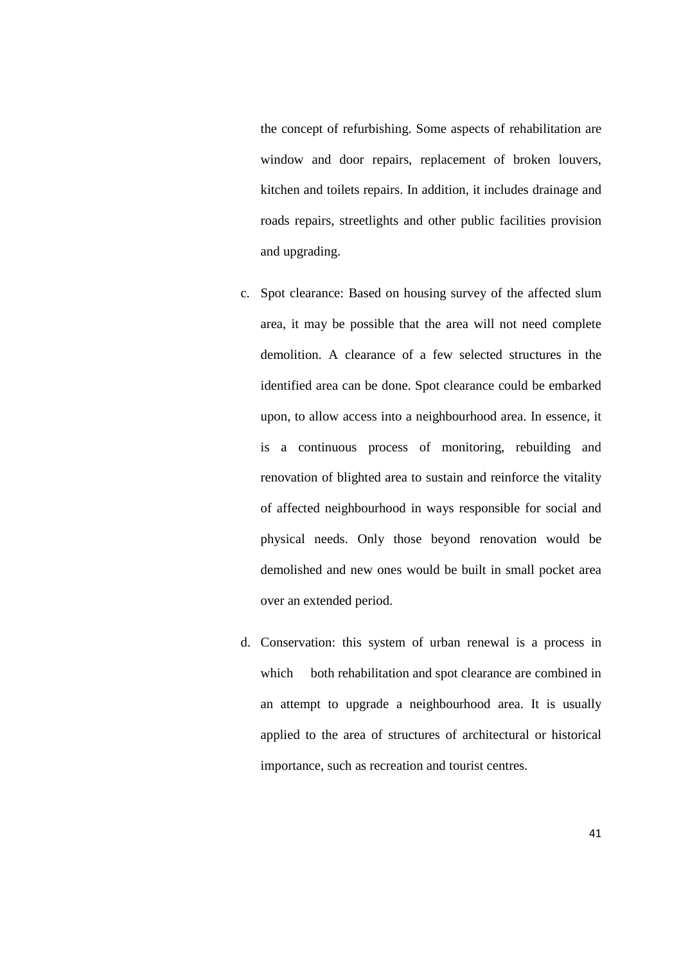the concept of refurbishing. Some aspects of rehabilitation are window and door repairs, replacement of broken louvers, kitchen and toilets repairs. In addition, it includes drainage and roads repairs, streetlights and other public facilities provision and upgrading.

- c. Spot clearance: Based on housing survey of the affected slum area, it may be possible that the area will not need complete demolition. A clearance of a few selected structures in the identified area can be done. Spot clearance could be embarked upon, to allow access into a neighbourhood area. In essence, it is a continuous process of monitoring, rebuilding and renovation of blighted area to sustain and reinforce the vitality of affected neighbourhood in ways responsible for social and physical needs. Only those beyond renovation would be demolished and new ones would be built in small pocket area over an extended period.
- d. Conservation: this system of urban renewal is a process in which both rehabilitation and spot clearance are combined in an attempt to upgrade a neighbourhood area. It is usually applied to the area of structures of architectural or historical importance, such as recreation and tourist centres.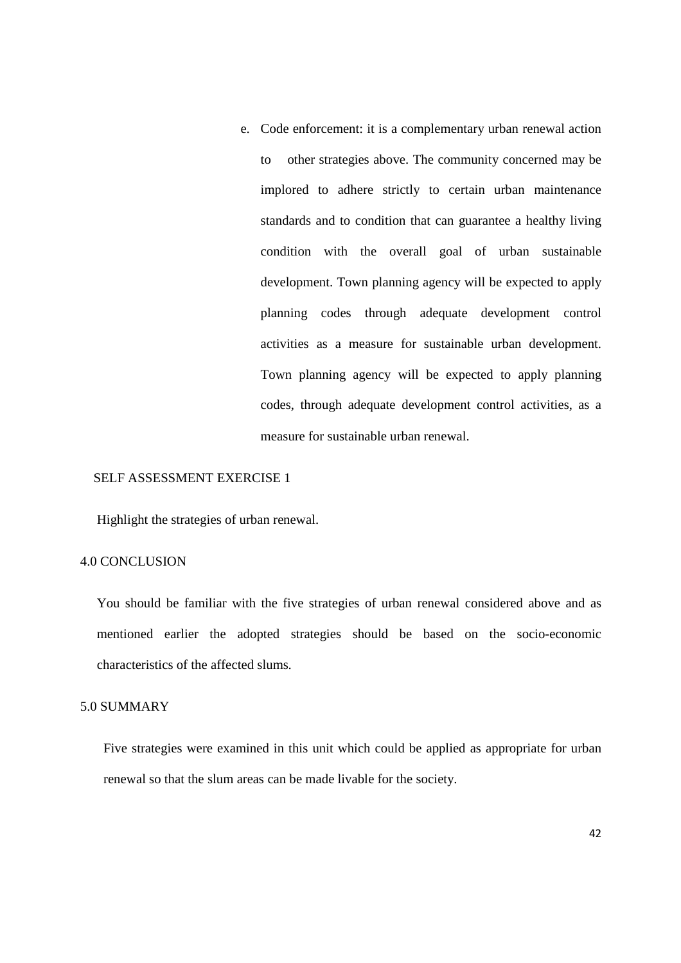e. Code enforcement: it is a complementary urban renewal action to other strategies above. The community concerned may be implored to adhere strictly to certain urban maintenance standards and to condition that can guarantee a healthy living condition with the overall goal of urban sustainable development. Town planning agency will be expected to apply planning codes through adequate development control activities as a measure for sustainable urban development. Town planning agency will be expected to apply planning codes, through adequate development control activities, as a measure for sustainable urban renewal.

### SELF ASSESSMENT EXERCISE 1

Highlight the strategies of urban renewal.

### 4.0 CONCLUSION

You should be familiar with the five strategies of urban renewal considered above and as mentioned earlier the adopted strategies should be based on the socio-economic characteristics of the affected slums.

## 5.0 SUMMARY

Five strategies were examined in this unit which could be applied as appropriate for urban renewal so that the slum areas can be made livable for the society.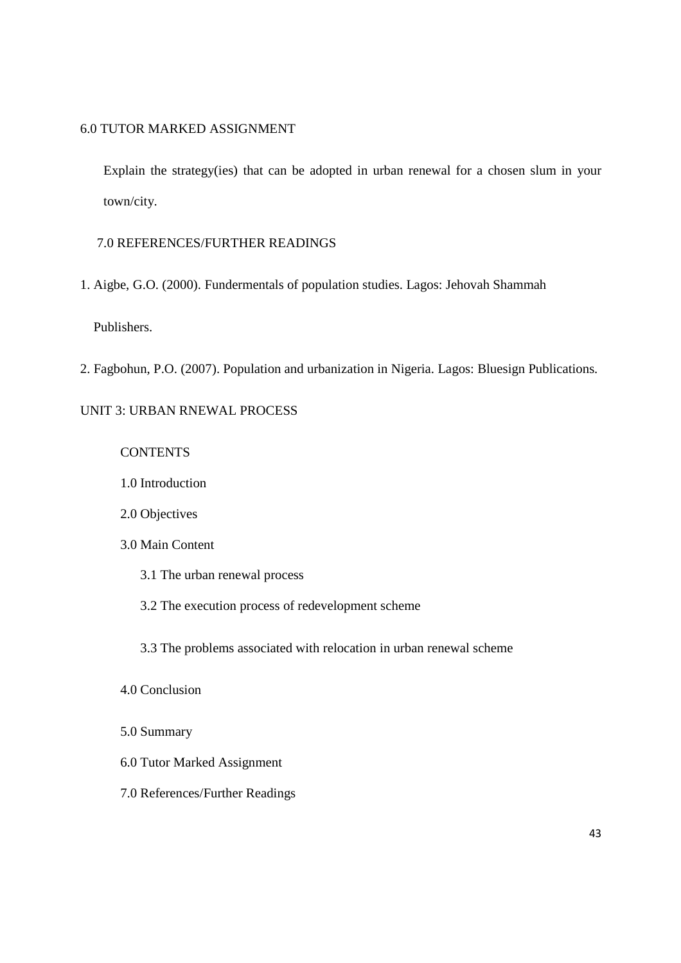### 6.0 TUTOR MARKED ASSIGNMENT

Explain the strategy(ies) that can be adopted in urban renewal for a chosen slum in your town/city.

# 7.0 REFERENCES/FURTHER READINGS

1. Aigbe, G.O. (2000). Fundermentals of population studies. Lagos: Jehovah Shammah

### Publishers.

2. Fagbohun, P.O. (2007). Population and urbanization in Nigeria. Lagos: Bluesign Publications.

# UNIT 3: URBAN RNEWAL PROCESS

#### **CONTENTS**

- 1.0 Introduction
- 2.0 Objectives

## 3.0 Main Content

- 3.1 The urban renewal process
- 3.2 The execution process of redevelopment scheme

3.3 The problems associated with relocation in urban renewal scheme

### 4.0 Conclusion

- 5.0 Summary
- 6.0 Tutor Marked Assignment
- 7.0 References/Further Readings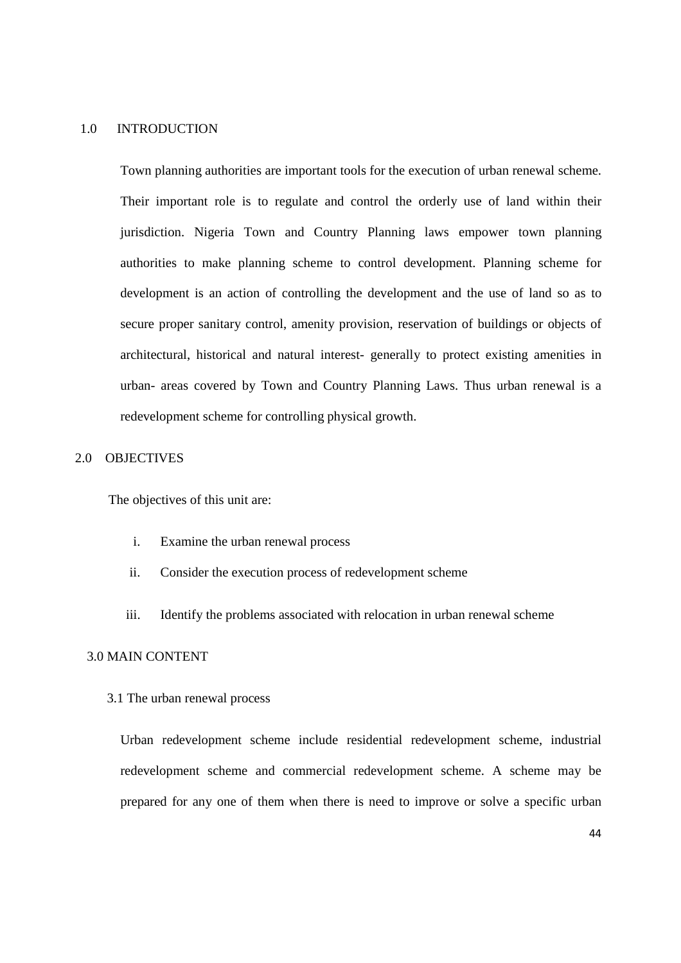#### 1.0 INTRODUCTION

Town planning authorities are important tools for the execution of urban renewal scheme. Their important role is to regulate and control the orderly use of land within their jurisdiction. Nigeria Town and Country Planning laws empower town planning authorities to make planning scheme to control development. Planning scheme for development is an action of controlling the development and the use of land so as to secure proper sanitary control, amenity provision, reservation of buildings or objects of architectural, historical and natural interest- generally to protect existing amenities in urban- areas covered by Town and Country Planning Laws. Thus urban renewal is a redevelopment scheme for controlling physical growth.

## 2.0 OBJECTIVES

The objectives of this unit are:

- i. Examine the urban renewal process
- ii. Consider the execution process of redevelopment scheme
- iii. Identify the problems associated with relocation in urban renewal scheme

### 3.0 MAIN CONTENT

3.1 The urban renewal process

Urban redevelopment scheme include residential redevelopment scheme, industrial redevelopment scheme and commercial redevelopment scheme. A scheme may be prepared for any one of them when there is need to improve or solve a specific urban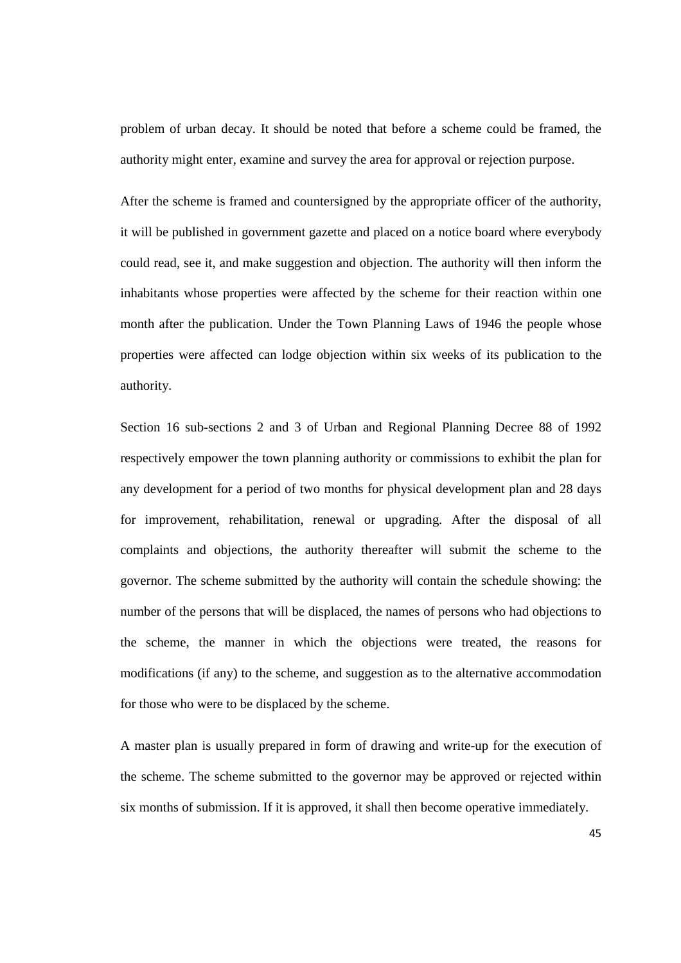problem of urban decay. It should be noted that before a scheme could be framed, the authority might enter, examine and survey the area for approval or rejection purpose.

After the scheme is framed and countersigned by the appropriate officer of the authority, it will be published in government gazette and placed on a notice board where everybody could read, see it, and make suggestion and objection. The authority will then inform the inhabitants whose properties were affected by the scheme for their reaction within one month after the publication. Under the Town Planning Laws of 1946 the people whose properties were affected can lodge objection within six weeks of its publication to the authority.

Section 16 sub-sections 2 and 3 of Urban and Regional Planning Decree 88 of 1992 respectively empower the town planning authority or commissions to exhibit the plan for any development for a period of two months for physical development plan and 28 days for improvement, rehabilitation, renewal or upgrading. After the disposal of all complaints and objections, the authority thereafter will submit the scheme to the governor. The scheme submitted by the authority will contain the schedule showing: the number of the persons that will be displaced, the names of persons who had objections to the scheme, the manner in which the objections were treated, the reasons for modifications (if any) to the scheme, and suggestion as to the alternative accommodation for those who were to be displaced by the scheme.

A master plan is usually prepared in form of drawing and write-up for the execution of the scheme. The scheme submitted to the governor may be approved or rejected within six months of submission. If it is approved, it shall then become operative immediately.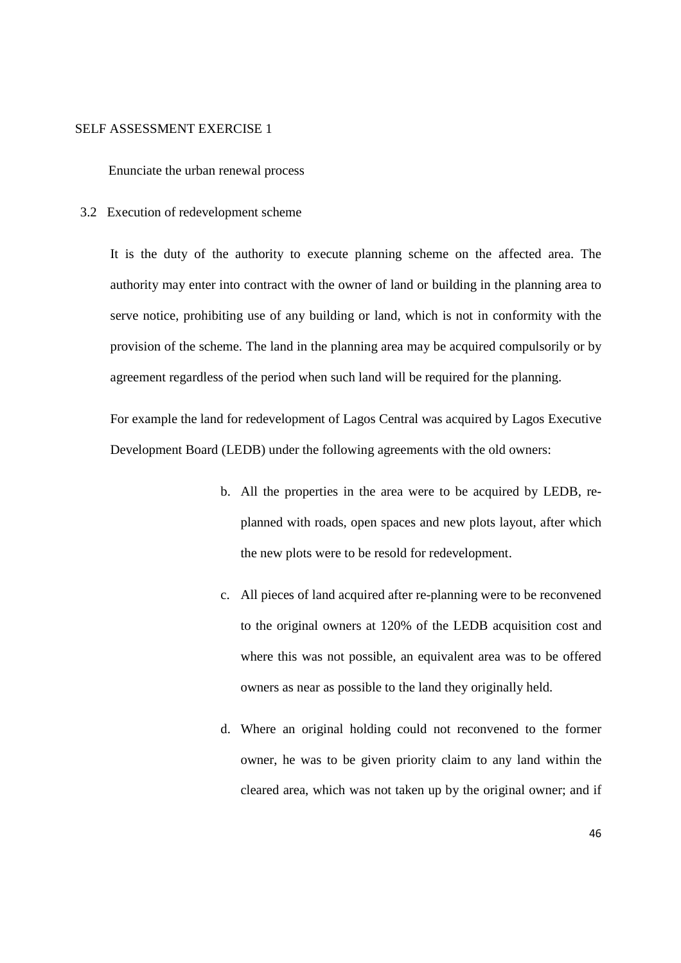#### SELF ASSESSMENT EXERCISE 1

Enunciate the urban renewal process

3.2 Execution of redevelopment scheme

It is the duty of the authority to execute planning scheme on the affected area. The authority may enter into contract with the owner of land or building in the planning area to serve notice, prohibiting use of any building or land, which is not in conformity with the provision of the scheme. The land in the planning area may be acquired compulsorily or by agreement regardless of the period when such land will be required for the planning.

For example the land for redevelopment of Lagos Central was acquired by Lagos Executive Development Board (LEDB) under the following agreements with the old owners:

- b. All the properties in the area were to be acquired by LEDB, replanned with roads, open spaces and new plots layout, after which the new plots were to be resold for redevelopment.
- c. All pieces of land acquired after re-planning were to be reconvened to the original owners at 120% of the LEDB acquisition cost and where this was not possible, an equivalent area was to be offered owners as near as possible to the land they originally held.
- d. Where an original holding could not reconvened to the former owner, he was to be given priority claim to any land within the cleared area, which was not taken up by the original owner; and if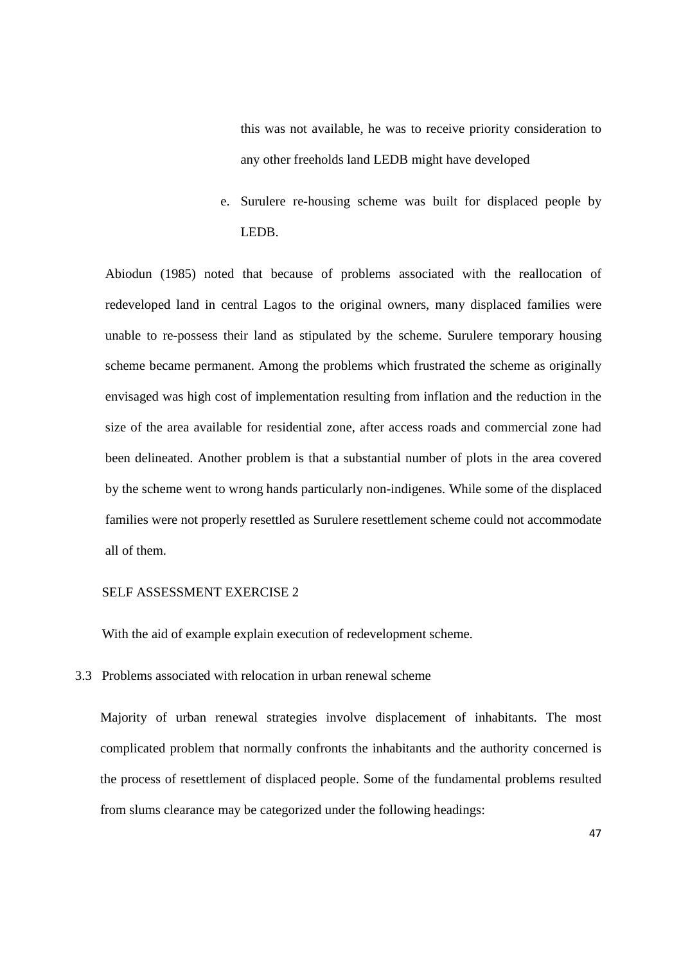this was not available, he was to receive priority consideration to any other freeholds land LEDB might have developed

e. Surulere re-housing scheme was built for displaced people by LEDB.

Abiodun (1985) noted that because of problems associated with the reallocation of redeveloped land in central Lagos to the original owners, many displaced families were unable to re-possess their land as stipulated by the scheme. Surulere temporary housing scheme became permanent. Among the problems which frustrated the scheme as originally envisaged was high cost of implementation resulting from inflation and the reduction in the size of the area available for residential zone, after access roads and commercial zone had been delineated. Another problem is that a substantial number of plots in the area covered by the scheme went to wrong hands particularly non-indigenes. While some of the displaced families were not properly resettled as Surulere resettlement scheme could not accommodate all of them.

#### SELF ASSESSMENT EXERCISE 2

With the aid of example explain execution of redevelopment scheme.

3.3 Problems associated with relocation in urban renewal scheme

Majority of urban renewal strategies involve displacement of inhabitants. The most complicated problem that normally confronts the inhabitants and the authority concerned is the process of resettlement of displaced people. Some of the fundamental problems resulted from slums clearance may be categorized under the following headings: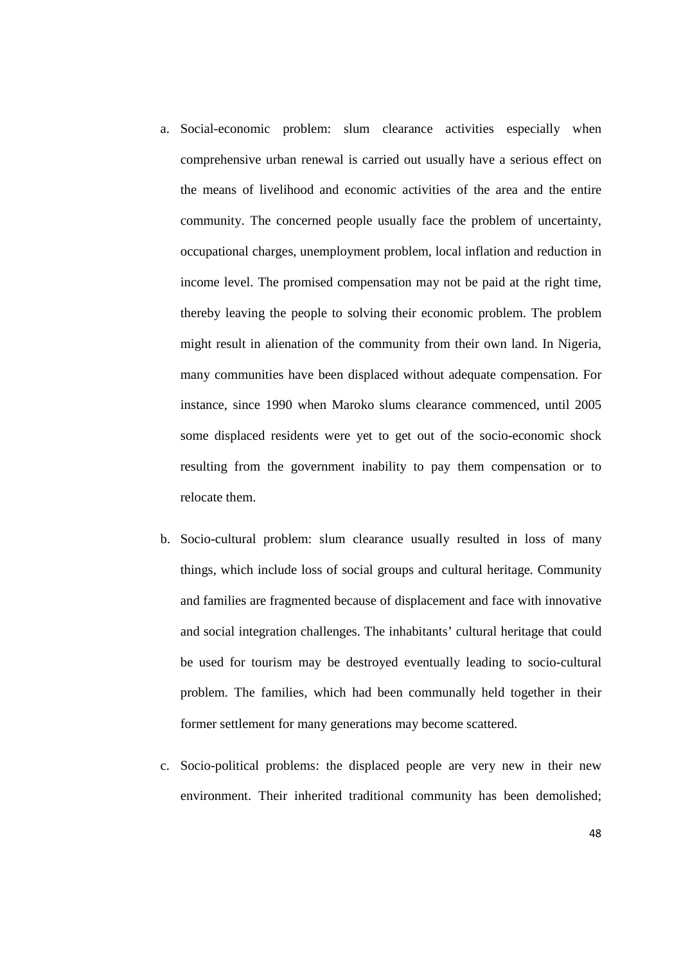- a. Social-economic problem: slum clearance activities especially when comprehensive urban renewal is carried out usually have a serious effect on the means of livelihood and economic activities of the area and the entire community. The concerned people usually face the problem of uncertainty, occupational charges, unemployment problem, local inflation and reduction in income level. The promised compensation may not be paid at the right time, thereby leaving the people to solving their economic problem. The problem might result in alienation of the community from their own land. In Nigeria, many communities have been displaced without adequate compensation. For instance, since 1990 when Maroko slums clearance commenced, until 2005 some displaced residents were yet to get out of the socio-economic shock resulting from the government inability to pay them compensation or to relocate them.
- b. Socio-cultural problem: slum clearance usually resulted in loss of many things, which include loss of social groups and cultural heritage. Community and families are fragmented because of displacement and face with innovative and social integration challenges. The inhabitants' cultural heritage that could be used for tourism may be destroyed eventually leading to socio-cultural problem. The families, which had been communally held together in their former settlement for many generations may become scattered.
- c. Socio-political problems: the displaced people are very new in their new environment. Their inherited traditional community has been demolished;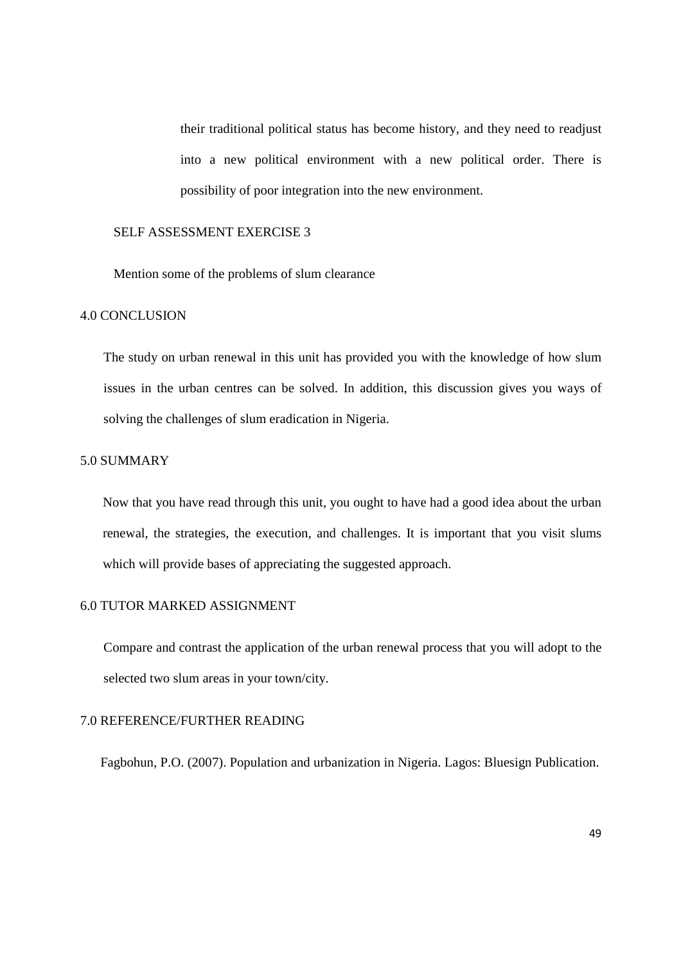their traditional political status has become history, and they need to readjust into a new political environment with a new political order. There is possibility of poor integration into the new environment.

### SELF ASSESSMENT EXERCISE 3

Mention some of the problems of slum clearance

#### 4.0 CONCLUSION

The study on urban renewal in this unit has provided you with the knowledge of how slum issues in the urban centres can be solved. In addition, this discussion gives you ways of solving the challenges of slum eradication in Nigeria.

## 5.0 SUMMARY

Now that you have read through this unit, you ought to have had a good idea about the urban renewal, the strategies, the execution, and challenges. It is important that you visit slums which will provide bases of appreciating the suggested approach.

#### 6.0 TUTOR MARKED ASSIGNMENT

Compare and contrast the application of the urban renewal process that you will adopt to the selected two slum areas in your town/city.

### 7.0 REFERENCE/FURTHER READING

Fagbohun, P.O. (2007). Population and urbanization in Nigeria. Lagos: Bluesign Publication.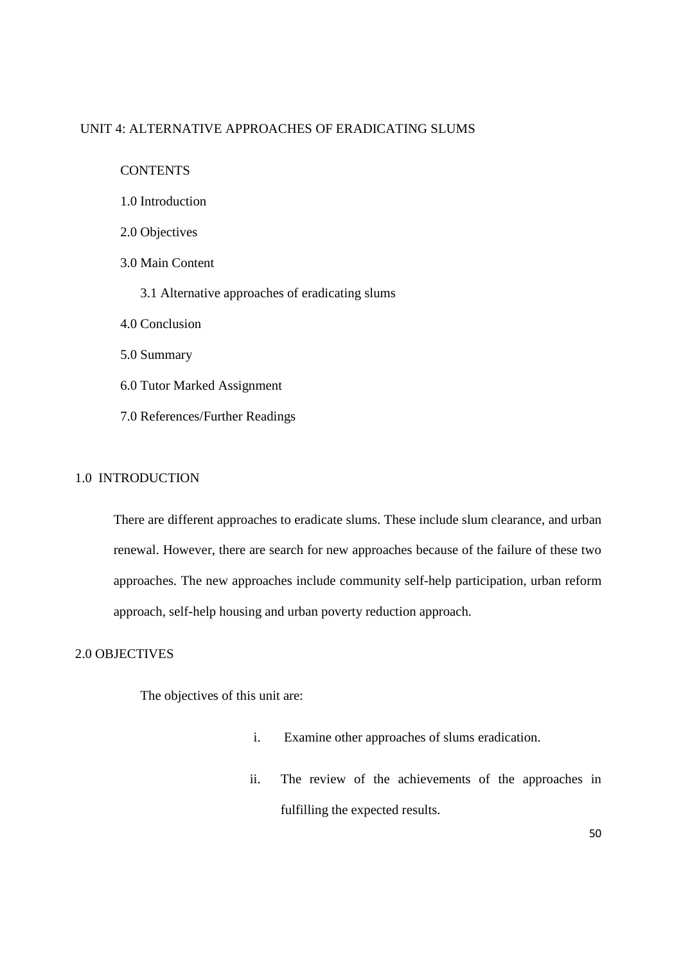## UNIT 4: ALTERNATIVE APPROACHES OF ERADICATING SLUMS

CONTENTS

- 1.0 Introduction
- 2.0 Objectives
- 3.0 Main Content
	- 3.1 Alternative approaches of eradicating slums
- 4.0 Conclusion
- 5.0 Summary
- 6.0 Tutor Marked Assignment
- 7.0 References/Further Readings

### 1.0 INTRODUCTION

There are different approaches to eradicate slums. These include slum clearance, and urban renewal. However, there are search for new approaches because of the failure of these two approaches. The new approaches include community self-help participation, urban reform approach, self-help housing and urban poverty reduction approach.

### 2.0 OBJECTIVES

The objectives of this unit are:

- i. Examine other approaches of slums eradication.
- ii. The review of the achievements of the approaches in fulfilling the expected results.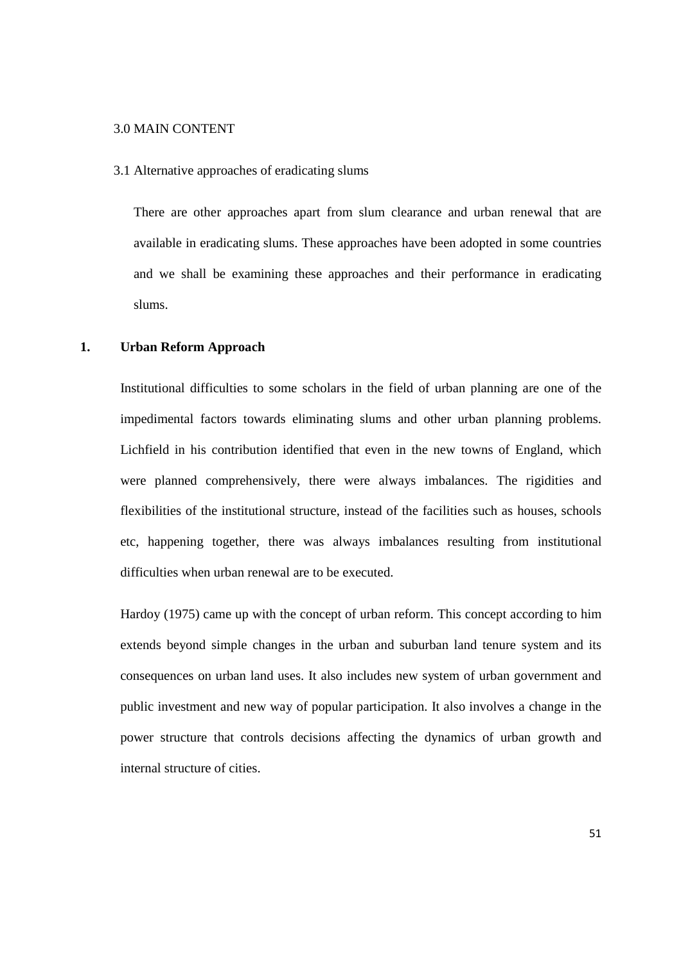#### 3.0 MAIN CONTENT

3.1 Alternative approaches of eradicating slums

There are other approaches apart from slum clearance and urban renewal that are available in eradicating slums. These approaches have been adopted in some countries and we shall be examining these approaches and their performance in eradicating slums.

### **1. Urban Reform Approach**

Institutional difficulties to some scholars in the field of urban planning are one of the impedimental factors towards eliminating slums and other urban planning problems. Lichfield in his contribution identified that even in the new towns of England, which were planned comprehensively, there were always imbalances. The rigidities and flexibilities of the institutional structure, instead of the facilities such as houses, schools etc, happening together, there was always imbalances resulting from institutional difficulties when urban renewal are to be executed.

Hardoy (1975) came up with the concept of urban reform. This concept according to him extends beyond simple changes in the urban and suburban land tenure system and its consequences on urban land uses. It also includes new system of urban government and public investment and new way of popular participation. It also involves a change in the power structure that controls decisions affecting the dynamics of urban growth and internal structure of cities.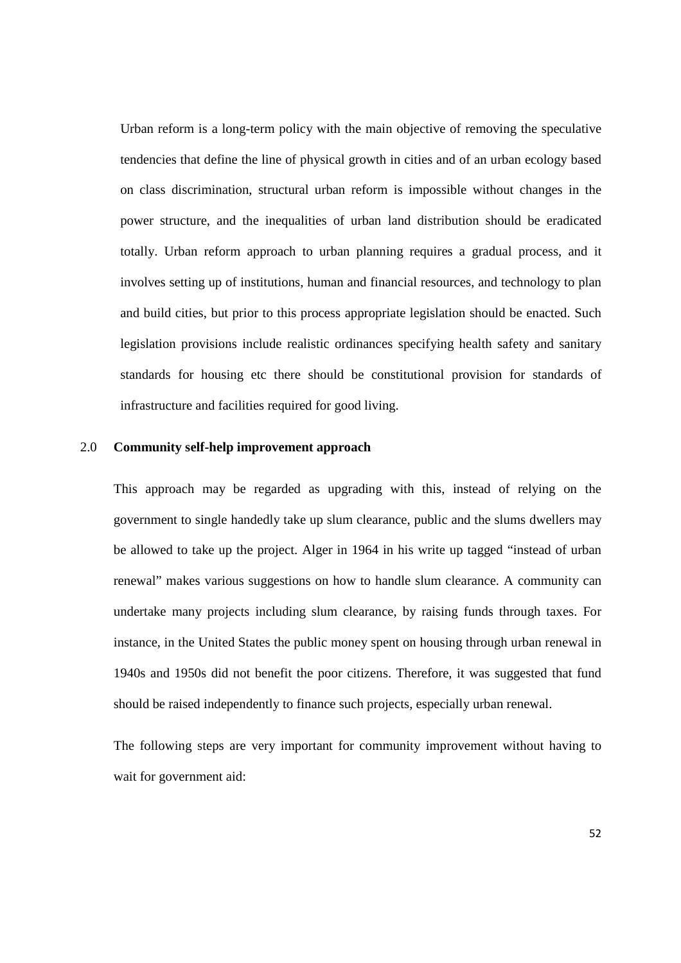Urban reform is a long-term policy with the main objective of removing the speculative tendencies that define the line of physical growth in cities and of an urban ecology based on class discrimination, structural urban reform is impossible without changes in the power structure, and the inequalities of urban land distribution should be eradicated totally. Urban reform approach to urban planning requires a gradual process, and it involves setting up of institutions, human and financial resources, and technology to plan and build cities, but prior to this process appropriate legislation should be enacted. Such legislation provisions include realistic ordinances specifying health safety and sanitary standards for housing etc there should be constitutional provision for standards of infrastructure and facilities required for good living.

# 2.0 **Community self-help improvement approach**

This approach may be regarded as upgrading with this, instead of relying on the government to single handedly take up slum clearance, public and the slums dwellers may be allowed to take up the project. Alger in 1964 in his write up tagged "instead of urban renewal" makes various suggestions on how to handle slum clearance. A community can undertake many projects including slum clearance, by raising funds through taxes. For instance, in the United States the public money spent on housing through urban renewal in 1940s and 1950s did not benefit the poor citizens. Therefore, it was suggested that fund should be raised independently to finance such projects, especially urban renewal.

The following steps are very important for community improvement without having to wait for government aid: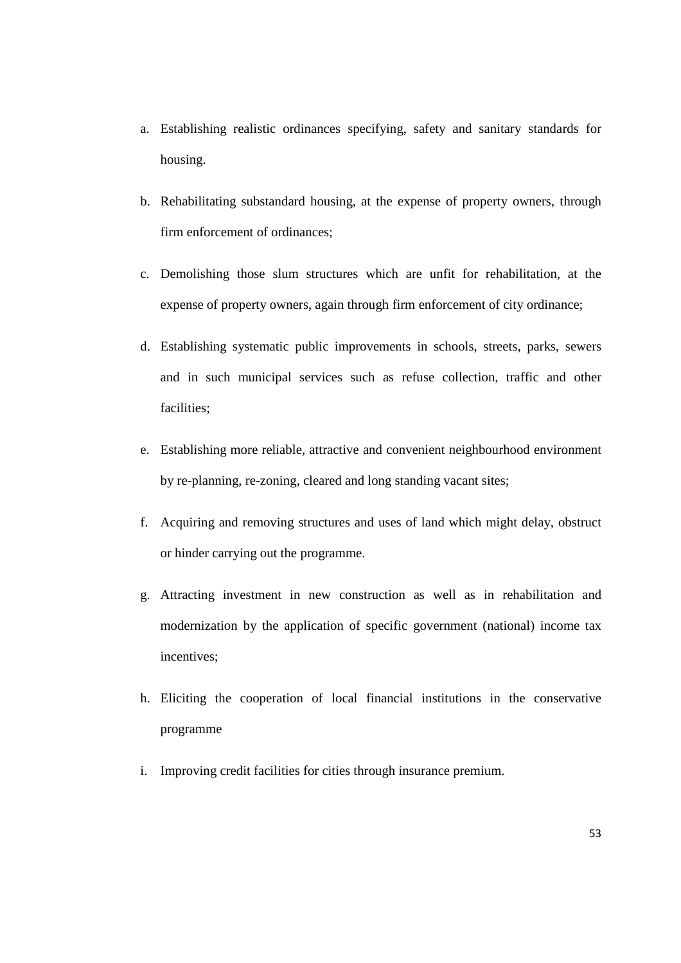- a. Establishing realistic ordinances specifying, safety and sanitary standards for housing.
- b. Rehabilitating substandard housing, at the expense of property owners, through firm enforcement of ordinances;
- c. Demolishing those slum structures which are unfit for rehabilitation, at the expense of property owners, again through firm enforcement of city ordinance;
- d. Establishing systematic public improvements in schools, streets, parks, sewers and in such municipal services such as refuse collection, traffic and other facilities;
- e. Establishing more reliable, attractive and convenient neighbourhood environment by re-planning, re-zoning, cleared and long standing vacant sites;
- f. Acquiring and removing structures and uses of land which might delay, obstruct or hinder carrying out the programme.
- g. Attracting investment in new construction as well as in rehabilitation and modernization by the application of specific government (national) income tax incentives;
- h. Eliciting the cooperation of local financial institutions in the conservative programme
- i. Improving credit facilities for cities through insurance premium.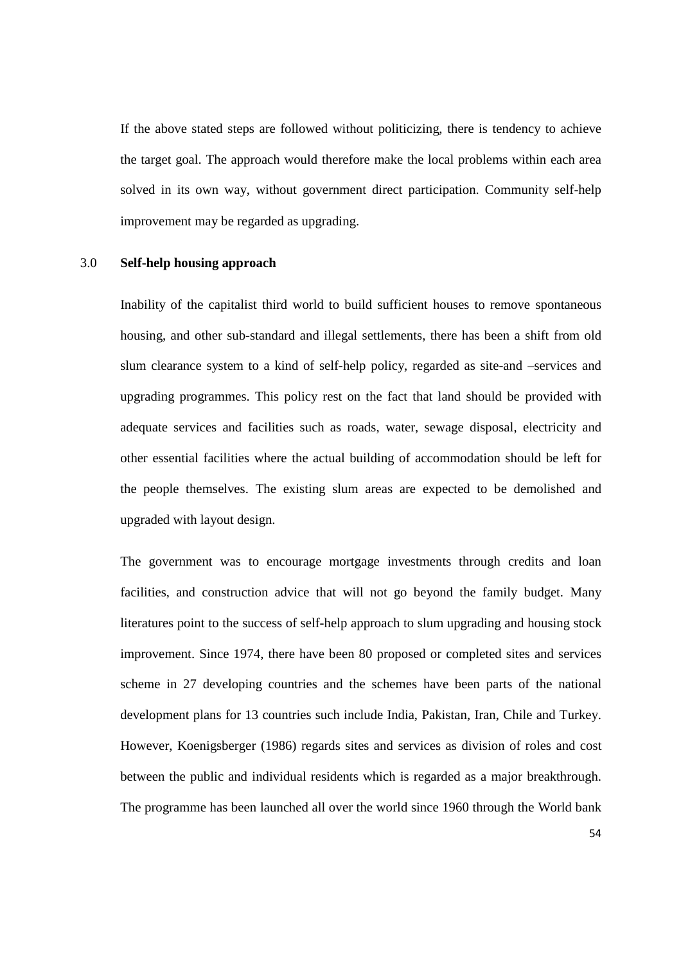If the above stated steps are followed without politicizing, there is tendency to achieve the target goal. The approach would therefore make the local problems within each area solved in its own way, without government direct participation. Community self-help improvement may be regarded as upgrading.

#### 3.0 **Self-help housing approach**

Inability of the capitalist third world to build sufficient houses to remove spontaneous housing, and other sub-standard and illegal settlements, there has been a shift from old slum clearance system to a kind of self-help policy, regarded as site-and –services and upgrading programmes. This policy rest on the fact that land should be provided with adequate services and facilities such as roads, water, sewage disposal, electricity and other essential facilities where the actual building of accommodation should be left for the people themselves. The existing slum areas are expected to be demolished and upgraded with layout design.

The government was to encourage mortgage investments through credits and loan facilities, and construction advice that will not go beyond the family budget. Many literatures point to the success of self-help approach to slum upgrading and housing stock improvement. Since 1974, there have been 80 proposed or completed sites and services scheme in 27 developing countries and the schemes have been parts of the national development plans for 13 countries such include India, Pakistan, Iran, Chile and Turkey. However, Koenigsberger (1986) regards sites and services as division of roles and cost between the public and individual residents which is regarded as a major breakthrough. The programme has been launched all over the world since 1960 through the World bank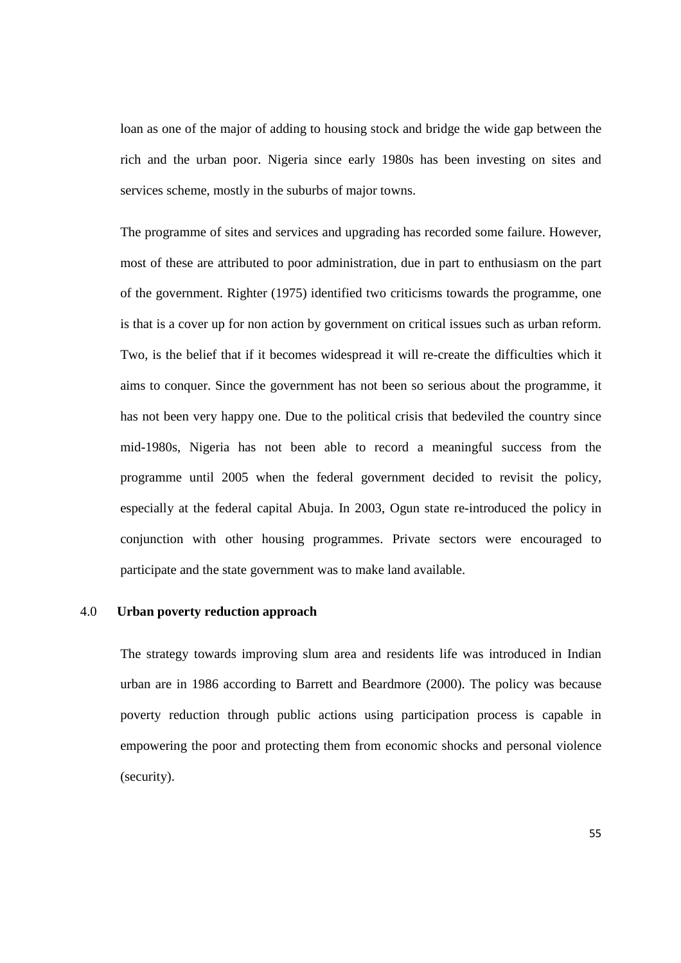loan as one of the major of adding to housing stock and bridge the wide gap between the rich and the urban poor. Nigeria since early 1980s has been investing on sites and services scheme, mostly in the suburbs of major towns.

The programme of sites and services and upgrading has recorded some failure. However, most of these are attributed to poor administration, due in part to enthusiasm on the part of the government. Righter (1975) identified two criticisms towards the programme, one is that is a cover up for non action by government on critical issues such as urban reform. Two, is the belief that if it becomes widespread it will re-create the difficulties which it aims to conquer. Since the government has not been so serious about the programme, it has not been very happy one. Due to the political crisis that bedeviled the country since mid-1980s, Nigeria has not been able to record a meaningful success from the programme until 2005 when the federal government decided to revisit the policy, especially at the federal capital Abuja. In 2003, Ogun state re-introduced the policy in conjunction with other housing programmes. Private sectors were encouraged to participate and the state government was to make land available.

### 4.0 **Urban poverty reduction approach**

The strategy towards improving slum area and residents life was introduced in Indian urban are in 1986 according to Barrett and Beardmore (2000). The policy was because poverty reduction through public actions using participation process is capable in empowering the poor and protecting them from economic shocks and personal violence (security).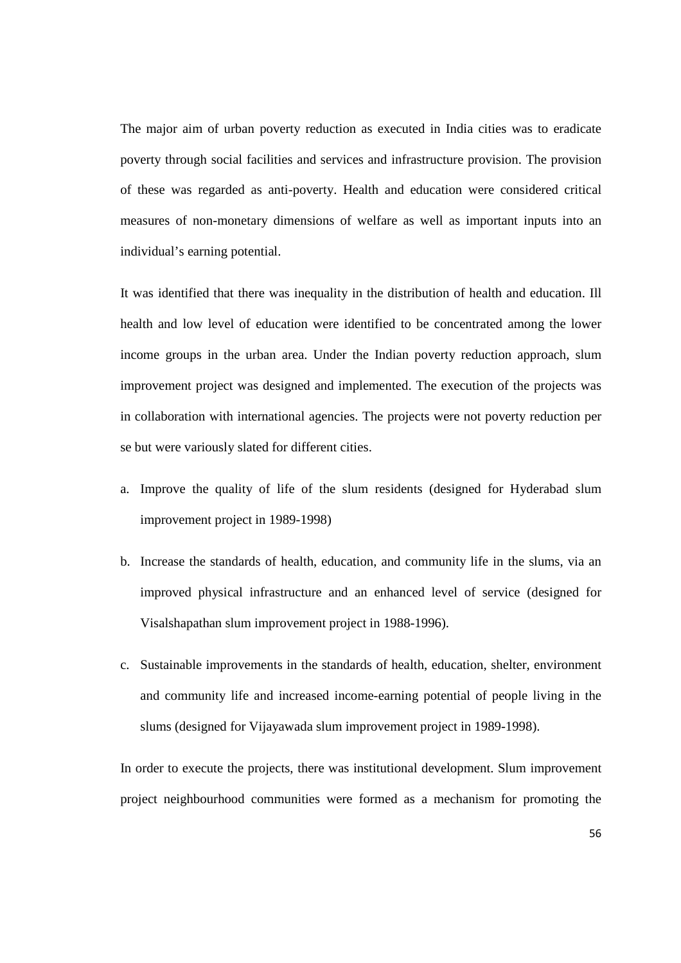The major aim of urban poverty reduction as executed in India cities was to eradicate poverty through social facilities and services and infrastructure provision. The provision of these was regarded as anti-poverty. Health and education were considered critical measures of non-monetary dimensions of welfare as well as important inputs into an individual's earning potential.

It was identified that there was inequality in the distribution of health and education. Ill health and low level of education were identified to be concentrated among the lower income groups in the urban area. Under the Indian poverty reduction approach, slum improvement project was designed and implemented. The execution of the projects was in collaboration with international agencies. The projects were not poverty reduction per se but were variously slated for different cities.

- a. Improve the quality of life of the slum residents (designed for Hyderabad slum improvement project in 1989-1998)
- b. Increase the standards of health, education, and community life in the slums, via an improved physical infrastructure and an enhanced level of service (designed for Visalshapathan slum improvement project in 1988-1996).
- c. Sustainable improvements in the standards of health, education, shelter, environment and community life and increased income-earning potential of people living in the slums (designed for Vijayawada slum improvement project in 1989-1998).

In order to execute the projects, there was institutional development. Slum improvement project neighbourhood communities were formed as a mechanism for promoting the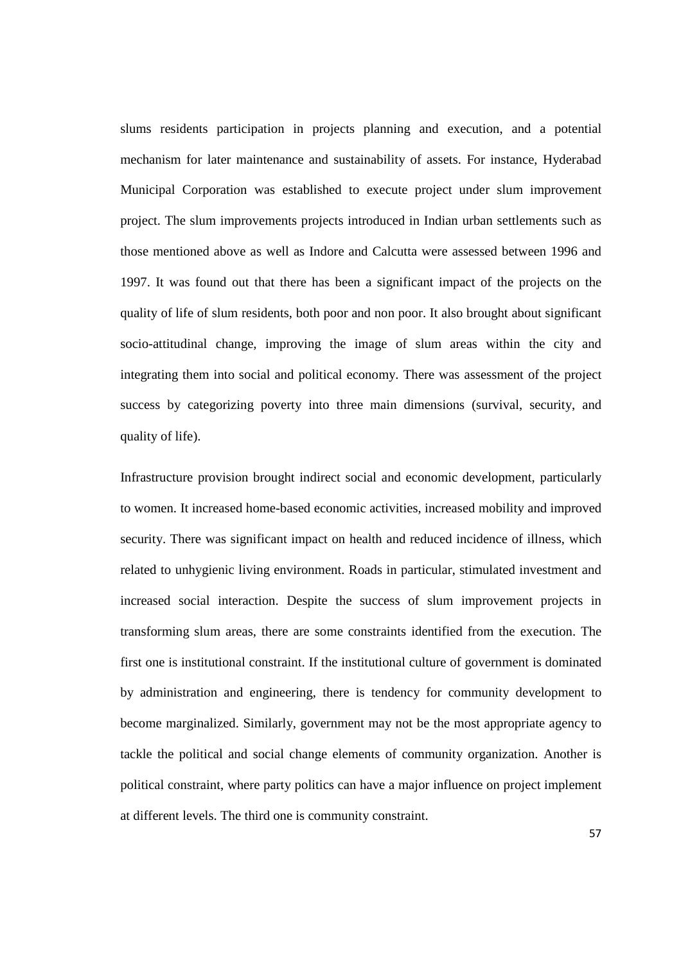slums residents participation in projects planning and execution, and a potential mechanism for later maintenance and sustainability of assets. For instance, Hyderabad Municipal Corporation was established to execute project under slum improvement project. The slum improvements projects introduced in Indian urban settlements such as those mentioned above as well as Indore and Calcutta were assessed between 1996 and 1997. It was found out that there has been a significant impact of the projects on the quality of life of slum residents, both poor and non poor. It also brought about significant socio-attitudinal change, improving the image of slum areas within the city and integrating them into social and political economy. There was assessment of the project success by categorizing poverty into three main dimensions (survival, security, and quality of life).

Infrastructure provision brought indirect social and economic development, particularly to women. It increased home-based economic activities, increased mobility and improved security. There was significant impact on health and reduced incidence of illness, which related to unhygienic living environment. Roads in particular, stimulated investment and increased social interaction. Despite the success of slum improvement projects in transforming slum areas, there are some constraints identified from the execution. The first one is institutional constraint. If the institutional culture of government is dominated by administration and engineering, there is tendency for community development to become marginalized. Similarly, government may not be the most appropriate agency to tackle the political and social change elements of community organization. Another is political constraint, where party politics can have a major influence on project implement at different levels. The third one is community constraint.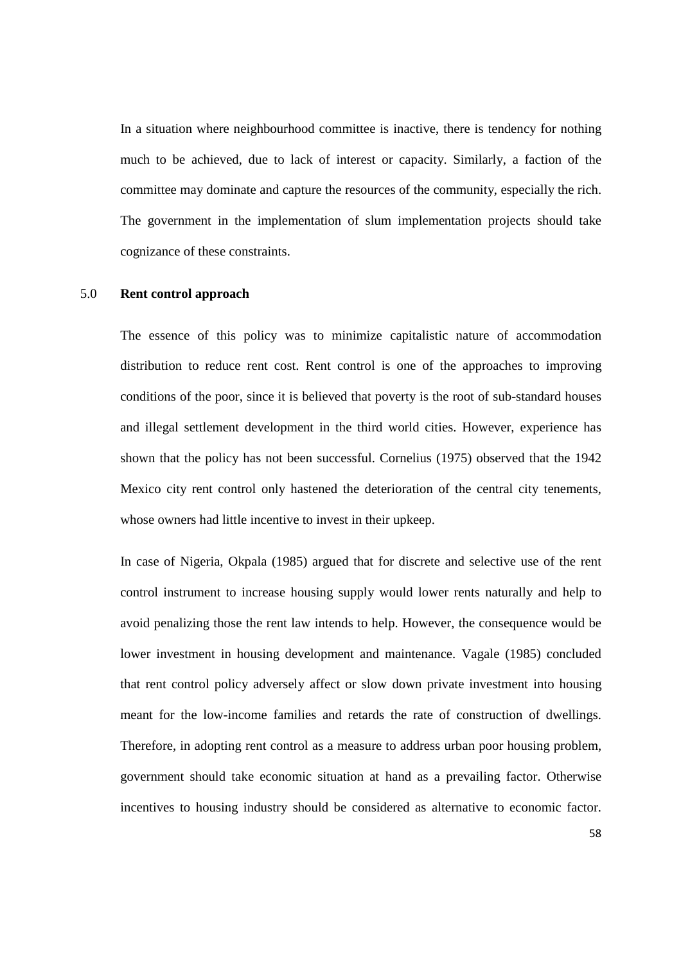In a situation where neighbourhood committee is inactive, there is tendency for nothing much to be achieved, due to lack of interest or capacity. Similarly, a faction of the committee may dominate and capture the resources of the community, especially the rich. The government in the implementation of slum implementation projects should take cognizance of these constraints.

### 5.0 **Rent control approach**

The essence of this policy was to minimize capitalistic nature of accommodation distribution to reduce rent cost. Rent control is one of the approaches to improving conditions of the poor, since it is believed that poverty is the root of sub-standard houses and illegal settlement development in the third world cities. However, experience has shown that the policy has not been successful. Cornelius (1975) observed that the 1942 Mexico city rent control only hastened the deterioration of the central city tenements, whose owners had little incentive to invest in their upkeep.

In case of Nigeria, Okpala (1985) argued that for discrete and selective use of the rent control instrument to increase housing supply would lower rents naturally and help to avoid penalizing those the rent law intends to help. However, the consequence would be lower investment in housing development and maintenance. Vagale (1985) concluded that rent control policy adversely affect or slow down private investment into housing meant for the low-income families and retards the rate of construction of dwellings. Therefore, in adopting rent control as a measure to address urban poor housing problem, government should take economic situation at hand as a prevailing factor. Otherwise incentives to housing industry should be considered as alternative to economic factor.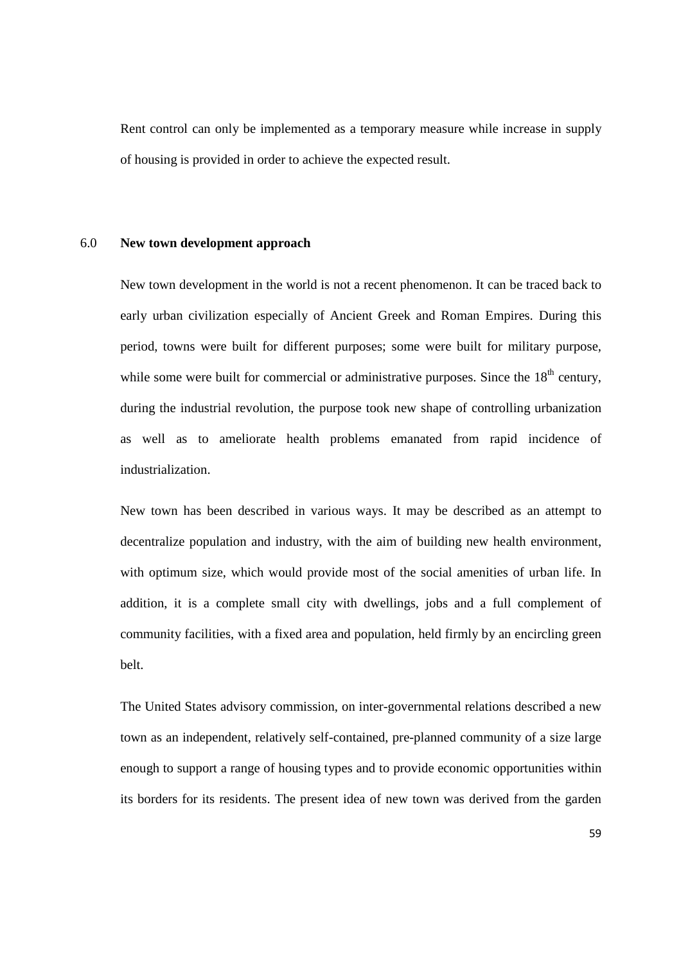Rent control can only be implemented as a temporary measure while increase in supply of housing is provided in order to achieve the expected result.

#### 6.0 **New town development approach**

New town development in the world is not a recent phenomenon. It can be traced back to early urban civilization especially of Ancient Greek and Roman Empires. During this period, towns were built for different purposes; some were built for military purpose, while some were built for commercial or administrative purposes. Since the  $18<sup>th</sup>$  century, during the industrial revolution, the purpose took new shape of controlling urbanization as well as to ameliorate health problems emanated from rapid incidence of industrialization.

New town has been described in various ways. It may be described as an attempt to decentralize population and industry, with the aim of building new health environment, with optimum size, which would provide most of the social amenities of urban life. In addition, it is a complete small city with dwellings, jobs and a full complement of community facilities, with a fixed area and population, held firmly by an encircling green belt.

The United States advisory commission, on inter-governmental relations described a new town as an independent, relatively self-contained, pre-planned community of a size large enough to support a range of housing types and to provide economic opportunities within its borders for its residents. The present idea of new town was derived from the garden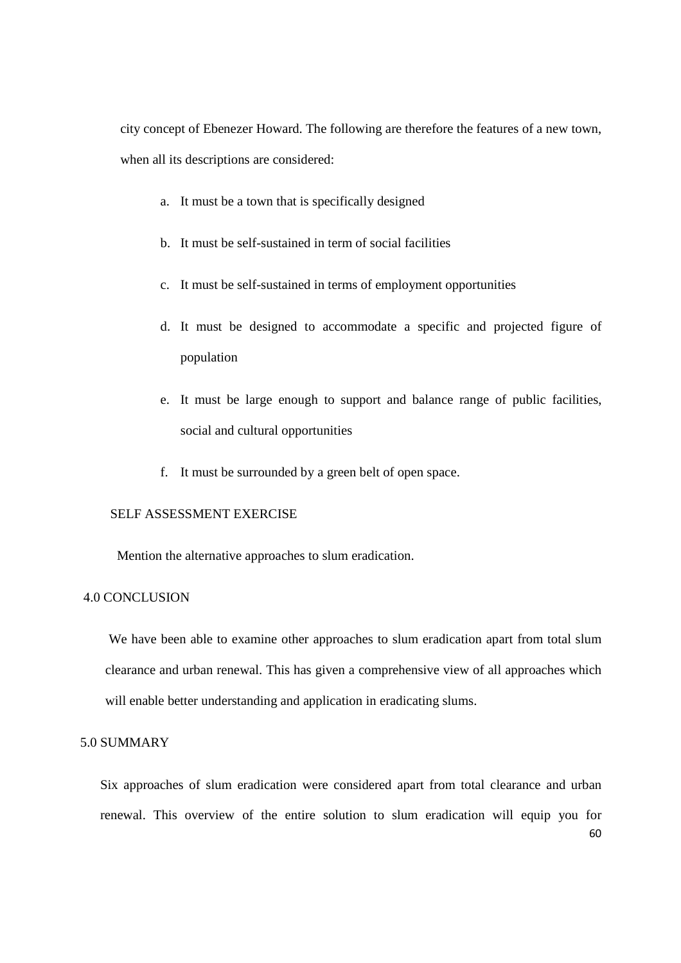city concept of Ebenezer Howard. The following are therefore the features of a new town, when all its descriptions are considered:

- a. It must be a town that is specifically designed
- b. It must be self-sustained in term of social facilities
- c. It must be self-sustained in terms of employment opportunities
- d. It must be designed to accommodate a specific and projected figure of population
- e. It must be large enough to support and balance range of public facilities, social and cultural opportunities
- f. It must be surrounded by a green belt of open space.

## SELF ASSESSMENT EXERCISE

Mention the alternative approaches to slum eradication.

### 4.0 CONCLUSION

 We have been able to examine other approaches to slum eradication apart from total slum clearance and urban renewal. This has given a comprehensive view of all approaches which will enable better understanding and application in eradicating slums.

### 5.0 SUMMARY

60 Six approaches of slum eradication were considered apart from total clearance and urban renewal. This overview of the entire solution to slum eradication will equip you for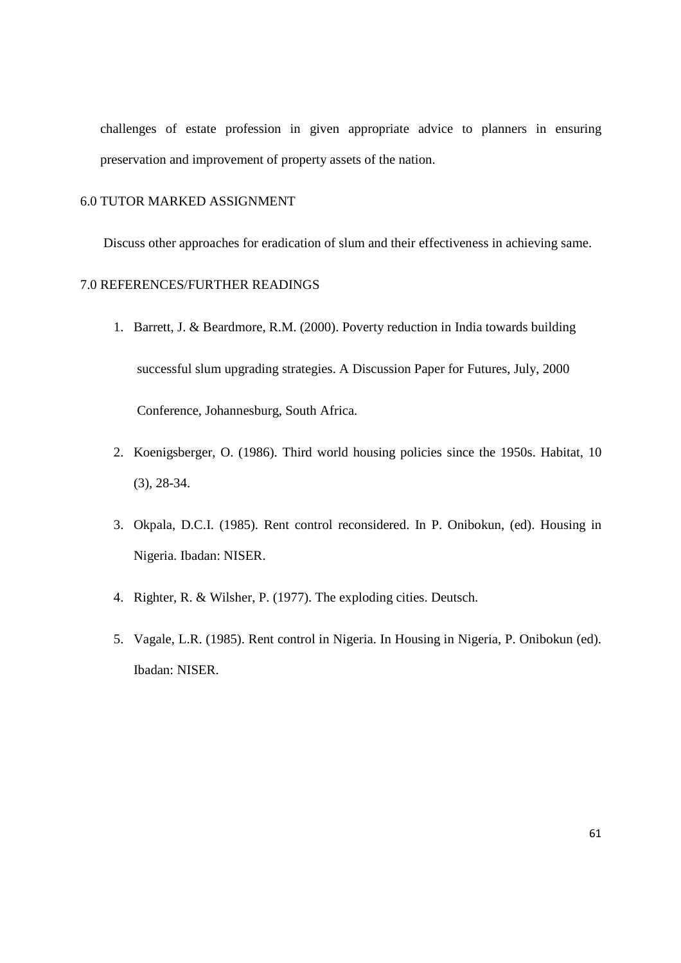challenges of estate profession in given appropriate advice to planners in ensuring preservation and improvement of property assets of the nation.

### 6.0 TUTOR MARKED ASSIGNMENT

Discuss other approaches for eradication of slum and their effectiveness in achieving same.

### 7.0 REFERENCES/FURTHER READINGS

- 1. Barrett, J. & Beardmore, R.M. (2000). Poverty reduction in India towards building successful slum upgrading strategies. A Discussion Paper for Futures, July, 2000 Conference, Johannesburg, South Africa.
- 2. Koenigsberger, O. (1986). Third world housing policies since the 1950s. Habitat, 10 (3), 28-34.
- 3. Okpala, D.C.I. (1985). Rent control reconsidered. In P. Onibokun, (ed). Housing in Nigeria. Ibadan: NISER.
- 4. Righter, R. & Wilsher, P. (1977). The exploding cities. Deutsch.
- 5. Vagale, L.R. (1985). Rent control in Nigeria. In Housing in Nigeria, P. Onibokun (ed). Ibadan: NISER.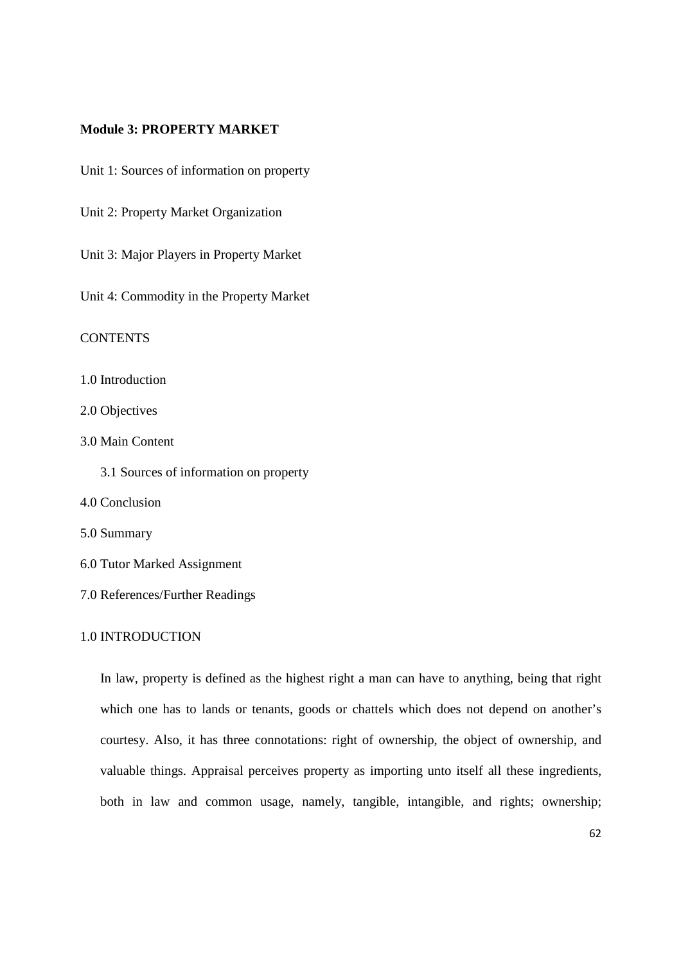### **Module 3: PROPERTY MARKET**

Unit 1: Sources of information on property

Unit 2: Property Market Organization

Unit 3: Major Players in Property Market

Unit 4: Commodity in the Property Market

**CONTENTS** 

1.0 Introduction

2.0 Objectives

3.0 Main Content

3.1 Sources of information on property

4.0 Conclusion

- 5.0 Summary
- 6.0 Tutor Marked Assignment
- 7.0 References/Further Readings

### 1.0 INTRODUCTION

In law, property is defined as the highest right a man can have to anything, being that right which one has to lands or tenants, goods or chattels which does not depend on another's courtesy. Also, it has three connotations: right of ownership, the object of ownership, and valuable things. Appraisal perceives property as importing unto itself all these ingredients, both in law and common usage, namely, tangible, intangible, and rights; ownership;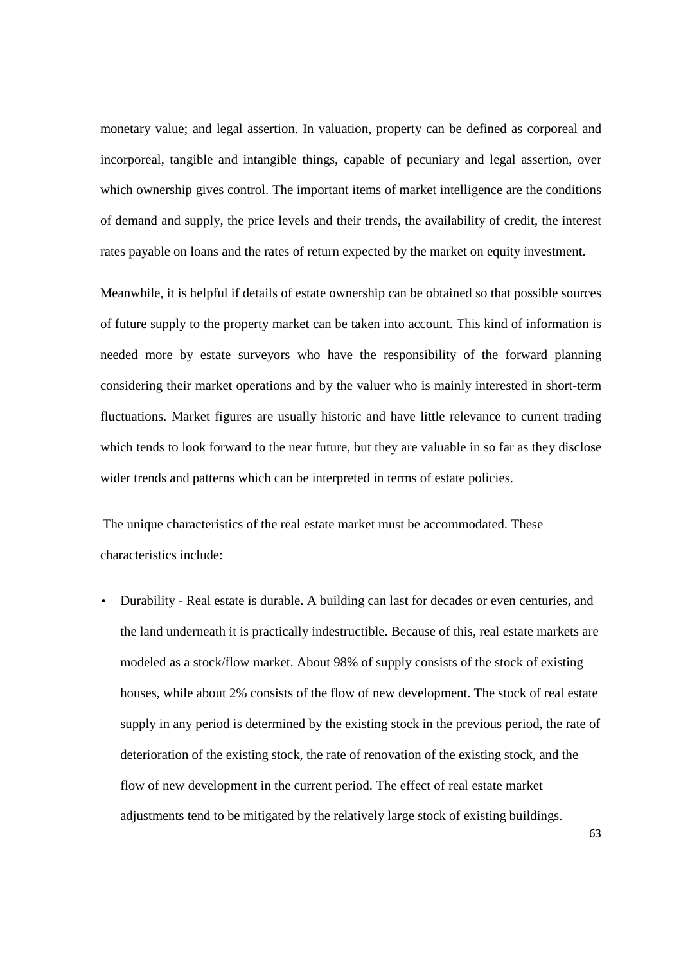monetary value; and legal assertion. In valuation, property can be defined as corporeal and incorporeal, tangible and intangible things, capable of pecuniary and legal assertion, over which ownership gives control. The important items of market intelligence are the conditions of demand and supply, the price levels and their trends, the availability of credit, the interest rates payable on loans and the rates of return expected by the market on equity investment.

Meanwhile, it is helpful if details of estate ownership can be obtained so that possible sources of future supply to the property market can be taken into account. This kind of information is needed more by estate surveyors who have the responsibility of the forward planning considering their market operations and by the valuer who is mainly interested in short-term fluctuations. Market figures are usually historic and have little relevance to current trading which tends to look forward to the near future, but they are valuable in so far as they disclose wider trends and patterns which can be interpreted in terms of estate policies.

The unique characteristics of the real estate market must be accommodated. These characteristics include:

• Durability - Real estate is durable. A building can last for decades or even centuries, and the land underneath it is practically indestructible. Because of this, real estate markets are modeled as a stock/flow market. About 98% of supply consists of the stock of existing houses, while about 2% consists of the flow of new development. The stock of real estate supply in any period is determined by the existing stock in the previous period, the rate of deterioration of the existing stock, the rate of renovation of the existing stock, and the flow of new development in the current period. The effect of real estate market adjustments tend to be mitigated by the relatively large stock of existing buildings.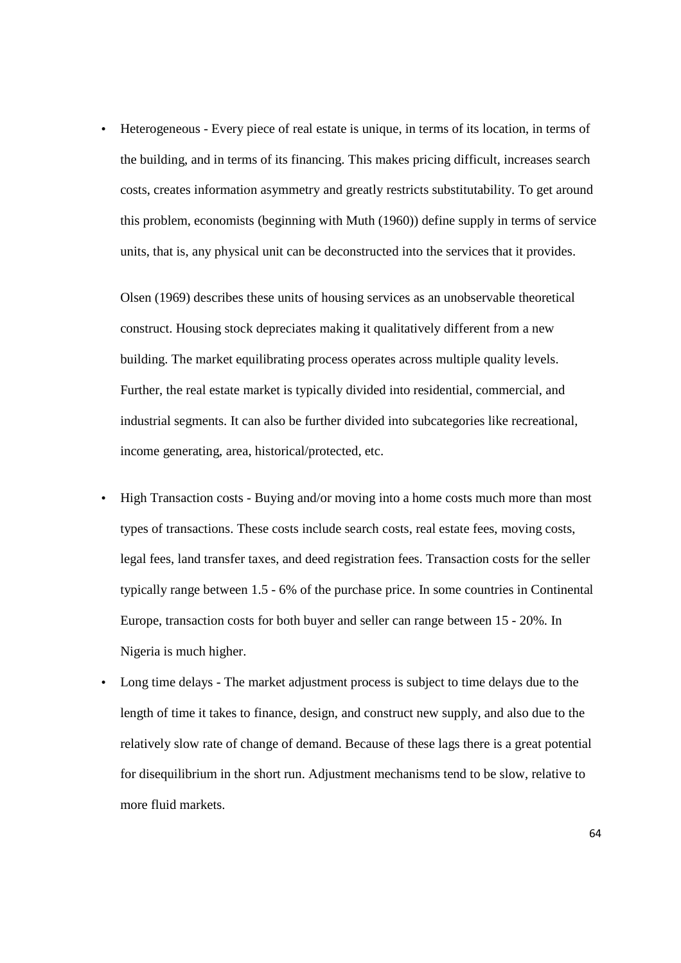• Heterogeneous - Every piece of real estate is unique, in terms of its location, in terms of the building, and in terms of its financing. This makes pricing difficult, increases search costs, creates information asymmetry and greatly restricts substitutability. To get around this problem, economists (beginning with Muth (1960)) define supply in terms of service units, that is, any physical unit can be deconstructed into the services that it provides.

Olsen (1969) describes these units of housing services as an unobservable theoretical construct. Housing stock depreciates making it qualitatively different from a new building. The market equilibrating process operates across multiple quality levels. Further, the real estate market is typically divided into residential, commercial, and industrial segments. It can also be further divided into subcategories like recreational, income generating, area, historical/protected, etc.

- High Transaction costs Buying and/or moving into a home costs much more than most types of transactions. These costs include search costs, real estate fees, moving costs, legal fees, land transfer taxes, and deed registration fees. Transaction costs for the seller typically range between 1.5 - 6% of the purchase price. In some countries in Continental Europe, transaction costs for both buyer and seller can range between 15 - 20%. In Nigeria is much higher.
- Long time delays The market adjustment process is subject to time delays due to the length of time it takes to finance, design, and construct new supply, and also due to the relatively slow rate of change of demand. Because of these lags there is a great potential for disequilibrium in the short run. Adjustment mechanisms tend to be slow, relative to more fluid markets.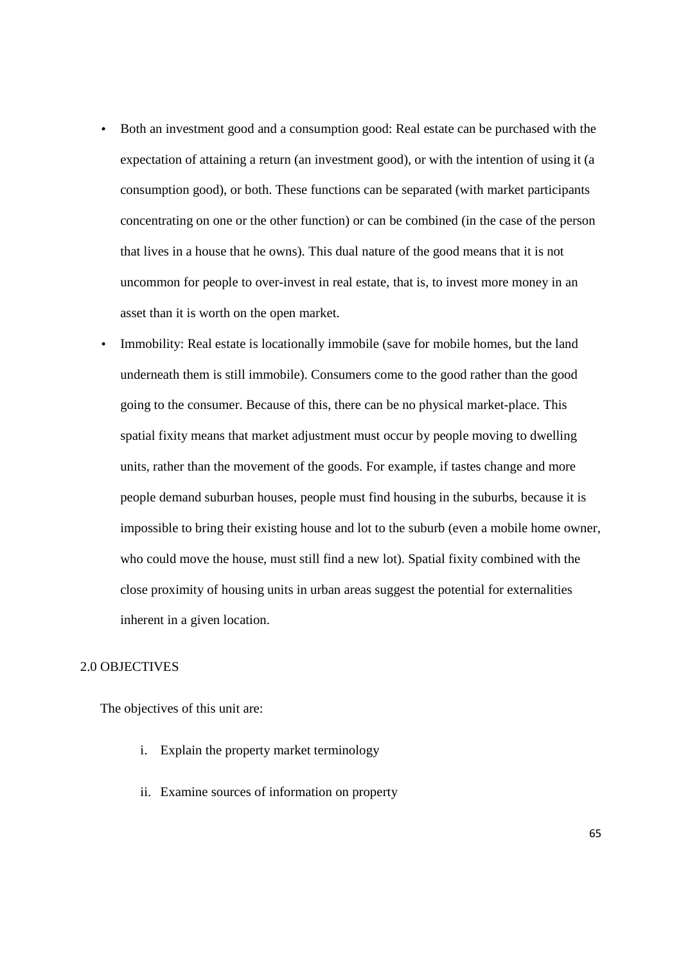- Both an investment good and a consumption good: Real estate can be purchased with the expectation of attaining a return (an investment good), or with the intention of using it (a consumption good), or both. These functions can be separated (with market participants concentrating on one or the other function) or can be combined (in the case of the person that lives in a house that he owns). This dual nature of the good means that it is not uncommon for people to over-invest in real estate, that is, to invest more money in an asset than it is worth on the open market.
- Immobility: Real estate is locationally immobile (save for mobile homes, but the land underneath them is still immobile). Consumers come to the good rather than the good going to the consumer. Because of this, there can be no physical market-place. This spatial fixity means that market adjustment must occur by people moving to dwelling units, rather than the movement of the goods. For example, if tastes change and more people demand suburban houses, people must find housing in the suburbs, because it is impossible to bring their existing house and lot to the suburb (even a mobile home owner, who could move the house, must still find a new lot). Spatial fixity combined with the close proximity of housing units in urban areas suggest the potential for externalities inherent in a given location.

### 2.0 OBJECTIVES

The objectives of this unit are:

- i. Explain the property market terminology
- ii. Examine sources of information on property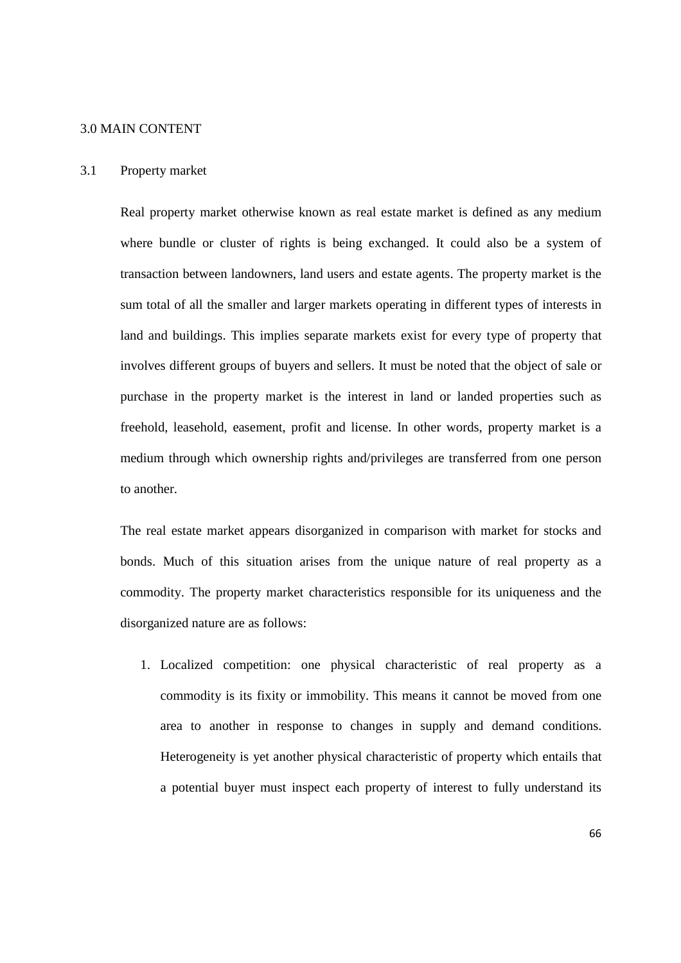#### 3.0 MAIN CONTENT

#### 3.1 Property market

Real property market otherwise known as real estate market is defined as any medium where bundle or cluster of rights is being exchanged. It could also be a system of transaction between landowners, land users and estate agents. The property market is the sum total of all the smaller and larger markets operating in different types of interests in land and buildings. This implies separate markets exist for every type of property that involves different groups of buyers and sellers. It must be noted that the object of sale or purchase in the property market is the interest in land or landed properties such as freehold, leasehold, easement, profit and license. In other words, property market is a medium through which ownership rights and/privileges are transferred from one person to another.

The real estate market appears disorganized in comparison with market for stocks and bonds. Much of this situation arises from the unique nature of real property as a commodity. The property market characteristics responsible for its uniqueness and the disorganized nature are as follows:

1. Localized competition: one physical characteristic of real property as a commodity is its fixity or immobility. This means it cannot be moved from one area to another in response to changes in supply and demand conditions. Heterogeneity is yet another physical characteristic of property which entails that a potential buyer must inspect each property of interest to fully understand its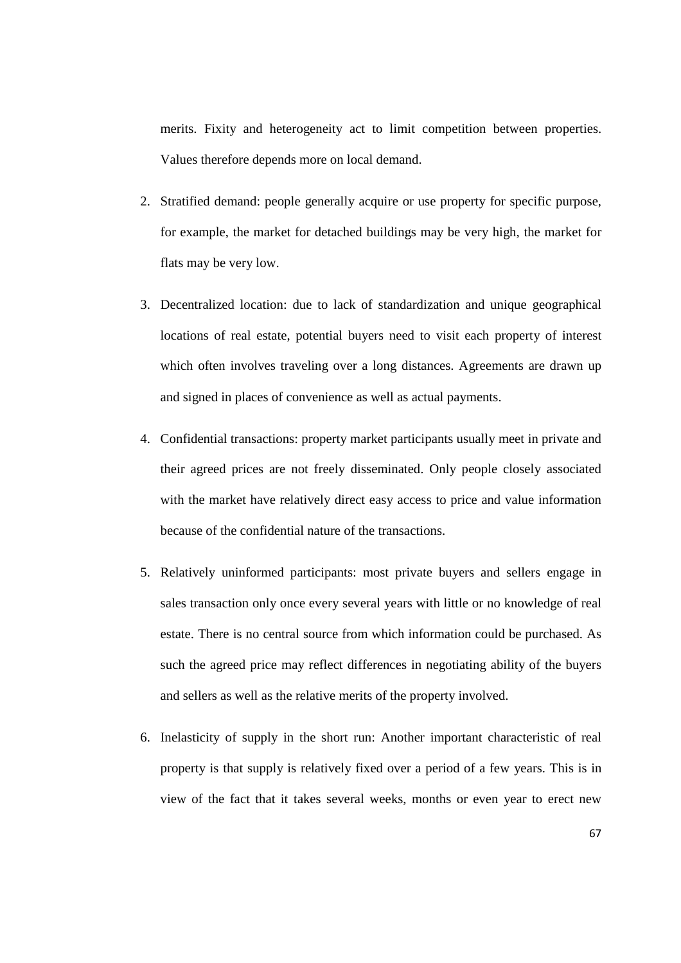merits. Fixity and heterogeneity act to limit competition between properties. Values therefore depends more on local demand.

- 2. Stratified demand: people generally acquire or use property for specific purpose, for example, the market for detached buildings may be very high, the market for flats may be very low.
- 3. Decentralized location: due to lack of standardization and unique geographical locations of real estate, potential buyers need to visit each property of interest which often involves traveling over a long distances. Agreements are drawn up and signed in places of convenience as well as actual payments.
- 4. Confidential transactions: property market participants usually meet in private and their agreed prices are not freely disseminated. Only people closely associated with the market have relatively direct easy access to price and value information because of the confidential nature of the transactions.
- 5. Relatively uninformed participants: most private buyers and sellers engage in sales transaction only once every several years with little or no knowledge of real estate. There is no central source from which information could be purchased. As such the agreed price may reflect differences in negotiating ability of the buyers and sellers as well as the relative merits of the property involved.
- 6. Inelasticity of supply in the short run: Another important characteristic of real property is that supply is relatively fixed over a period of a few years. This is in view of the fact that it takes several weeks, months or even year to erect new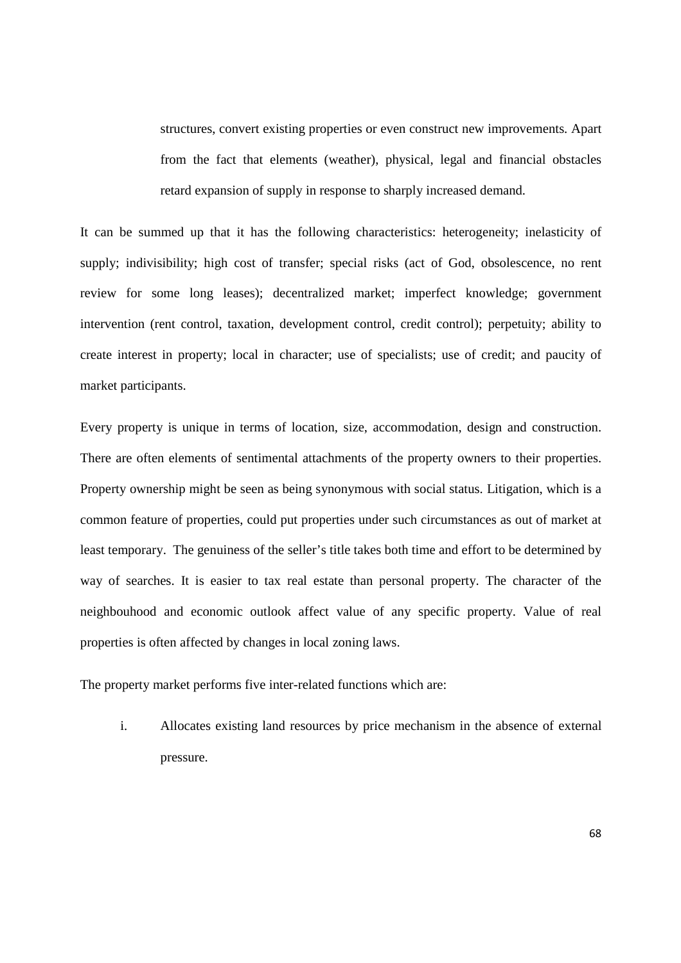structures, convert existing properties or even construct new improvements. Apart from the fact that elements (weather), physical, legal and financial obstacles retard expansion of supply in response to sharply increased demand.

It can be summed up that it has the following characteristics: heterogeneity; inelasticity of supply; indivisibility; high cost of transfer; special risks (act of God, obsolescence, no rent review for some long leases); decentralized market; imperfect knowledge; government intervention (rent control, taxation, development control, credit control); perpetuity; ability to create interest in property; local in character; use of specialists; use of credit; and paucity of market participants.

Every property is unique in terms of location, size, accommodation, design and construction. There are often elements of sentimental attachments of the property owners to their properties. Property ownership might be seen as being synonymous with social status. Litigation, which is a common feature of properties, could put properties under such circumstances as out of market at least temporary. The genuiness of the seller's title takes both time and effort to be determined by way of searches. It is easier to tax real estate than personal property. The character of the neighbouhood and economic outlook affect value of any specific property. Value of real properties is often affected by changes in local zoning laws.

The property market performs five inter-related functions which are:

i. Allocates existing land resources by price mechanism in the absence of external pressure.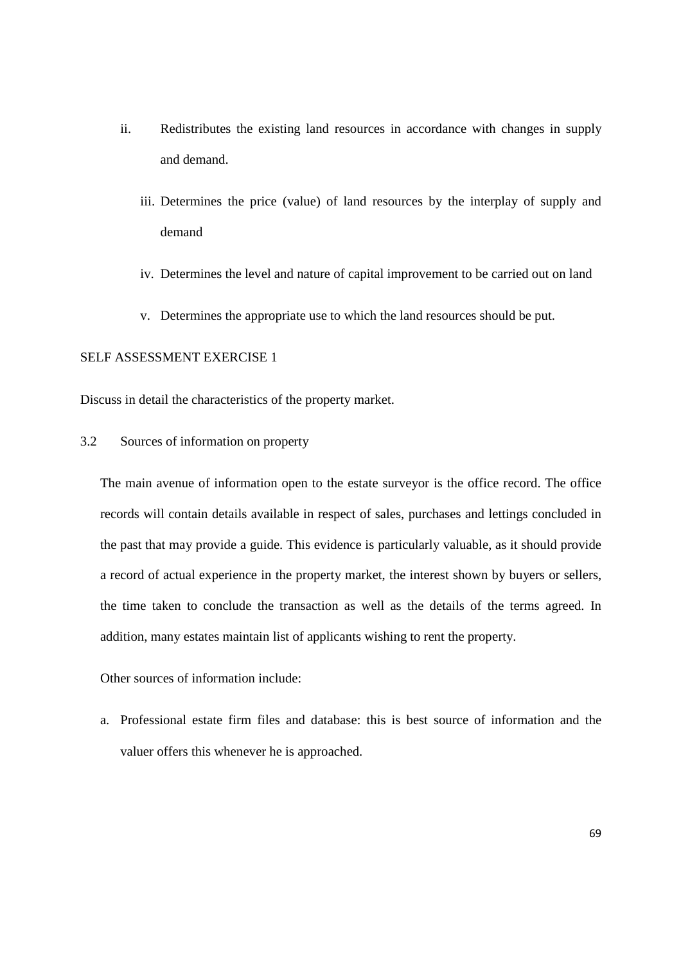- ii. Redistributes the existing land resources in accordance with changes in supply and demand.
	- iii. Determines the price (value) of land resources by the interplay of supply and demand
	- iv. Determines the level and nature of capital improvement to be carried out on land
	- v. Determines the appropriate use to which the land resources should be put.

## SELF ASSESSMENT EXERCISE 1

Discuss in detail the characteristics of the property market.

3.2 Sources of information on property

The main avenue of information open to the estate surveyor is the office record. The office records will contain details available in respect of sales, purchases and lettings concluded in the past that may provide a guide. This evidence is particularly valuable, as it should provide a record of actual experience in the property market, the interest shown by buyers or sellers, the time taken to conclude the transaction as well as the details of the terms agreed. In addition, many estates maintain list of applicants wishing to rent the property.

Other sources of information include:

a. Professional estate firm files and database: this is best source of information and the valuer offers this whenever he is approached.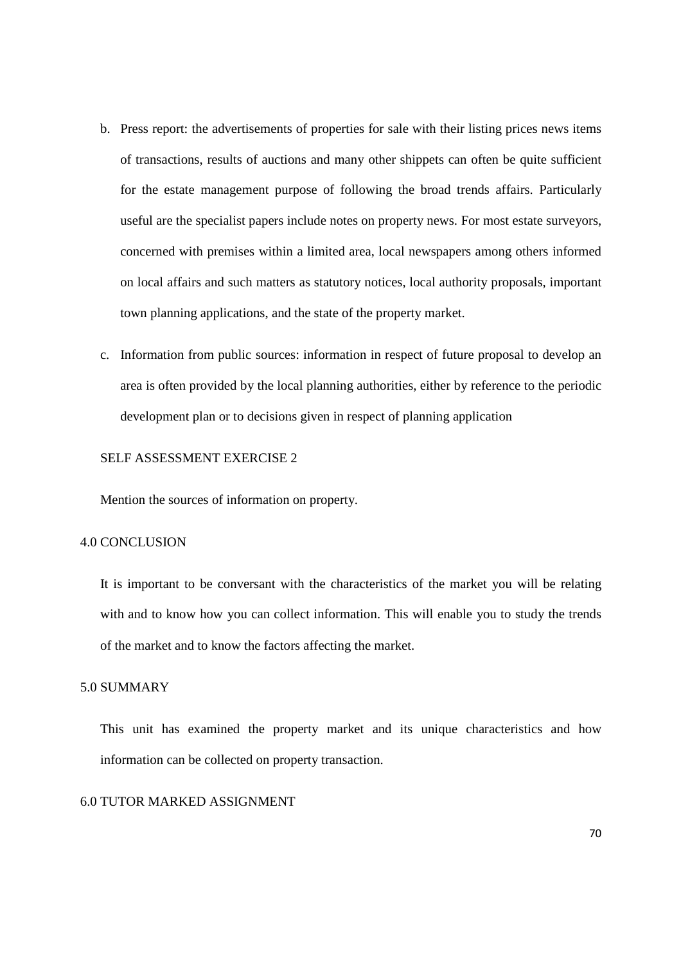- b. Press report: the advertisements of properties for sale with their listing prices news items of transactions, results of auctions and many other shippets can often be quite sufficient for the estate management purpose of following the broad trends affairs. Particularly useful are the specialist papers include notes on property news. For most estate surveyors, concerned with premises within a limited area, local newspapers among others informed on local affairs and such matters as statutory notices, local authority proposals, important town planning applications, and the state of the property market.
- c. Information from public sources: information in respect of future proposal to develop an area is often provided by the local planning authorities, either by reference to the periodic development plan or to decisions given in respect of planning application

### SELF ASSESSMENT EXERCISE 2

Mention the sources of information on property.

#### 4.0 CONCLUSION

It is important to be conversant with the characteristics of the market you will be relating with and to know how you can collect information. This will enable you to study the trends of the market and to know the factors affecting the market.

### 5.0 SUMMARY

This unit has examined the property market and its unique characteristics and how information can be collected on property transaction.

### 6.0 TUTOR MARKED ASSIGNMENT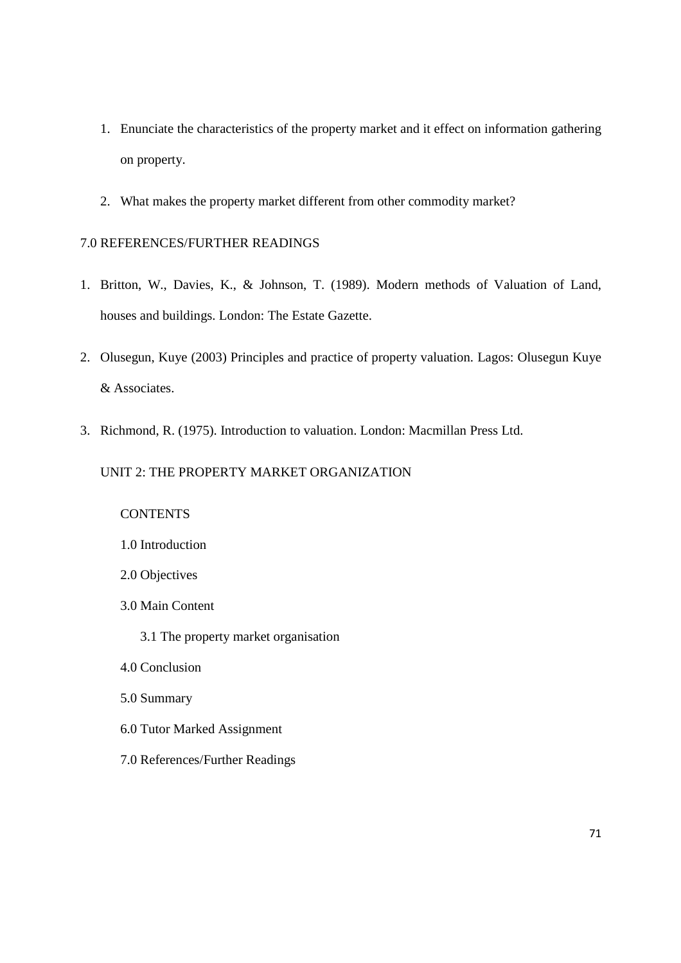- 1. Enunciate the characteristics of the property market and it effect on information gathering on property.
- 2. What makes the property market different from other commodity market?

### 7.0 REFERENCES/FURTHER READINGS

- 1. Britton, W., Davies, K., & Johnson, T. (1989). Modern methods of Valuation of Land, houses and buildings. London: The Estate Gazette.
- 2. Olusegun, Kuye (2003) Principles and practice of property valuation. Lagos: Olusegun Kuye & Associates.
- 3. Richmond, R. (1975). Introduction to valuation. London: Macmillan Press Ltd.

### UNIT 2: THE PROPERTY MARKET ORGANIZATION

## **CONTENTS**

- 1.0 Introduction
- 2.0 Objectives
- 3.0 Main Content
	- 3.1 The property market organisation
- 4.0 Conclusion
- 5.0 Summary
- 6.0 Tutor Marked Assignment
- 7.0 References/Further Readings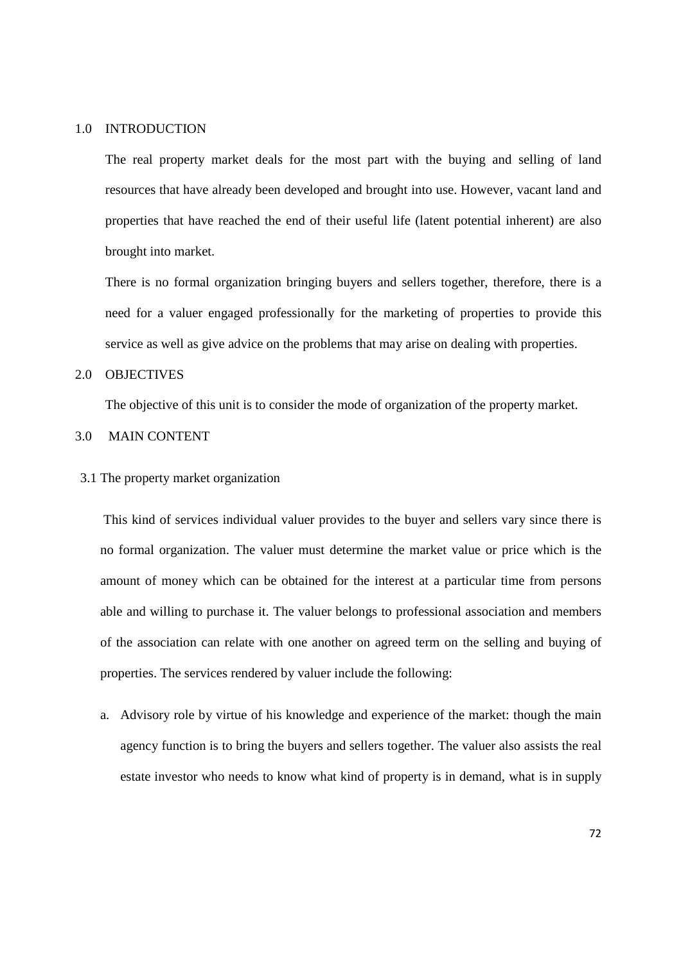#### 1.0 INTRODUCTION

The real property market deals for the most part with the buying and selling of land resources that have already been developed and brought into use. However, vacant land and properties that have reached the end of their useful life (latent potential inherent) are also brought into market.

There is no formal organization bringing buyers and sellers together, therefore, there is a need for a valuer engaged professionally for the marketing of properties to provide this service as well as give advice on the problems that may arise on dealing with properties.

### 2.0 OBJECTIVES

The objective of this unit is to consider the mode of organization of the property market.

### 3.0 MAIN CONTENT

3.1 The property market organization

This kind of services individual valuer provides to the buyer and sellers vary since there is no formal organization. The valuer must determine the market value or price which is the amount of money which can be obtained for the interest at a particular time from persons able and willing to purchase it. The valuer belongs to professional association and members of the association can relate with one another on agreed term on the selling and buying of properties. The services rendered by valuer include the following:

a. Advisory role by virtue of his knowledge and experience of the market: though the main agency function is to bring the buyers and sellers together. The valuer also assists the real estate investor who needs to know what kind of property is in demand, what is in supply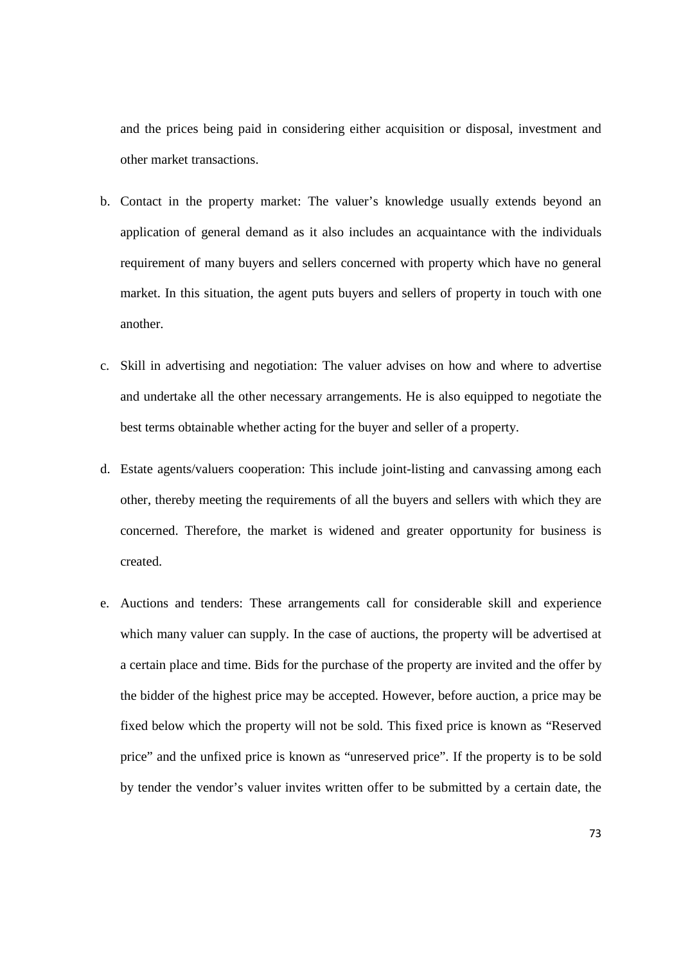and the prices being paid in considering either acquisition or disposal, investment and other market transactions.

- b. Contact in the property market: The valuer's knowledge usually extends beyond an application of general demand as it also includes an acquaintance with the individuals requirement of many buyers and sellers concerned with property which have no general market. In this situation, the agent puts buyers and sellers of property in touch with one another.
- c. Skill in advertising and negotiation: The valuer advises on how and where to advertise and undertake all the other necessary arrangements. He is also equipped to negotiate the best terms obtainable whether acting for the buyer and seller of a property.
- d. Estate agents/valuers cooperation: This include joint-listing and canvassing among each other, thereby meeting the requirements of all the buyers and sellers with which they are concerned. Therefore, the market is widened and greater opportunity for business is created.
- e. Auctions and tenders: These arrangements call for considerable skill and experience which many valuer can supply. In the case of auctions, the property will be advertised at a certain place and time. Bids for the purchase of the property are invited and the offer by the bidder of the highest price may be accepted. However, before auction, a price may be fixed below which the property will not be sold. This fixed price is known as "Reserved price" and the unfixed price is known as "unreserved price". If the property is to be sold by tender the vendor's valuer invites written offer to be submitted by a certain date, the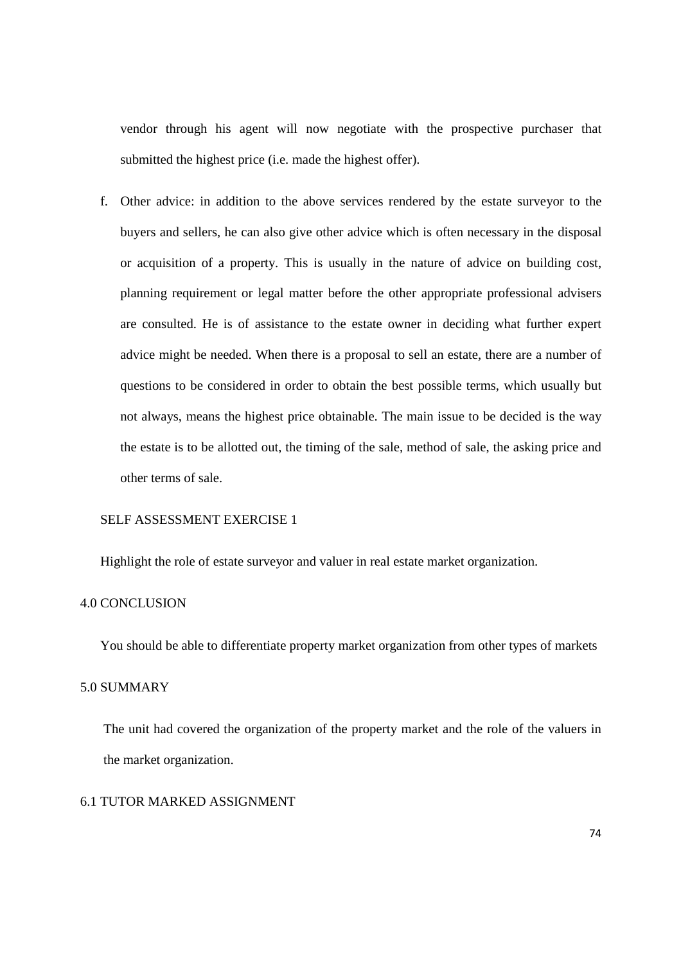vendor through his agent will now negotiate with the prospective purchaser that submitted the highest price (i.e. made the highest offer).

f. Other advice: in addition to the above services rendered by the estate surveyor to the buyers and sellers, he can also give other advice which is often necessary in the disposal or acquisition of a property. This is usually in the nature of advice on building cost, planning requirement or legal matter before the other appropriate professional advisers are consulted. He is of assistance to the estate owner in deciding what further expert advice might be needed. When there is a proposal to sell an estate, there are a number of questions to be considered in order to obtain the best possible terms, which usually but not always, means the highest price obtainable. The main issue to be decided is the way the estate is to be allotted out, the timing of the sale, method of sale, the asking price and other terms of sale.

### SELF ASSESSMENT EXERCISE 1

Highlight the role of estate surveyor and valuer in real estate market organization.

#### 4.0 CONCLUSION

You should be able to differentiate property market organization from other types of markets

### 5.0 SUMMARY

The unit had covered the organization of the property market and the role of the valuers in the market organization.

## 6.1 TUTOR MARKED ASSIGNMENT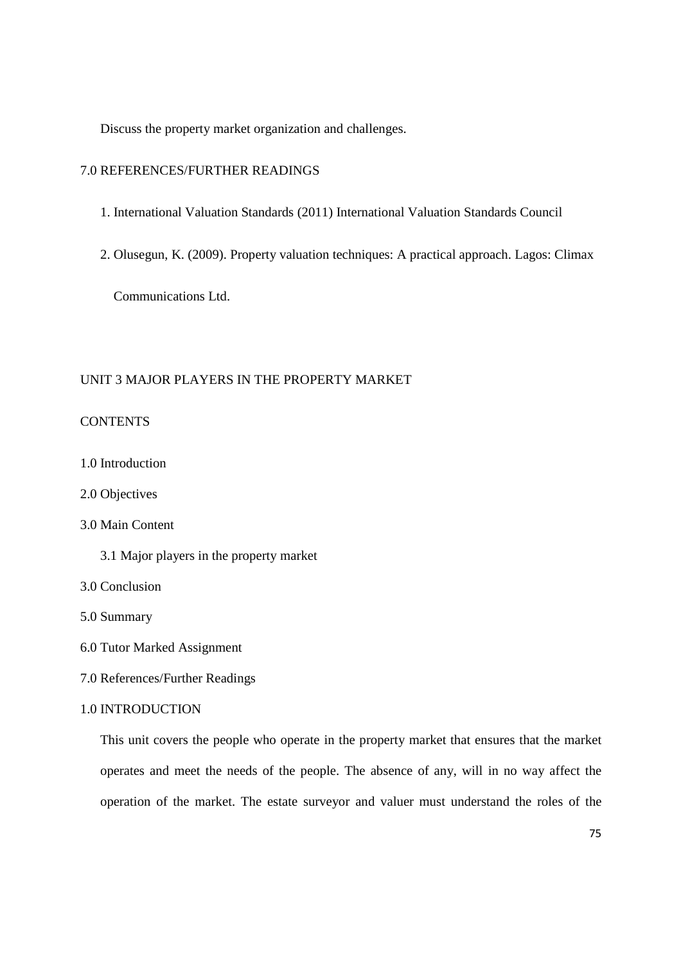Discuss the property market organization and challenges.

### 7.0 REFERENCES/FURTHER READINGS

- 1. International Valuation Standards (2011) International Valuation Standards Council
- 2. Olusegun, K. (2009). Property valuation techniques: A practical approach. Lagos: Climax

Communications Ltd.

#### UNIT 3 MAJOR PLAYERS IN THE PROPERTY MARKET

## CONTENTS

- 1.0 Introduction
- 2.0 Objectives

### 3.0 Main Content

- 3.1 Major players in the property market
- 3.0 Conclusion
- 5.0 Summary
- 6.0 Tutor Marked Assignment
- 7.0 References/Further Readings

### 1.0 INTRODUCTION

This unit covers the people who operate in the property market that ensures that the market operates and meet the needs of the people. The absence of any, will in no way affect the operation of the market. The estate surveyor and valuer must understand the roles of the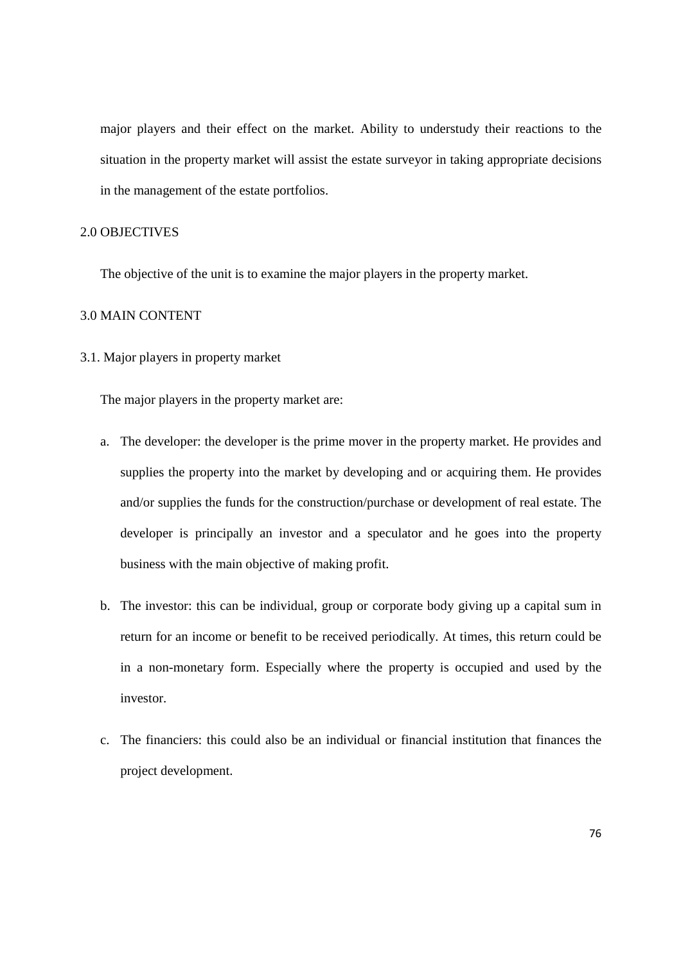major players and their effect on the market. Ability to understudy their reactions to the situation in the property market will assist the estate surveyor in taking appropriate decisions in the management of the estate portfolios.

### 2.0 OBJECTIVES

The objective of the unit is to examine the major players in the property market.

#### 3.0 MAIN CONTENT

3.1. Major players in property market

The major players in the property market are:

- a. The developer: the developer is the prime mover in the property market. He provides and supplies the property into the market by developing and or acquiring them. He provides and/or supplies the funds for the construction/purchase or development of real estate. The developer is principally an investor and a speculator and he goes into the property business with the main objective of making profit.
- b. The investor: this can be individual, group or corporate body giving up a capital sum in return for an income or benefit to be received periodically. At times, this return could be in a non-monetary form. Especially where the property is occupied and used by the investor.
- c. The financiers: this could also be an individual or financial institution that finances the project development.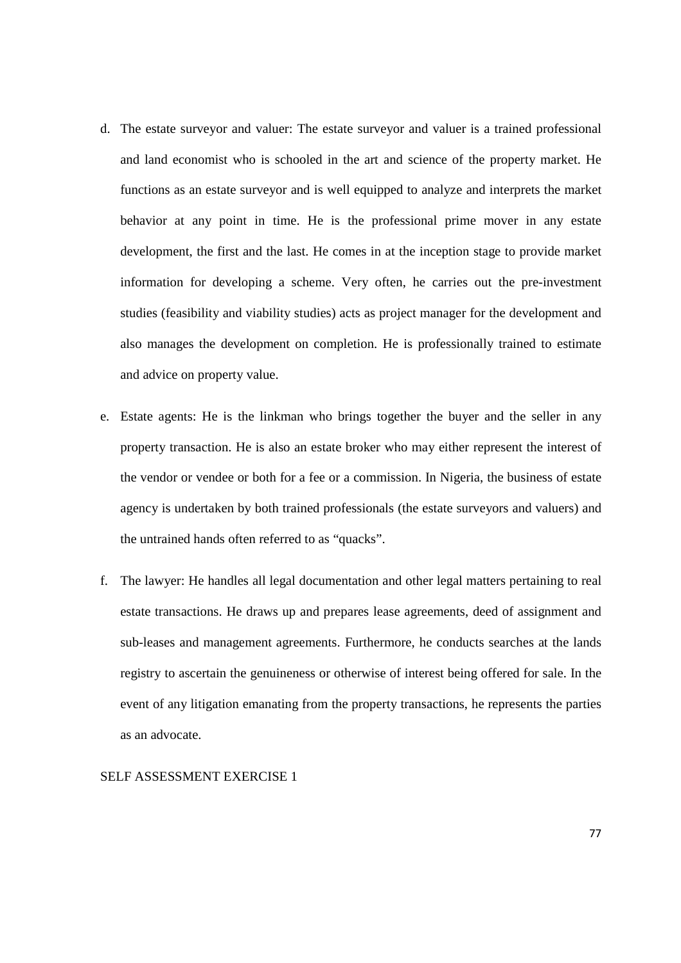- d. The estate surveyor and valuer: The estate surveyor and valuer is a trained professional and land economist who is schooled in the art and science of the property market. He functions as an estate surveyor and is well equipped to analyze and interprets the market behavior at any point in time. He is the professional prime mover in any estate development, the first and the last. He comes in at the inception stage to provide market information for developing a scheme. Very often, he carries out the pre-investment studies (feasibility and viability studies) acts as project manager for the development and also manages the development on completion. He is professionally trained to estimate and advice on property value.
- e. Estate agents: He is the linkman who brings together the buyer and the seller in any property transaction. He is also an estate broker who may either represent the interest of the vendor or vendee or both for a fee or a commission. In Nigeria, the business of estate agency is undertaken by both trained professionals (the estate surveyors and valuers) and the untrained hands often referred to as "quacks".
- f. The lawyer: He handles all legal documentation and other legal matters pertaining to real estate transactions. He draws up and prepares lease agreements, deed of assignment and sub-leases and management agreements. Furthermore, he conducts searches at the lands registry to ascertain the genuineness or otherwise of interest being offered for sale. In the event of any litigation emanating from the property transactions, he represents the parties as an advocate.

#### SELF ASSESSMENT EXERCISE 1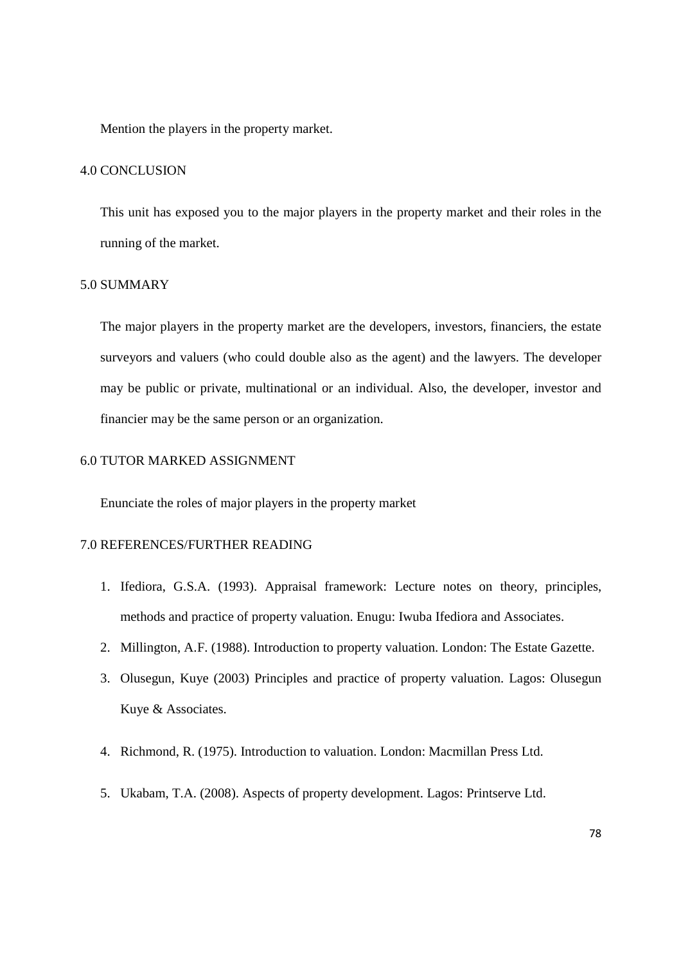Mention the players in the property market.

### 4.0 CONCLUSION

This unit has exposed you to the major players in the property market and their roles in the running of the market.

### 5.0 SUMMARY

The major players in the property market are the developers, investors, financiers, the estate surveyors and valuers (who could double also as the agent) and the lawyers. The developer may be public or private, multinational or an individual. Also, the developer, investor and financier may be the same person or an organization.

### 6.0 TUTOR MARKED ASSIGNMENT

Enunciate the roles of major players in the property market

### 7.0 REFERENCES/FURTHER READING

- 1. Ifediora, G.S.A. (1993). Appraisal framework: Lecture notes on theory, principles, methods and practice of property valuation. Enugu: Iwuba Ifediora and Associates.
- 2. Millington, A.F. (1988). Introduction to property valuation. London: The Estate Gazette.
- 3. Olusegun, Kuye (2003) Principles and practice of property valuation. Lagos: Olusegun Kuye & Associates.
- 4. Richmond, R. (1975). Introduction to valuation. London: Macmillan Press Ltd.
- 5. Ukabam, T.A. (2008). Aspects of property development. Lagos: Printserve Ltd.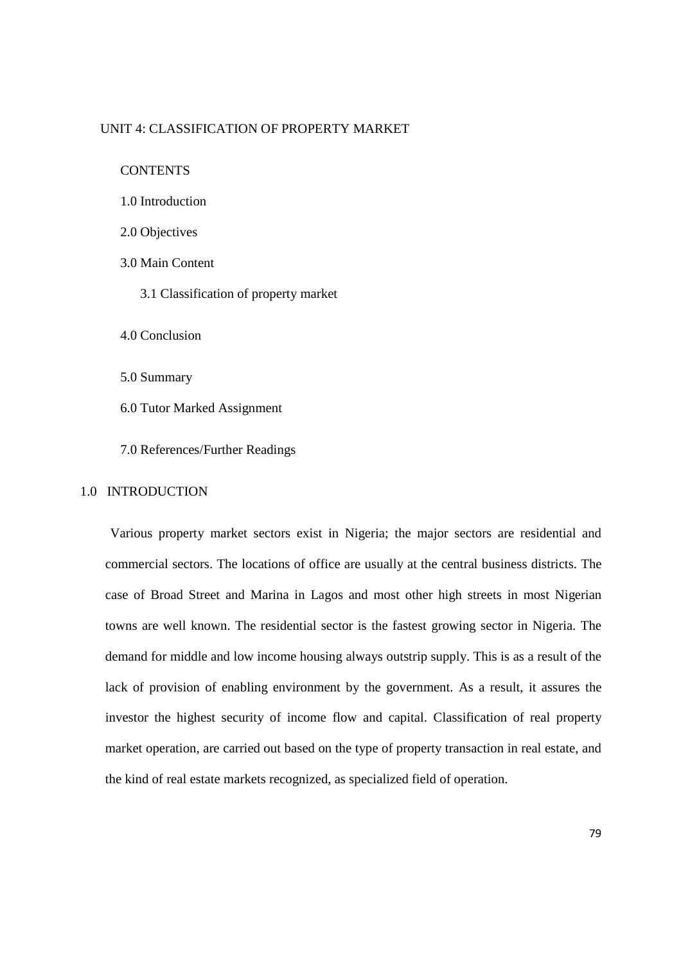#### UNIT 4: CLASSIFICATION OF PROPERTY MARKET

**CONTENTS** 

- 1.0 Introduction
- 2.0 Objectives
- 3.0 Main Content
	- 3.1 Classification of property market

4.0 Conclusion

5.0 Summary

6.0 Tutor Marked Assignment

7.0 References/Further Readings

#### 1.0 INTRODUCTION

 Various property market sectors exist in Nigeria; the major sectors are residential and commercial sectors. The locations of office are usually at the central business districts. The case of Broad Street and Marina in Lagos and most other high streets in most Nigerian towns are well known. The residential sector is the fastest growing sector in Nigeria. The demand for middle and low income housing always outstrip supply. This is as a result of the lack of provision of enabling environment by the government. As a result, it assures the investor the highest security of income flow and capital. Classification of real property market operation, are carried out based on the type of property transaction in real estate, and the kind of real estate markets recognized, as specialized field of operation.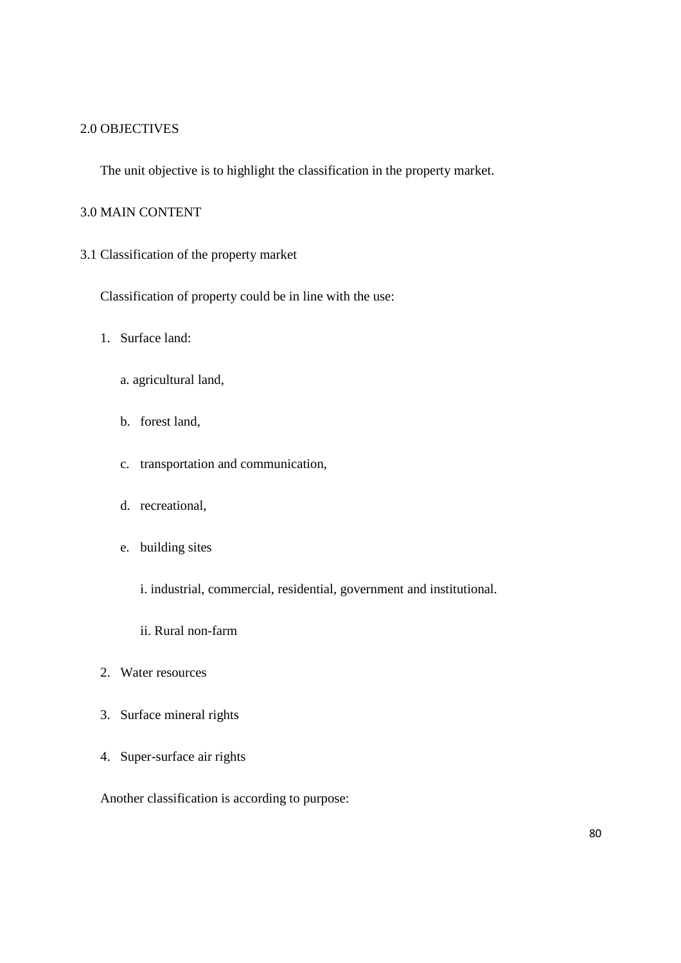## 2.0 OBJECTIVES

The unit objective is to highlight the classification in the property market.

## 3.0 MAIN CONTENT

3.1 Classification of the property market

Classification of property could be in line with the use:

- 1. Surface land:
	- a. agricultural land,
	- b. forest land,
	- c. transportation and communication,
	- d. recreational,
	- e. building sites
		- i. industrial, commercial, residential, government and institutional.
		- ii. Rural non-farm
- 2. Water resources
- 3. Surface mineral rights
- 4. Super-surface air rights

Another classification is according to purpose: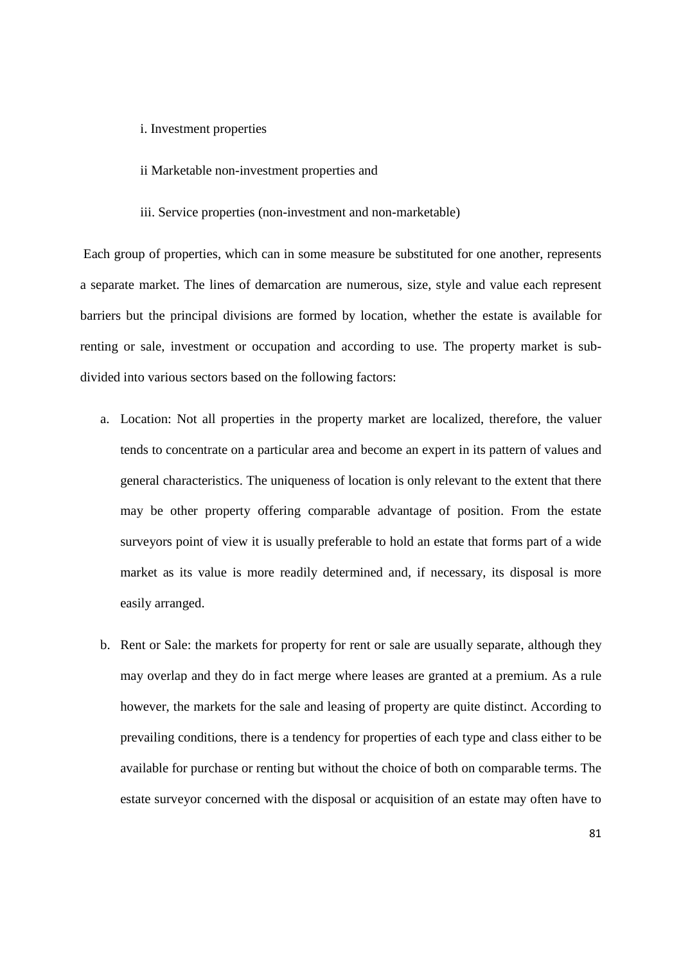#### i. Investment properties

- ii Marketable non-investment properties and
- iii. Service properties (non-investment and non-marketable)

 Each group of properties, which can in some measure be substituted for one another, represents a separate market. The lines of demarcation are numerous, size, style and value each represent barriers but the principal divisions are formed by location, whether the estate is available for renting or sale, investment or occupation and according to use. The property market is subdivided into various sectors based on the following factors:

- a. Location: Not all properties in the property market are localized, therefore, the valuer tends to concentrate on a particular area and become an expert in its pattern of values and general characteristics. The uniqueness of location is only relevant to the extent that there may be other property offering comparable advantage of position. From the estate surveyors point of view it is usually preferable to hold an estate that forms part of a wide market as its value is more readily determined and, if necessary, its disposal is more easily arranged.
- b. Rent or Sale: the markets for property for rent or sale are usually separate, although they may overlap and they do in fact merge where leases are granted at a premium. As a rule however, the markets for the sale and leasing of property are quite distinct. According to prevailing conditions, there is a tendency for properties of each type and class either to be available for purchase or renting but without the choice of both on comparable terms. The estate surveyor concerned with the disposal or acquisition of an estate may often have to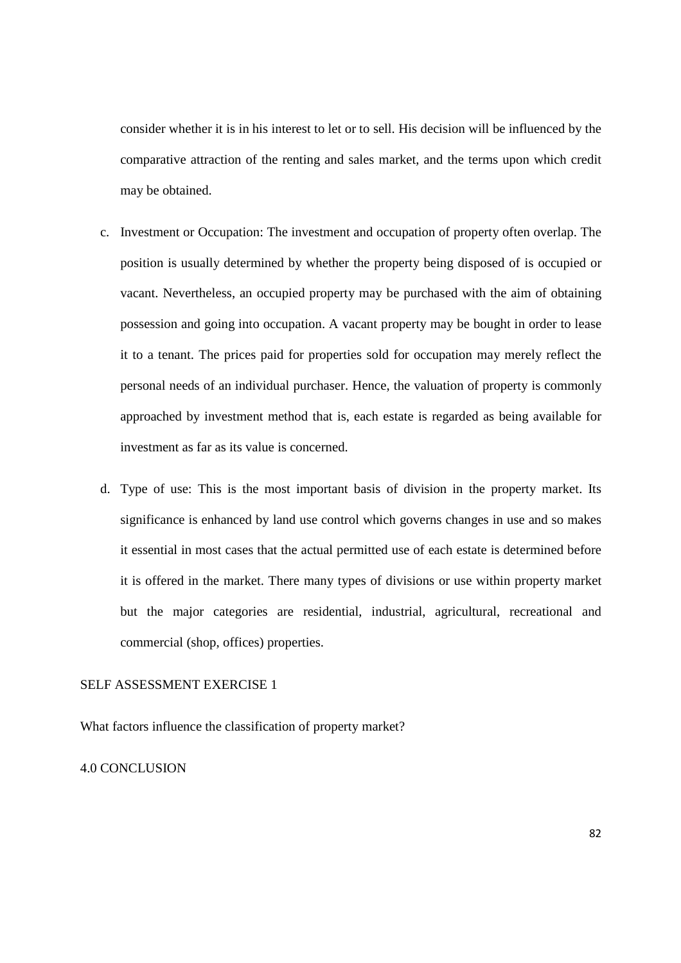consider whether it is in his interest to let or to sell. His decision will be influenced by the comparative attraction of the renting and sales market, and the terms upon which credit may be obtained.

- c. Investment or Occupation: The investment and occupation of property often overlap. The position is usually determined by whether the property being disposed of is occupied or vacant. Nevertheless, an occupied property may be purchased with the aim of obtaining possession and going into occupation. A vacant property may be bought in order to lease it to a tenant. The prices paid for properties sold for occupation may merely reflect the personal needs of an individual purchaser. Hence, the valuation of property is commonly approached by investment method that is, each estate is regarded as being available for investment as far as its value is concerned.
- d. Type of use: This is the most important basis of division in the property market. Its significance is enhanced by land use control which governs changes in use and so makes it essential in most cases that the actual permitted use of each estate is determined before it is offered in the market. There many types of divisions or use within property market but the major categories are residential, industrial, agricultural, recreational and commercial (shop, offices) properties.

## SELF ASSESSMENT EXERCISE 1

What factors influence the classification of property market?

#### 4.0 CONCLUSION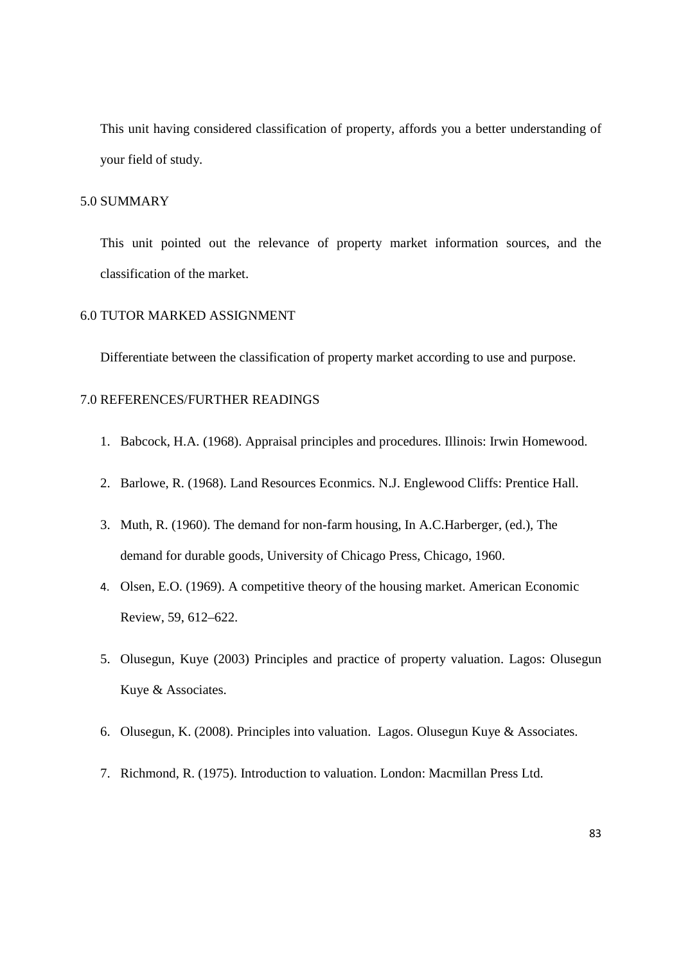This unit having considered classification of property, affords you a better understanding of your field of study.

### 5.0 SUMMARY

This unit pointed out the relevance of property market information sources, and the classification of the market.

#### 6.0 TUTOR MARKED ASSIGNMENT

Differentiate between the classification of property market according to use and purpose.

## 7.0 REFERENCES/FURTHER READINGS

- 1. Babcock, H.A. (1968). Appraisal principles and procedures. Illinois: Irwin Homewood.
- 2. Barlowe, R. (1968). Land Resources Econmics. N.J. Englewood Cliffs: Prentice Hall.
- 3. Muth, R. (1960). The demand for non-farm housing, In A.C.Harberger, (ed.), The demand for durable goods, University of Chicago Press, Chicago, 1960.
- 4. Olsen, E.O. (1969). A competitive theory of the housing market. American Economic Review, 59, 612–622.
- 5. Olusegun, Kuye (2003) Principles and practice of property valuation. Lagos: Olusegun Kuye & Associates.
- 6. Olusegun, K. (2008). Principles into valuation. Lagos. Olusegun Kuye & Associates.
- 7. Richmond, R. (1975). Introduction to valuation. London: Macmillan Press Ltd.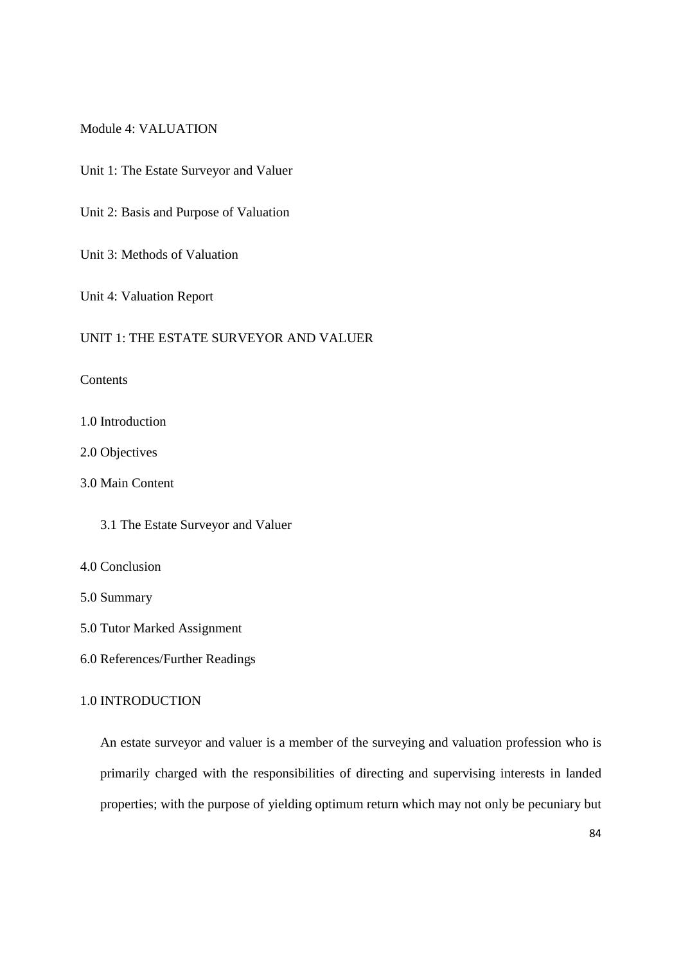#### Module 4: VALUATION

Unit 1: The Estate Surveyor and Valuer

Unit 2: Basis and Purpose of Valuation

Unit 3: Methods of Valuation

Unit 4: Valuation Report

### UNIT 1: THE ESTATE SURVEYOR AND VALUER

**Contents** 

1.0 Introduction

2.0 Objectives

3.0 Main Content

3.1 The Estate Surveyor and Valuer

4.0 Conclusion

5.0 Summary

- 5.0 Tutor Marked Assignment
- 6.0 References/Further Readings

### 1.0 INTRODUCTION

An estate surveyor and valuer is a member of the surveying and valuation profession who is primarily charged with the responsibilities of directing and supervising interests in landed properties; with the purpose of yielding optimum return which may not only be pecuniary but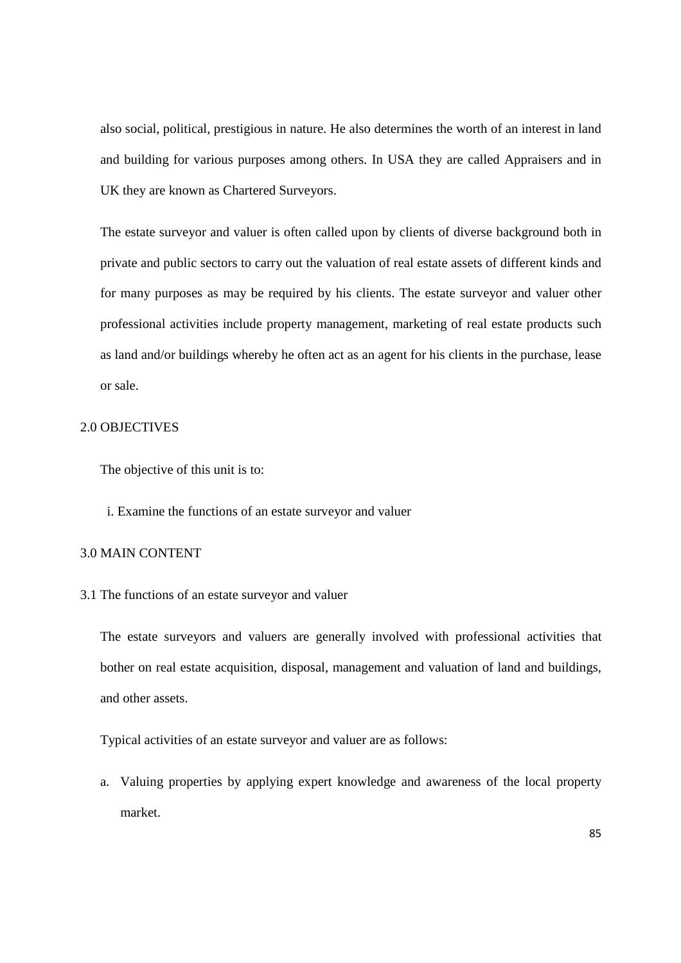also social, political, prestigious in nature. He also determines the worth of an interest in land and building for various purposes among others. In USA they are called Appraisers and in UK they are known as Chartered Surveyors.

The estate surveyor and valuer is often called upon by clients of diverse background both in private and public sectors to carry out the valuation of real estate assets of different kinds and for many purposes as may be required by his clients. The estate surveyor and valuer other professional activities include property management, marketing of real estate products such as land and/or buildings whereby he often act as an agent for his clients in the purchase, lease or sale.

### 2.0 OBJECTIVES

The objective of this unit is to:

i. Examine the functions of an estate surveyor and valuer

#### 3.0 MAIN CONTENT

3.1 The functions of an estate surveyor and valuer

The estate surveyors and valuers are generally involved with professional activities that bother on real estate acquisition, disposal, management and valuation of land and buildings, and other assets.

Typical activities of an estate surveyor and valuer are as follows:

a. Valuing properties by applying expert knowledge and awareness of the local property market.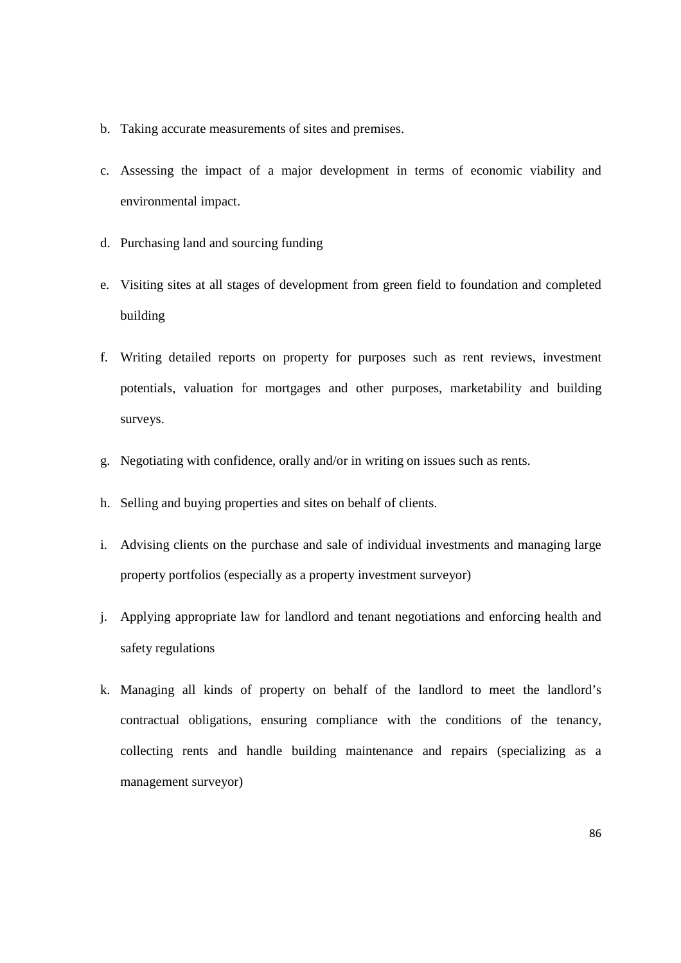- b. Taking accurate measurements of sites and premises.
- c. Assessing the impact of a major development in terms of economic viability and environmental impact.
- d. Purchasing land and sourcing funding
- e. Visiting sites at all stages of development from green field to foundation and completed building
- f. Writing detailed reports on property for purposes such as rent reviews, investment potentials, valuation for mortgages and other purposes, marketability and building surveys.
- g. Negotiating with confidence, orally and/or in writing on issues such as rents.
- h. Selling and buying properties and sites on behalf of clients.
- i. Advising clients on the purchase and sale of individual investments and managing large property portfolios (especially as a property investment surveyor)
- j. Applying appropriate law for landlord and tenant negotiations and enforcing health and safety regulations
- k. Managing all kinds of property on behalf of the landlord to meet the landlord's contractual obligations, ensuring compliance with the conditions of the tenancy, collecting rents and handle building maintenance and repairs (specializing as a management surveyor)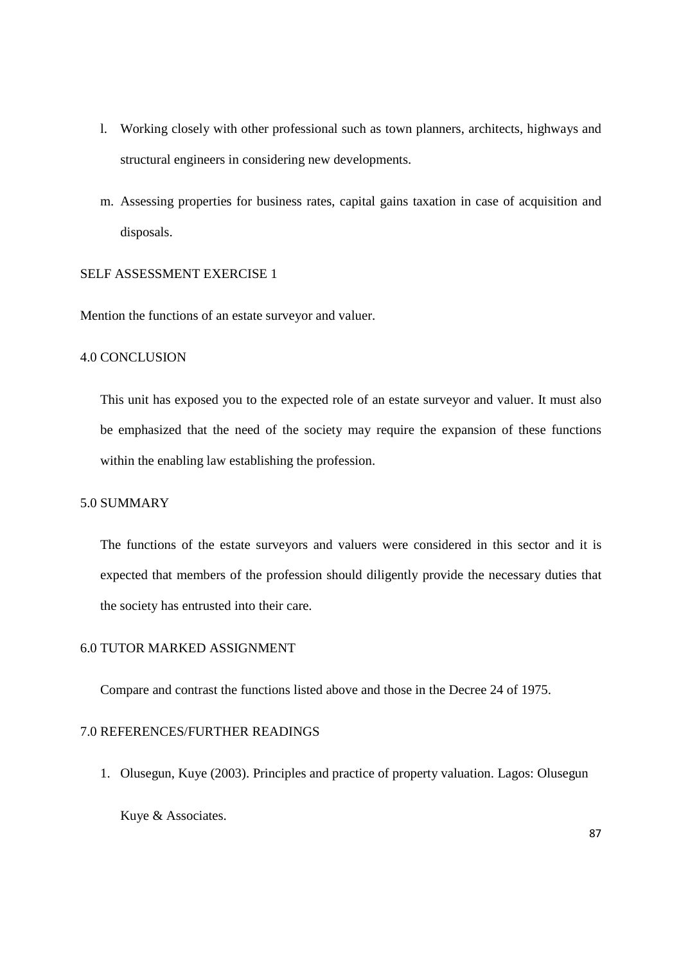- l. Working closely with other professional such as town planners, architects, highways and structural engineers in considering new developments.
- m. Assessing properties for business rates, capital gains taxation in case of acquisition and disposals.

### SELF ASSESSMENT EXERCISE 1

Mention the functions of an estate surveyor and valuer.

### 4.0 CONCLUSION

This unit has exposed you to the expected role of an estate surveyor and valuer. It must also be emphasized that the need of the society may require the expansion of these functions within the enabling law establishing the profession.

### 5.0 SUMMARY

The functions of the estate surveyors and valuers were considered in this sector and it is expected that members of the profession should diligently provide the necessary duties that the society has entrusted into their care.

### 6.0 TUTOR MARKED ASSIGNMENT

Compare and contrast the functions listed above and those in the Decree 24 of 1975.

### 7.0 REFERENCES/FURTHER READINGS

1. Olusegun, Kuye (2003). Principles and practice of property valuation. Lagos: Olusegun

Kuye & Associates.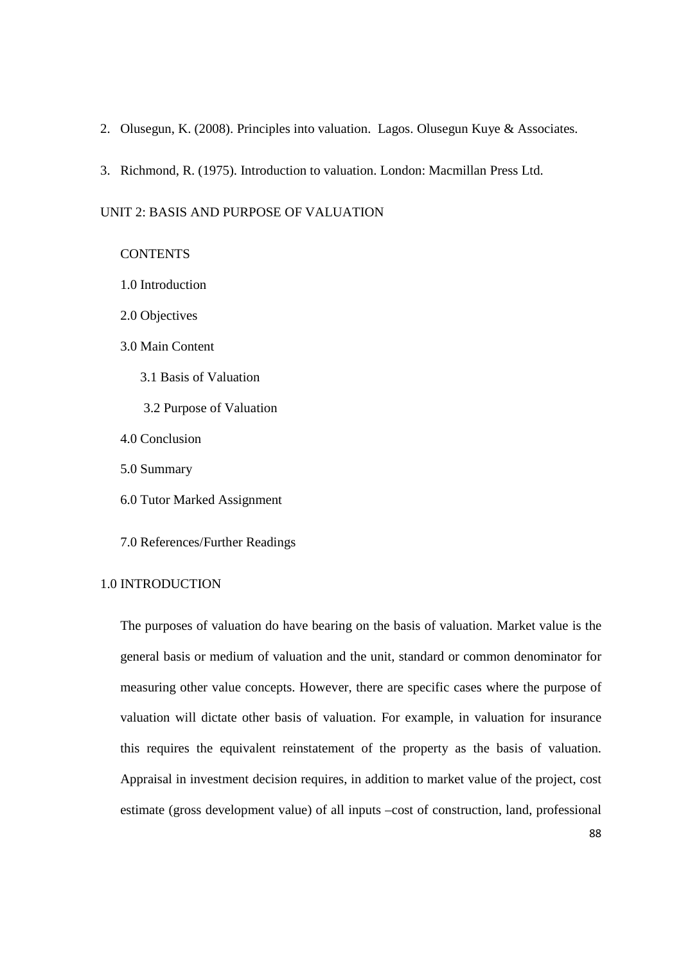- 2. Olusegun, K. (2008). Principles into valuation. Lagos. Olusegun Kuye & Associates.
- 3. Richmond, R. (1975). Introduction to valuation. London: Macmillan Press Ltd.

#### UNIT 2: BASIS AND PURPOSE OF VALUATION

#### **CONTENTS**

- 1.0 Introduction
- 2.0 Objectives

### 3.0 Main Content

- 3.1 Basis of Valuation
- 3.2 Purpose of Valuation
- 4.0 Conclusion
- 5.0 Summary
- 6.0 Tutor Marked Assignment
- 7.0 References/Further Readings

### 1.0 INTRODUCTION

The purposes of valuation do have bearing on the basis of valuation. Market value is the general basis or medium of valuation and the unit, standard or common denominator for measuring other value concepts. However, there are specific cases where the purpose of valuation will dictate other basis of valuation. For example, in valuation for insurance this requires the equivalent reinstatement of the property as the basis of valuation. Appraisal in investment decision requires, in addition to market value of the project, cost estimate (gross development value) of all inputs –cost of construction, land, professional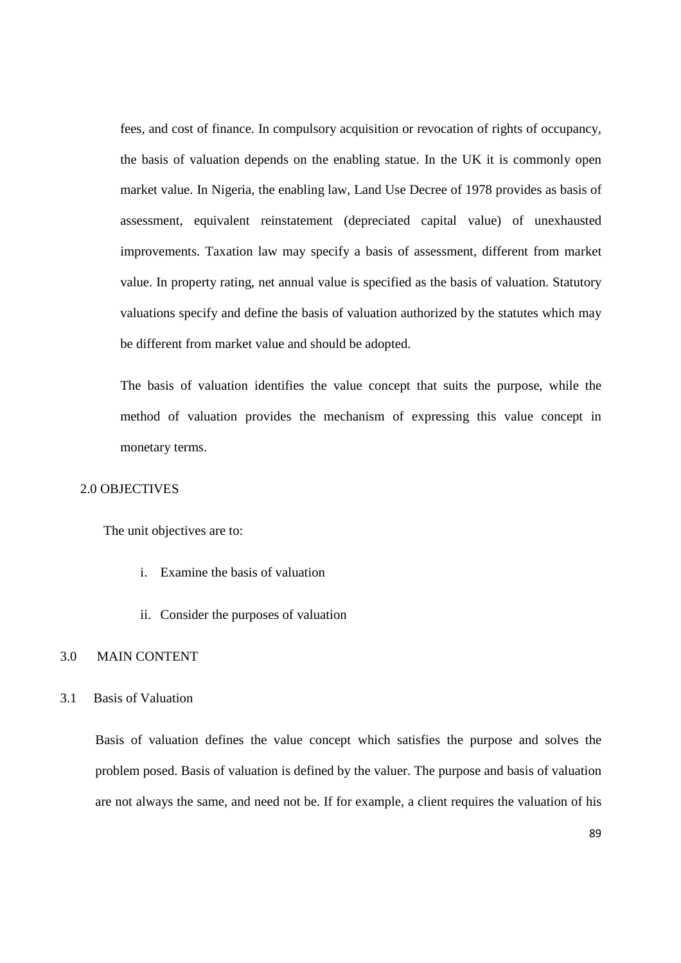fees, and cost of finance. In compulsory acquisition or revocation of rights of occupancy, the basis of valuation depends on the enabling statue. In the UK it is commonly open market value. In Nigeria, the enabling law, Land Use Decree of 1978 provides as basis of assessment, equivalent reinstatement (depreciated capital value) of unexhausted improvements. Taxation law may specify a basis of assessment, different from market value. In property rating, net annual value is specified as the basis of valuation. Statutory valuations specify and define the basis of valuation authorized by the statutes which may be different from market value and should be adopted.

The basis of valuation identifies the value concept that suits the purpose, while the method of valuation provides the mechanism of expressing this value concept in monetary terms.

#### 2.0 OBJECTIVES

The unit objectives are to:

- i. Examine the basis of valuation
- ii. Consider the purposes of valuation

### 3.0 MAIN CONTENT

#### 3.1 Basis of Valuation

Basis of valuation defines the value concept which satisfies the purpose and solves the problem posed. Basis of valuation is defined by the valuer. The purpose and basis of valuation are not always the same, and need not be. If for example, a client requires the valuation of his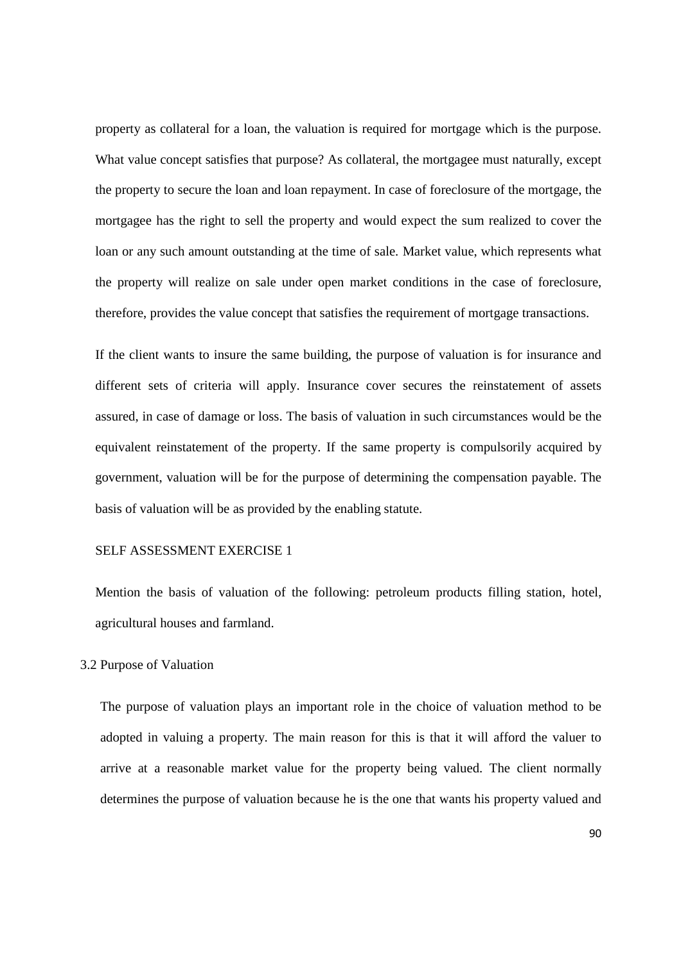property as collateral for a loan, the valuation is required for mortgage which is the purpose. What value concept satisfies that purpose? As collateral, the mortgagee must naturally, except the property to secure the loan and loan repayment. In case of foreclosure of the mortgage, the mortgagee has the right to sell the property and would expect the sum realized to cover the loan or any such amount outstanding at the time of sale. Market value, which represents what the property will realize on sale under open market conditions in the case of foreclosure, therefore, provides the value concept that satisfies the requirement of mortgage transactions.

If the client wants to insure the same building, the purpose of valuation is for insurance and different sets of criteria will apply. Insurance cover secures the reinstatement of assets assured, in case of damage or loss. The basis of valuation in such circumstances would be the equivalent reinstatement of the property. If the same property is compulsorily acquired by government, valuation will be for the purpose of determining the compensation payable. The basis of valuation will be as provided by the enabling statute.

#### SELF ASSESSMENT EXERCISE 1

Mention the basis of valuation of the following: petroleum products filling station, hotel, agricultural houses and farmland.

#### 3.2 Purpose of Valuation

The purpose of valuation plays an important role in the choice of valuation method to be adopted in valuing a property. The main reason for this is that it will afford the valuer to arrive at a reasonable market value for the property being valued. The client normally determines the purpose of valuation because he is the one that wants his property valued and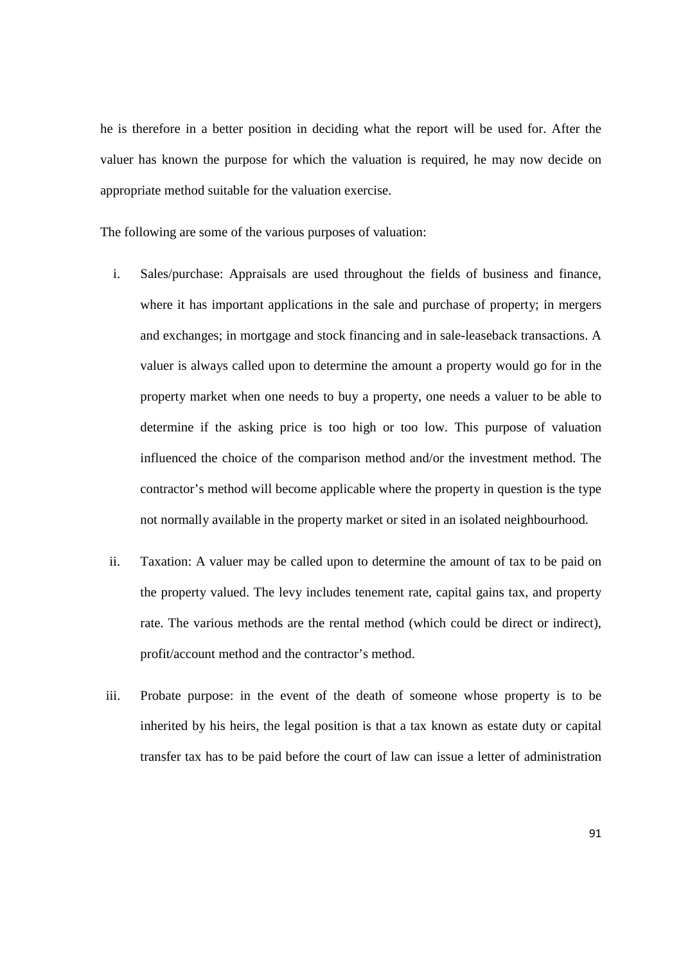he is therefore in a better position in deciding what the report will be used for. After the valuer has known the purpose for which the valuation is required, he may now decide on appropriate method suitable for the valuation exercise.

The following are some of the various purposes of valuation:

- i. Sales/purchase: Appraisals are used throughout the fields of business and finance, where it has important applications in the sale and purchase of property; in mergers and exchanges; in mortgage and stock financing and in sale-leaseback transactions. A valuer is always called upon to determine the amount a property would go for in the property market when one needs to buy a property, one needs a valuer to be able to determine if the asking price is too high or too low. This purpose of valuation influenced the choice of the comparison method and/or the investment method. The contractor's method will become applicable where the property in question is the type not normally available in the property market or sited in an isolated neighbourhood.
- ii. Taxation: A valuer may be called upon to determine the amount of tax to be paid on the property valued. The levy includes tenement rate, capital gains tax, and property rate. The various methods are the rental method (which could be direct or indirect), profit/account method and the contractor's method.
- iii. Probate purpose: in the event of the death of someone whose property is to be inherited by his heirs, the legal position is that a tax known as estate duty or capital transfer tax has to be paid before the court of law can issue a letter of administration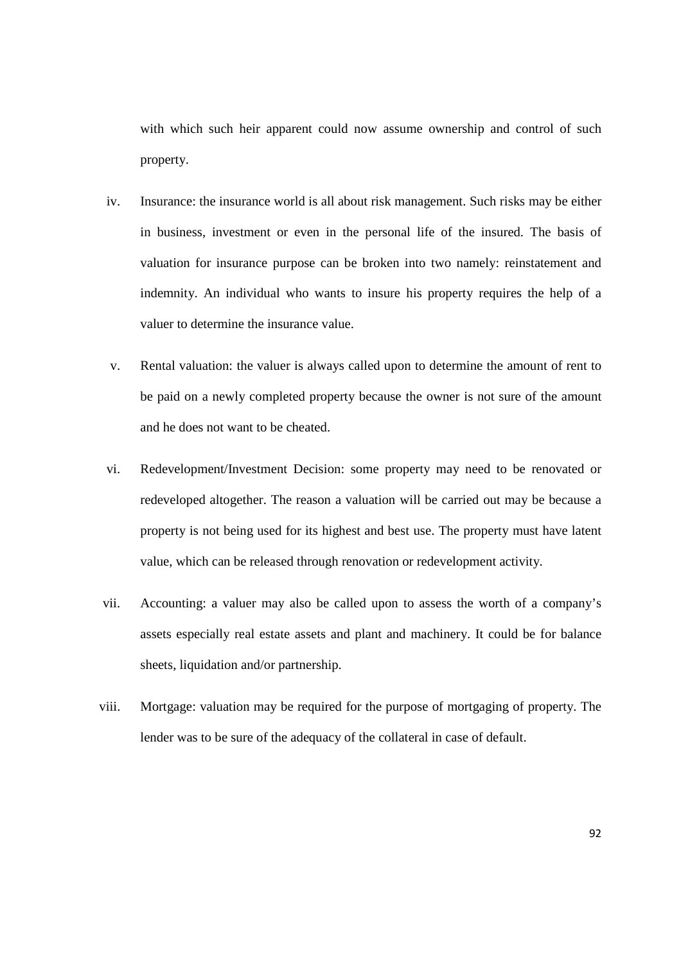with which such heir apparent could now assume ownership and control of such property.

- iv. Insurance: the insurance world is all about risk management. Such risks may be either in business, investment or even in the personal life of the insured. The basis of valuation for insurance purpose can be broken into two namely: reinstatement and indemnity. An individual who wants to insure his property requires the help of a valuer to determine the insurance value.
- v. Rental valuation: the valuer is always called upon to determine the amount of rent to be paid on a newly completed property because the owner is not sure of the amount and he does not want to be cheated.
- vi. Redevelopment/Investment Decision: some property may need to be renovated or redeveloped altogether. The reason a valuation will be carried out may be because a property is not being used for its highest and best use. The property must have latent value, which can be released through renovation or redevelopment activity.
- vii. Accounting: a valuer may also be called upon to assess the worth of a company's assets especially real estate assets and plant and machinery. It could be for balance sheets, liquidation and/or partnership.
- viii. Mortgage: valuation may be required for the purpose of mortgaging of property. The lender was to be sure of the adequacy of the collateral in case of default.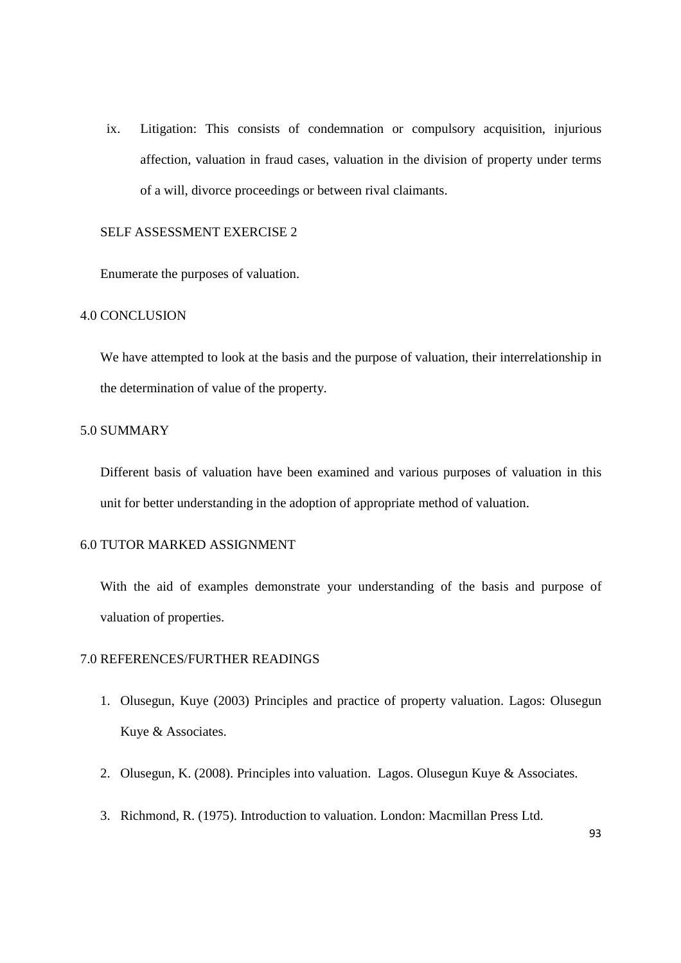ix. Litigation: This consists of condemnation or compulsory acquisition, injurious affection, valuation in fraud cases, valuation in the division of property under terms of a will, divorce proceedings or between rival claimants.

#### SELF ASSESSMENT EXERCISE 2

Enumerate the purposes of valuation.

### 4.0 CONCLUSION

We have attempted to look at the basis and the purpose of valuation, their interrelationship in the determination of value of the property.

#### 5.0 SUMMARY

Different basis of valuation have been examined and various purposes of valuation in this unit for better understanding in the adoption of appropriate method of valuation.

## 6.0 TUTOR MARKED ASSIGNMENT

With the aid of examples demonstrate your understanding of the basis and purpose of valuation of properties.

#### 7.0 REFERENCES/FURTHER READINGS

- 1. Olusegun, Kuye (2003) Principles and practice of property valuation. Lagos: Olusegun Kuye & Associates.
- 2. Olusegun, K. (2008). Principles into valuation. Lagos. Olusegun Kuye & Associates.
- 3. Richmond, R. (1975). Introduction to valuation. London: Macmillan Press Ltd.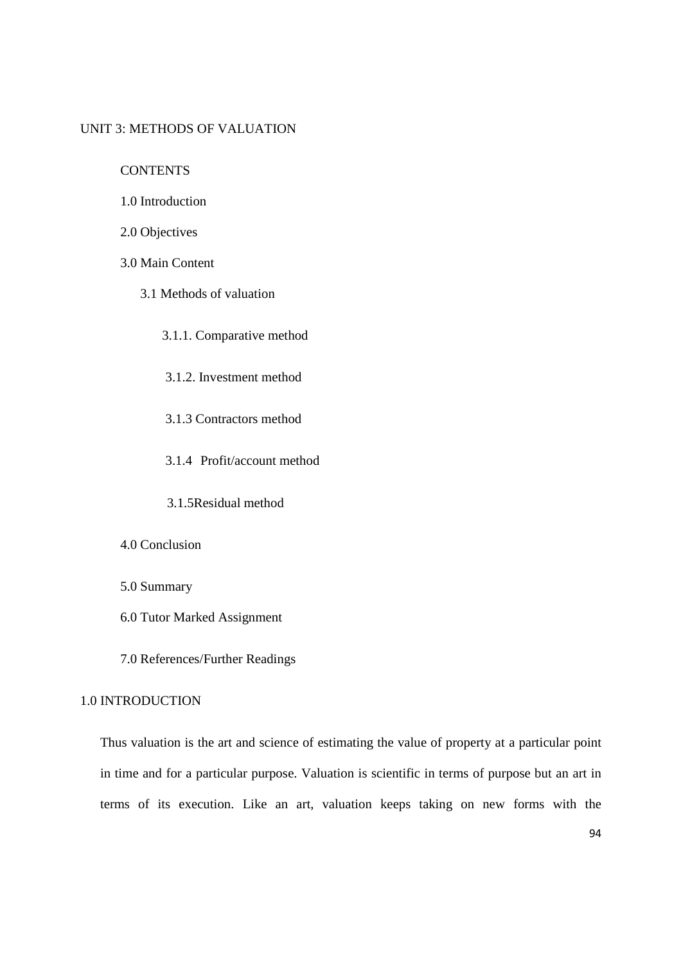### UNIT 3: METHODS OF VALUATION

**CONTENTS** 

- 1.0 Introduction
- 2.0 Objectives
- 3.0 Main Content
	- 3.1 Methods of valuation

3.1.1. Comparative method

3.1.2. Investment method

3.1.3 Contractors method

3.1.4 Profit/account method

3.1.5Residual method

4.0 Conclusion

- 5.0 Summary
- 6.0 Tutor Marked Assignment

7.0 References/Further Readings

#### 1.0 INTRODUCTION

Thus valuation is the art and science of estimating the value of property at a particular point in time and for a particular purpose. Valuation is scientific in terms of purpose but an art in terms of its execution. Like an art, valuation keeps taking on new forms with the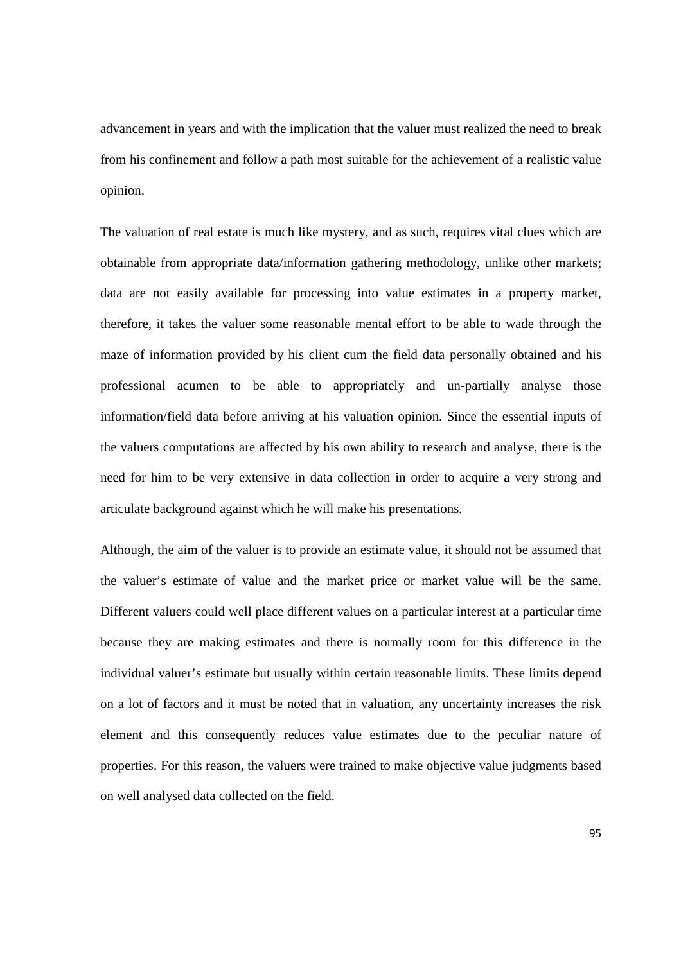advancement in years and with the implication that the valuer must realized the need to break from his confinement and follow a path most suitable for the achievement of a realistic value opinion.

The valuation of real estate is much like mystery, and as such, requires vital clues which are obtainable from appropriate data/information gathering methodology, unlike other markets; data are not easily available for processing into value estimates in a property market, therefore, it takes the valuer some reasonable mental effort to be able to wade through the maze of information provided by his client cum the field data personally obtained and his professional acumen to be able to appropriately and un-partially analyse those information/field data before arriving at his valuation opinion. Since the essential inputs of the valuers computations are affected by his own ability to research and analyse, there is the need for him to be very extensive in data collection in order to acquire a very strong and articulate background against which he will make his presentations.

Although, the aim of the valuer is to provide an estimate value, it should not be assumed that the valuer's estimate of value and the market price or market value will be the same. Different valuers could well place different values on a particular interest at a particular time because they are making estimates and there is normally room for this difference in the individual valuer's estimate but usually within certain reasonable limits. These limits depend on a lot of factors and it must be noted that in valuation, any uncertainty increases the risk element and this consequently reduces value estimates due to the peculiar nature of properties. For this reason, the valuers were trained to make objective value judgments based on well analysed data collected on the field.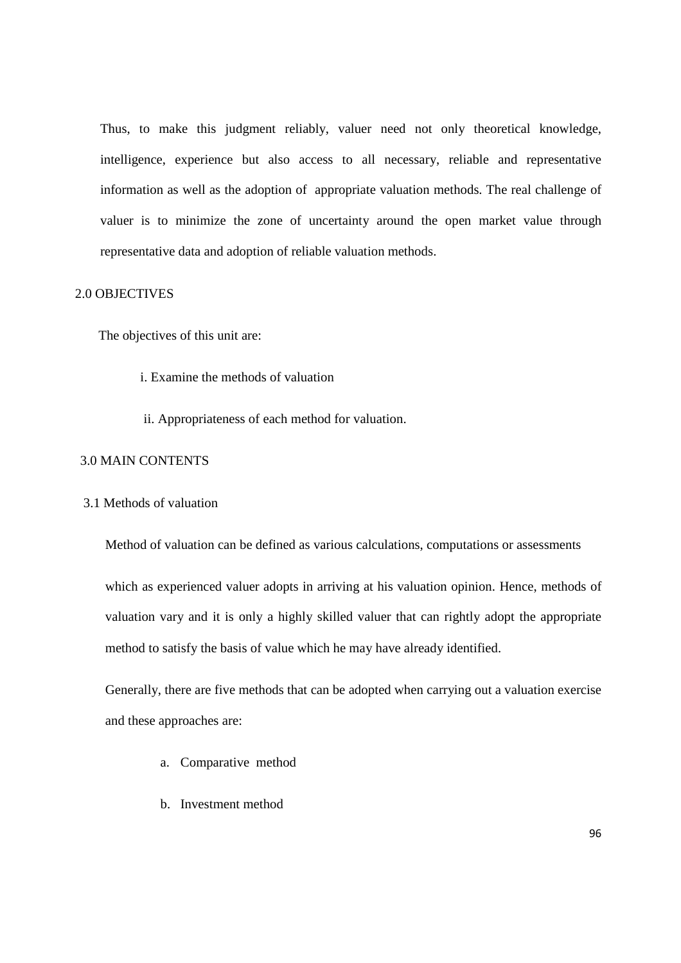Thus, to make this judgment reliably, valuer need not only theoretical knowledge, intelligence, experience but also access to all necessary, reliable and representative information as well as the adoption of appropriate valuation methods. The real challenge of valuer is to minimize the zone of uncertainty around the open market value through representative data and adoption of reliable valuation methods.

#### 2.0 OBJECTIVES

The objectives of this unit are:

- i. Examine the methods of valuation
- ii. Appropriateness of each method for valuation.

### 3.0 MAIN CONTENTS

#### 3.1 Methods of valuation

Method of valuation can be defined as various calculations, computations or assessments

which as experienced valuer adopts in arriving at his valuation opinion. Hence, methods of valuation vary and it is only a highly skilled valuer that can rightly adopt the appropriate method to satisfy the basis of value which he may have already identified.

Generally, there are five methods that can be adopted when carrying out a valuation exercise and these approaches are:

- a. Comparative method
- b. Investment method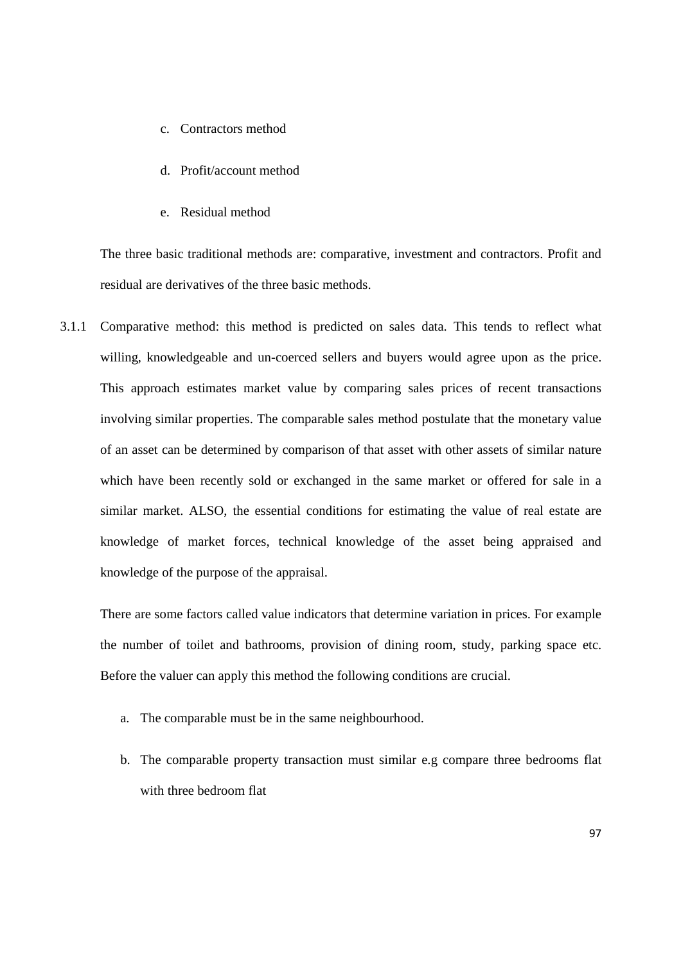- c. Contractors method
- d. Profit/account method
- e. Residual method

The three basic traditional methods are: comparative, investment and contractors. Profit and residual are derivatives of the three basic methods.

3.1.1 Comparative method: this method is predicted on sales data. This tends to reflect what willing, knowledgeable and un-coerced sellers and buyers would agree upon as the price. This approach estimates market value by comparing sales prices of recent transactions involving similar properties. The comparable sales method postulate that the monetary value of an asset can be determined by comparison of that asset with other assets of similar nature which have been recently sold or exchanged in the same market or offered for sale in a similar market. ALSO, the essential conditions for estimating the value of real estate are knowledge of market forces, technical knowledge of the asset being appraised and knowledge of the purpose of the appraisal.

There are some factors called value indicators that determine variation in prices. For example the number of toilet and bathrooms, provision of dining room, study, parking space etc. Before the valuer can apply this method the following conditions are crucial.

- a. The comparable must be in the same neighbourhood.
- b. The comparable property transaction must similar e.g compare three bedrooms flat with three bedroom flat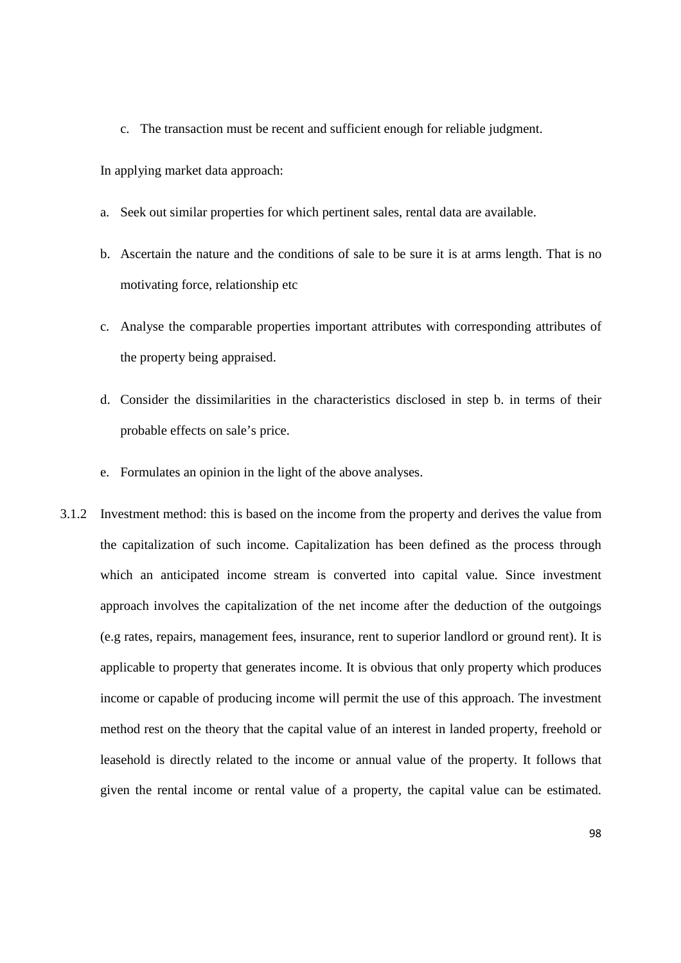c. The transaction must be recent and sufficient enough for reliable judgment.

In applying market data approach:

- a. Seek out similar properties for which pertinent sales, rental data are available.
- b. Ascertain the nature and the conditions of sale to be sure it is at arms length. That is no motivating force, relationship etc
- c. Analyse the comparable properties important attributes with corresponding attributes of the property being appraised.
- d. Consider the dissimilarities in the characteristics disclosed in step b. in terms of their probable effects on sale's price.
- e. Formulates an opinion in the light of the above analyses.
- 3.1.2 Investment method: this is based on the income from the property and derives the value from the capitalization of such income. Capitalization has been defined as the process through which an anticipated income stream is converted into capital value. Since investment approach involves the capitalization of the net income after the deduction of the outgoings (e.g rates, repairs, management fees, insurance, rent to superior landlord or ground rent). It is applicable to property that generates income. It is obvious that only property which produces income or capable of producing income will permit the use of this approach. The investment method rest on the theory that the capital value of an interest in landed property, freehold or leasehold is directly related to the income or annual value of the property. It follows that given the rental income or rental value of a property, the capital value can be estimated.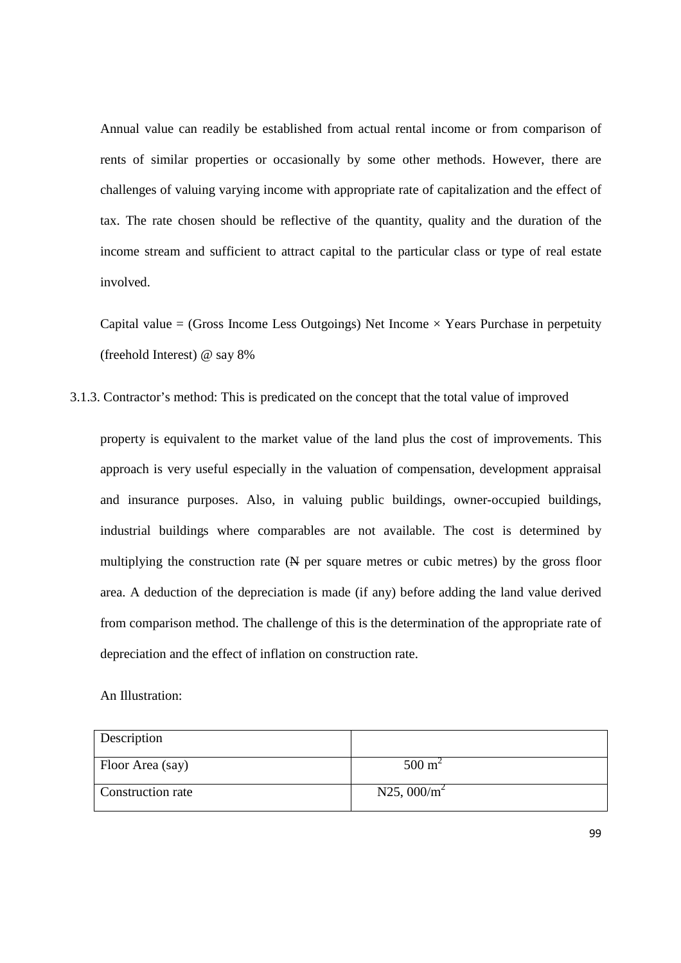Annual value can readily be established from actual rental income or from comparison of rents of similar properties or occasionally by some other methods. However, there are challenges of valuing varying income with appropriate rate of capitalization and the effect of tax. The rate chosen should be reflective of the quantity, quality and the duration of the income stream and sufficient to attract capital to the particular class or type of real estate involved.

Capital value = (Gross Income Less Outgoings) Net Income  $\times$  Years Purchase in perpetuity (freehold Interest) @ say 8%

3.1.3. Contractor's method: This is predicated on the concept that the total value of improved

property is equivalent to the market value of the land plus the cost of improvements. This approach is very useful especially in the valuation of compensation, development appraisal and insurance purposes. Also, in valuing public buildings, owner-occupied buildings, industrial buildings where comparables are not available. The cost is determined by multiplying the construction rate  $(N$  per square metres or cubic metres) by the gross floor area. A deduction of the depreciation is made (if any) before adding the land value derived from comparison method. The challenge of this is the determination of the appropriate rate of depreciation and the effect of inflation on construction rate.

An Illustration:

| Description       |                   |
|-------------------|-------------------|
| Floor Area (say)  | $500 \text{ m}^2$ |
| Construction rate | N25, 000/ $m^2$   |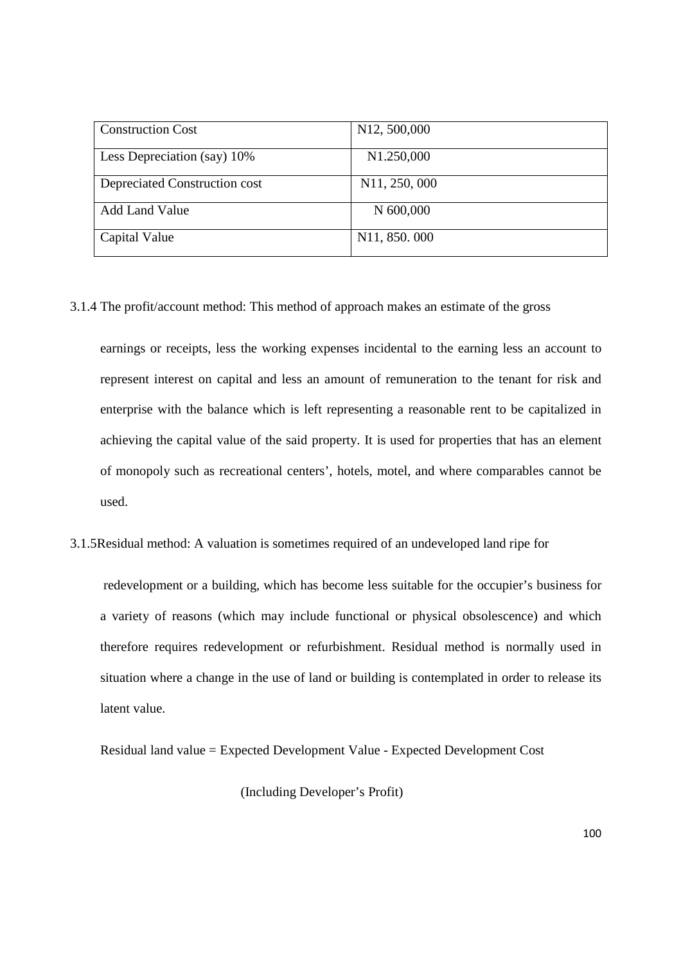| <b>Construction Cost</b>      | N <sub>12</sub> , 500,000  |
|-------------------------------|----------------------------|
| Less Depreciation (say) 10%   | N <sub>1.250,000</sub>     |
| Depreciated Construction cost | N <sub>1</sub> 1, 250, 000 |
| <b>Add Land Value</b>         | N 600,000                  |
| Capital Value                 | N <sub>11</sub> , 850, 000 |

3.1.4 The profit/account method: This method of approach makes an estimate of the gross

earnings or receipts, less the working expenses incidental to the earning less an account to represent interest on capital and less an amount of remuneration to the tenant for risk and enterprise with the balance which is left representing a reasonable rent to be capitalized in achieving the capital value of the said property. It is used for properties that has an element of monopoly such as recreational centers', hotels, motel, and where comparables cannot be used.

3.1.5Residual method: A valuation is sometimes required of an undeveloped land ripe for

 redevelopment or a building, which has become less suitable for the occupier's business for a variety of reasons (which may include functional or physical obsolescence) and which therefore requires redevelopment or refurbishment. Residual method is normally used in situation where a change in the use of land or building is contemplated in order to release its latent value.

Residual land value = Expected Development Value - Expected Development Cost

(Including Developer's Profit)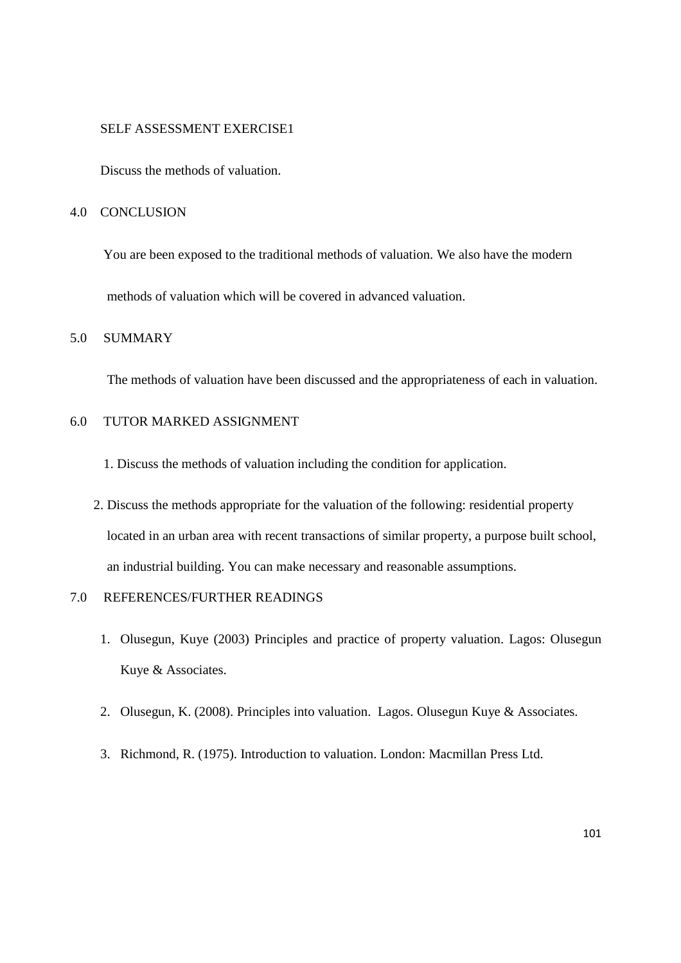#### SELF ASSESSMENT EXERCISE1

Discuss the methods of valuation.

#### 4.0 CONCLUSION

 You are been exposed to the traditional methods of valuation. We also have the modern methods of valuation which will be covered in advanced valuation.

## 5.0 SUMMARY

The methods of valuation have been discussed and the appropriateness of each in valuation.

### 6.0 TUTOR MARKED ASSIGNMENT

- 1. Discuss the methods of valuation including the condition for application.
- 2. Discuss the methods appropriate for the valuation of the following: residential property located in an urban area with recent transactions of similar property, a purpose built school, an industrial building. You can make necessary and reasonable assumptions.

## 7.0 REFERENCES/FURTHER READINGS

- 1. Olusegun, Kuye (2003) Principles and practice of property valuation. Lagos: Olusegun Kuye & Associates.
- 2. Olusegun, K. (2008). Principles into valuation. Lagos. Olusegun Kuye & Associates.
- 3. Richmond, R. (1975). Introduction to valuation. London: Macmillan Press Ltd.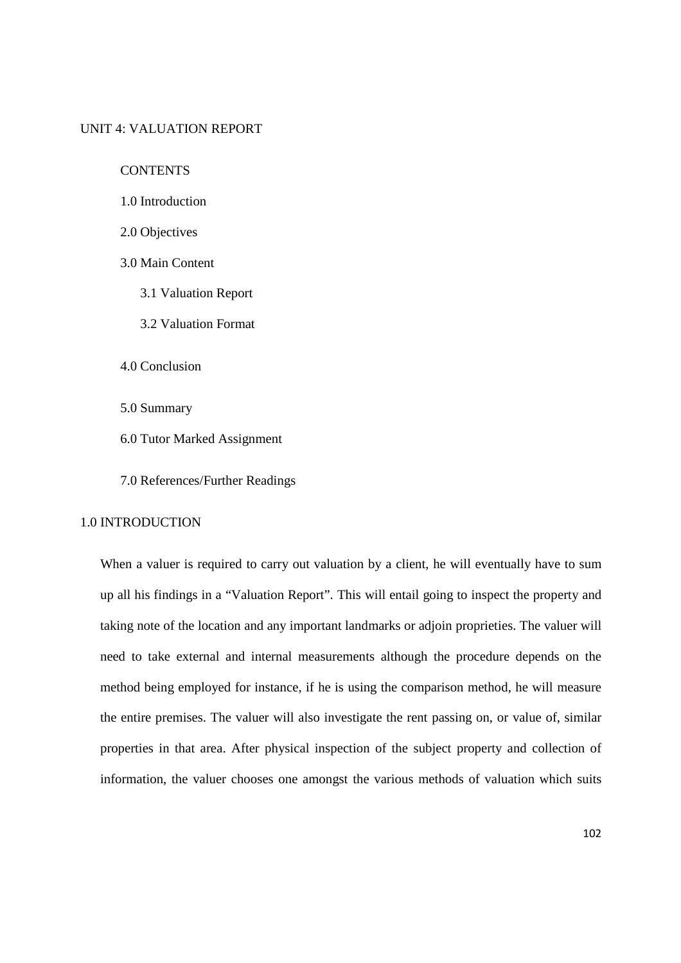#### UNIT 4: VALUATION REPORT

**CONTENTS** 

- 1.0 Introduction
- 2.0 Objectives
- 3.0 Main Content
	- 3.1 Valuation Report
	- 3.2 Valuation Format
- 4.0 Conclusion
- 5.0 Summary
- 6.0 Tutor Marked Assignment
- 7.0 References/Further Readings

## 1.0 INTRODUCTION

When a valuer is required to carry out valuation by a client, he will eventually have to sum up all his findings in a "Valuation Report". This will entail going to inspect the property and taking note of the location and any important landmarks or adjoin proprieties. The valuer will need to take external and internal measurements although the procedure depends on the method being employed for instance, if he is using the comparison method, he will measure the entire premises. The valuer will also investigate the rent passing on, or value of, similar properties in that area. After physical inspection of the subject property and collection of information, the valuer chooses one amongst the various methods of valuation which suits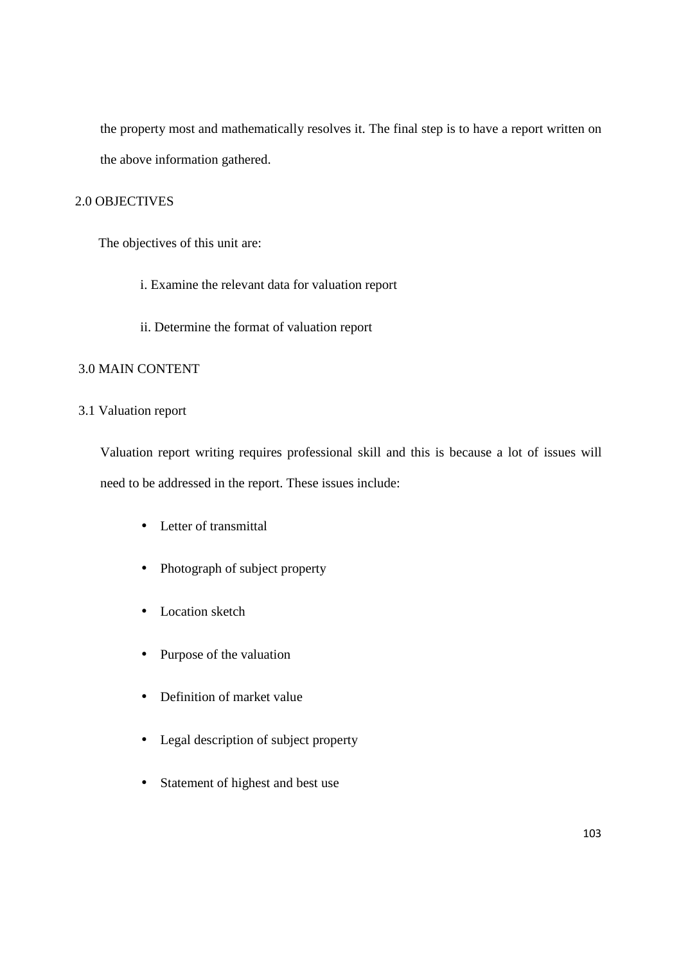the property most and mathematically resolves it. The final step is to have a report written on the above information gathered.

### 2.0 OBJECTIVES

The objectives of this unit are:

- i. Examine the relevant data for valuation report
- ii. Determine the format of valuation report

## 3.0 MAIN CONTENT

### 3.1 Valuation report

Valuation report writing requires professional skill and this is because a lot of issues will need to be addressed in the report. These issues include:

- Letter of transmittal
- Photograph of subject property
- Location sketch
- Purpose of the valuation
- Definition of market value
- Legal description of subject property
- Statement of highest and best use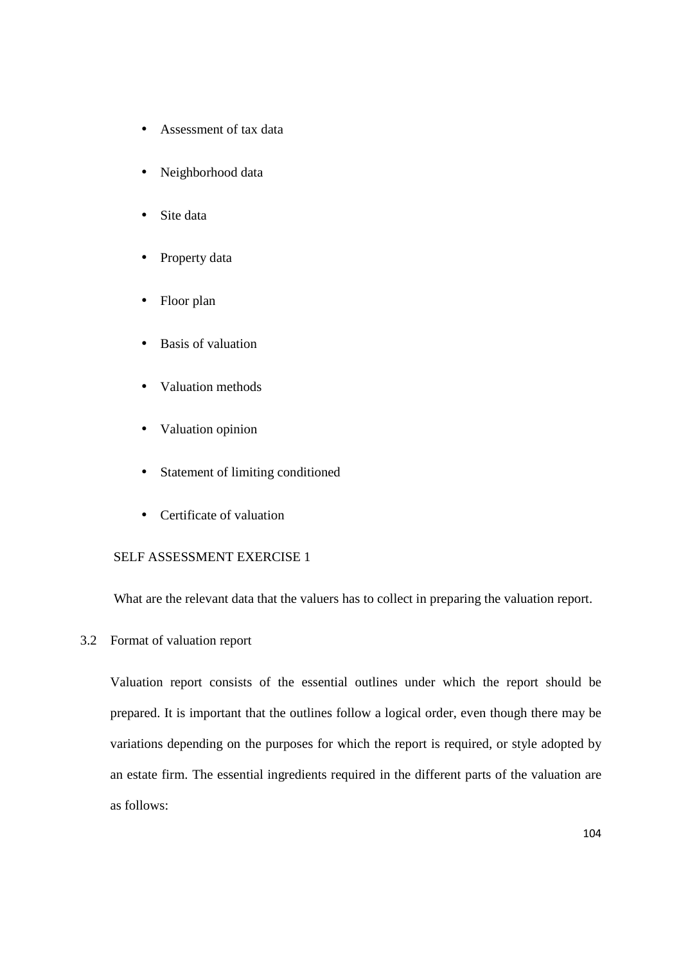- Assessment of tax data
- Neighborhood data
- Site data
- Property data
- Floor plan
- Basis of valuation
- Valuation methods
- Valuation opinion
- Statement of limiting conditioned
- Certificate of valuation

# SELF ASSESSMENT EXERCISE 1

What are the relevant data that the valuers has to collect in preparing the valuation report.

3.2 Format of valuation report

Valuation report consists of the essential outlines under which the report should be prepared. It is important that the outlines follow a logical order, even though there may be variations depending on the purposes for which the report is required, or style adopted by an estate firm. The essential ingredients required in the different parts of the valuation are as follows: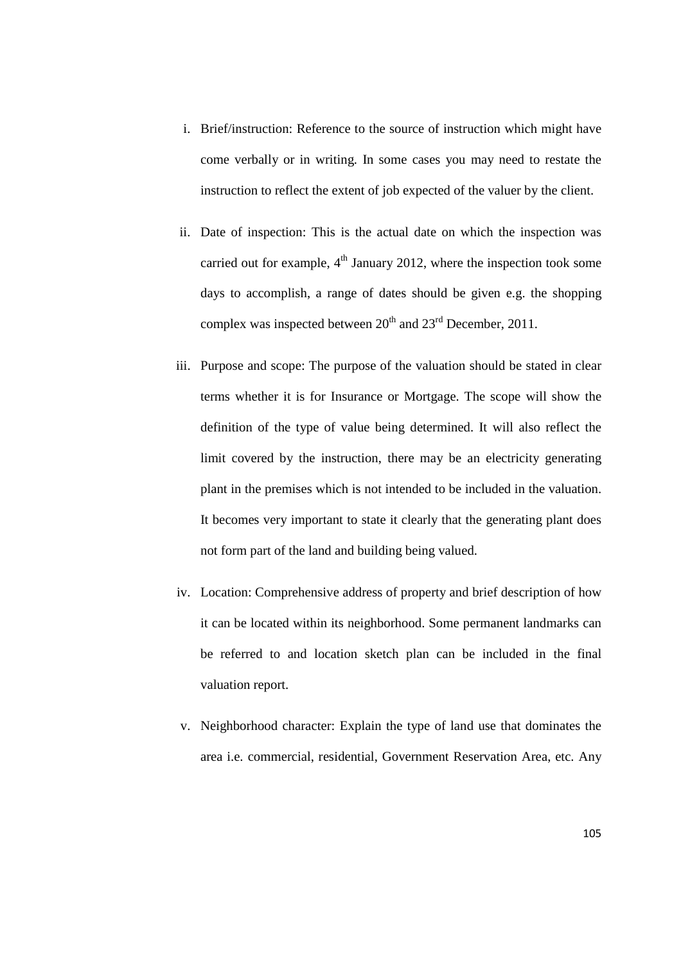- i. Brief/instruction: Reference to the source of instruction which might have come verbally or in writing. In some cases you may need to restate the instruction to reflect the extent of job expected of the valuer by the client.
- ii. Date of inspection: This is the actual date on which the inspection was carried out for example,  $4<sup>th</sup>$  January 2012, where the inspection took some days to accomplish, a range of dates should be given e.g. the shopping complex was inspected between  $20^{th}$  and  $23^{rd}$  December, 2011.
- iii. Purpose and scope: The purpose of the valuation should be stated in clear terms whether it is for Insurance or Mortgage. The scope will show the definition of the type of value being determined. It will also reflect the limit covered by the instruction, there may be an electricity generating plant in the premises which is not intended to be included in the valuation. It becomes very important to state it clearly that the generating plant does not form part of the land and building being valued.
- iv. Location: Comprehensive address of property and brief description of how it can be located within its neighborhood. Some permanent landmarks can be referred to and location sketch plan can be included in the final valuation report.
- v. Neighborhood character: Explain the type of land use that dominates the area i.e. commercial, residential, Government Reservation Area, etc. Any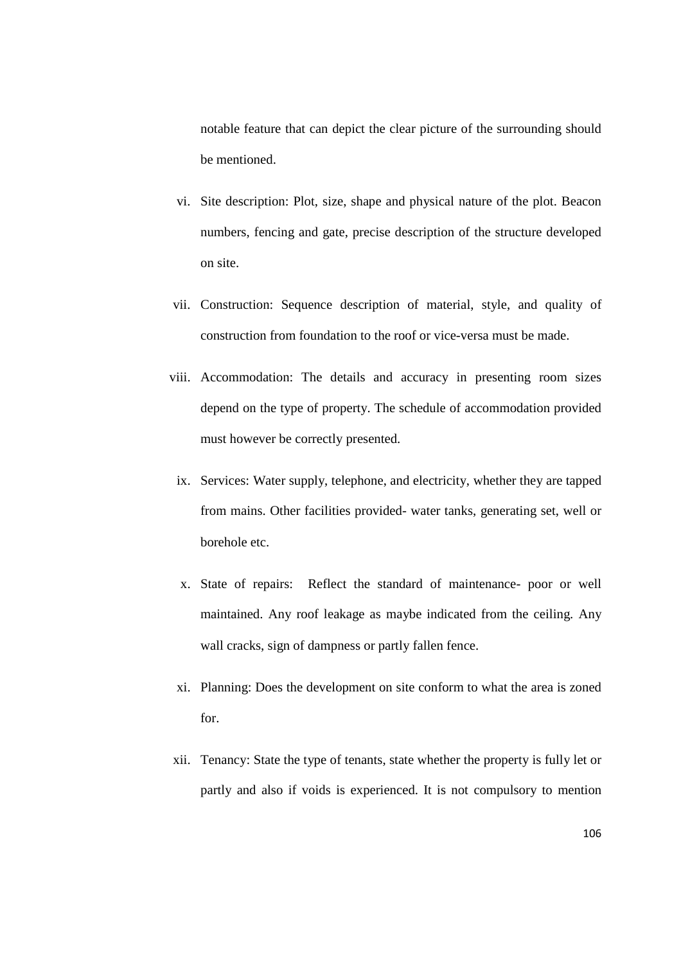notable feature that can depict the clear picture of the surrounding should be mentioned.

- vi. Site description: Plot, size, shape and physical nature of the plot. Beacon numbers, fencing and gate, precise description of the structure developed on site.
- vii. Construction: Sequence description of material, style, and quality of construction from foundation to the roof or vice-versa must be made.
- viii. Accommodation: The details and accuracy in presenting room sizes depend on the type of property. The schedule of accommodation provided must however be correctly presented.
	- ix. Services: Water supply, telephone, and electricity, whether they are tapped from mains. Other facilities provided- water tanks, generating set, well or borehole etc.
	- x. State of repairs: Reflect the standard of maintenance- poor or well maintained. Any roof leakage as maybe indicated from the ceiling. Any wall cracks, sign of dampness or partly fallen fence.
	- xi. Planning: Does the development on site conform to what the area is zoned for.
- xii. Tenancy: State the type of tenants, state whether the property is fully let or partly and also if voids is experienced. It is not compulsory to mention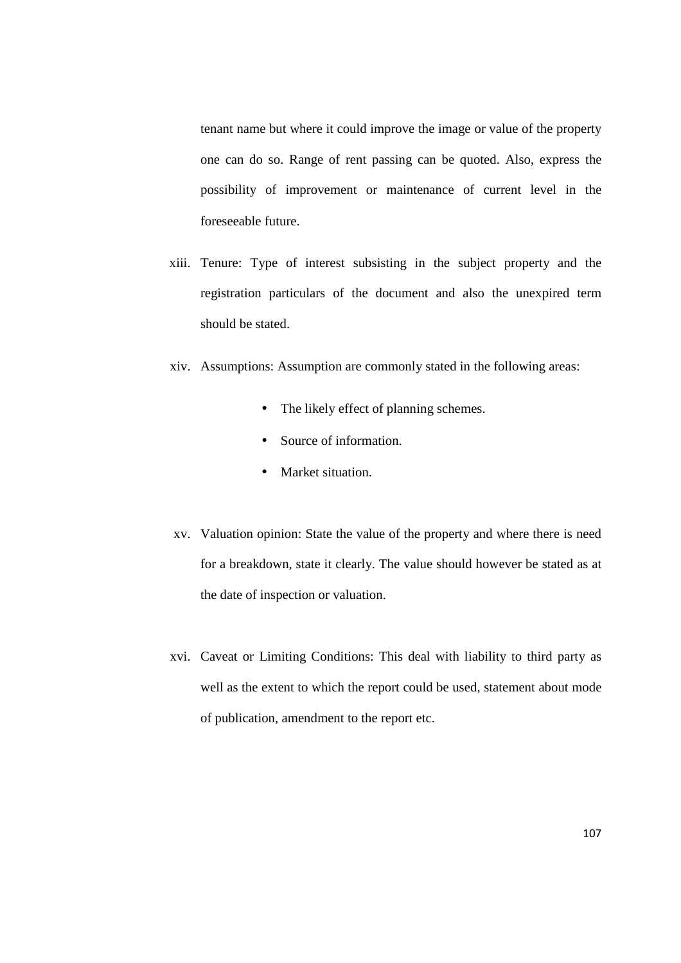tenant name but where it could improve the image or value of the property one can do so. Range of rent passing can be quoted. Also, express the possibility of improvement or maintenance of current level in the foreseeable future.

- xiii. Tenure: Type of interest subsisting in the subject property and the registration particulars of the document and also the unexpired term should be stated.
- xiv. Assumptions: Assumption are commonly stated in the following areas:
	- The likely effect of planning schemes.
	- Source of information.
	- Market situation.
- xv. Valuation opinion: State the value of the property and where there is need for a breakdown, state it clearly. The value should however be stated as at the date of inspection or valuation.
- xvi. Caveat or Limiting Conditions: This deal with liability to third party as well as the extent to which the report could be used, statement about mode of publication, amendment to the report etc.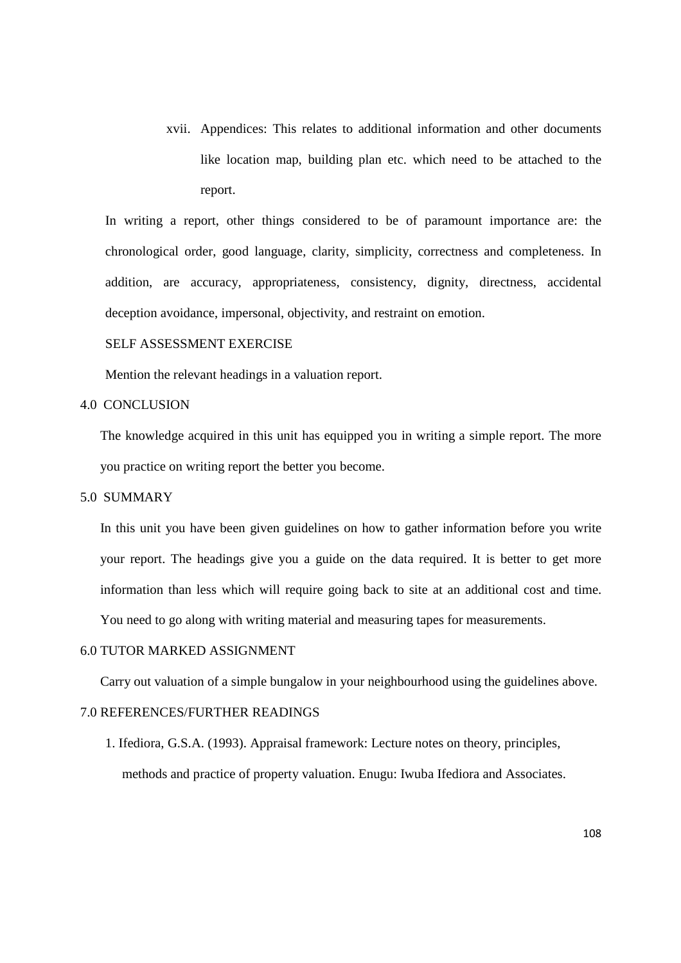xvii. Appendices: This relates to additional information and other documents like location map, building plan etc. which need to be attached to the report.

In writing a report, other things considered to be of paramount importance are: the chronological order, good language, clarity, simplicity, correctness and completeness. In addition, are accuracy, appropriateness, consistency, dignity, directness, accidental deception avoidance, impersonal, objectivity, and restraint on emotion.

## SELF ASSESSMENT EXERCISE

Mention the relevant headings in a valuation report.

#### 4.0 CONCLUSION

The knowledge acquired in this unit has equipped you in writing a simple report. The more you practice on writing report the better you become.

#### 5.0 SUMMARY

In this unit you have been given guidelines on how to gather information before you write your report. The headings give you a guide on the data required. It is better to get more information than less which will require going back to site at an additional cost and time. You need to go along with writing material and measuring tapes for measurements.

#### 6.0 TUTOR MARKED ASSIGNMENT

Carry out valuation of a simple bungalow in your neighbourhood using the guidelines above.

#### 7.0 REFERENCES/FURTHER READINGS

1. Ifediora, G.S.A. (1993). Appraisal framework: Lecture notes on theory, principles, methods and practice of property valuation. Enugu: Iwuba Ifediora and Associates.